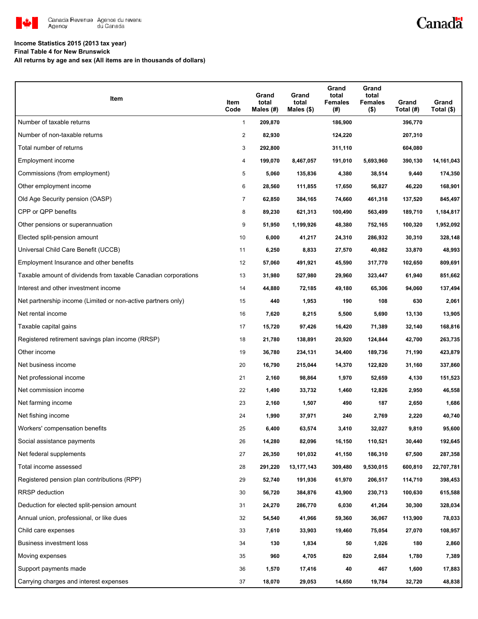

# Canadä

### **Income Statistics 2015 (2013 tax year)**

**Final Table 4 for New Brunswick**

**All returns by age and sex (All items are in thousands of dollars)**

| Item                                                           | Item<br>Code   | Grand<br>total<br>Males $(H)$ | Grand<br>total<br>Males $(\$)$ | Grand<br>total<br><b>Females</b><br>(#) | Grand<br>total<br><b>Females</b><br>$($ \$) | Grand<br>Total (#) | Grand<br>Total $(\$)$ |
|----------------------------------------------------------------|----------------|-------------------------------|--------------------------------|-----------------------------------------|---------------------------------------------|--------------------|-----------------------|
| Number of taxable returns                                      | $\mathbf{1}$   | 209,870                       |                                | 186,900                                 |                                             | 396,770            |                       |
| Number of non-taxable returns                                  | $\overline{2}$ | 82,930                        |                                | 124,220                                 |                                             | 207,310            |                       |
| Total number of returns                                        | 3              | 292,800                       |                                | 311,110                                 |                                             | 604,080            |                       |
| Employment income                                              | 4              | 199,070                       | 8,467,057                      | 191,010                                 | 5,693,960                                   | 390,130            | 14,161,043            |
| Commissions (from employment)                                  | 5              | 5,060                         | 135,836                        | 4,380                                   | 38,514                                      | 9,440              | 174,350               |
| Other employment income                                        | 6              | 28,560                        | 111,855                        | 17,650                                  | 56,827                                      | 46,220             | 168,901               |
| Old Age Security pension (OASP)                                | $\overline{7}$ | 62,850                        | 384,165                        | 74,660                                  | 461,318                                     | 137,520            | 845,497               |
| CPP or QPP benefits                                            | 8              | 89,230                        | 621,313                        | 100,490                                 | 563,499                                     | 189,710            | 1,184,817             |
| Other pensions or superannuation                               | 9              | 51,950                        | 1,199,926                      | 48,380                                  | 752,165                                     | 100,320            | 1,952,092             |
| Elected split-pension amount                                   | 10             | 6,000                         | 41,217                         | 24,310                                  | 286,932                                     | 30,310             | 328,148               |
| Universal Child Care Benefit (UCCB)                            | 11             | 6,250                         | 8,833                          | 27,570                                  | 40,082                                      | 33,870             | 48,993                |
| Employment Insurance and other benefits                        | 12             | 57,060                        | 491,921                        | 45,590                                  | 317,770                                     | 102,650            | 809,691               |
| Taxable amount of dividends from taxable Canadian corporations | 13             | 31,980                        | 527,980                        | 29,960                                  | 323,447                                     | 61,940             | 851,662               |
| Interest and other investment income                           | 14             | 44,880                        | 72,185                         | 49,180                                  | 65,306                                      | 94,060             | 137,494               |
| Net partnership income (Limited or non-active partners only)   | 15             | 440                           | 1,953                          | 190                                     | 108                                         | 630                | 2,061                 |
| Net rental income                                              | 16             | 7,620                         | 8,215                          | 5,500                                   | 5,690                                       | 13,130             | 13,905                |
| Taxable capital gains                                          | 17             | 15,720                        | 97,426                         | 16,420                                  | 71,389                                      | 32,140             | 168,816               |
| Registered retirement savings plan income (RRSP)               | 18             | 21,780                        | 138,891                        | 20,920                                  | 124,844                                     | 42,700             | 263,735               |
| Other income                                                   | 19             | 36,780                        | 234,131                        | 34,400                                  | 189,736                                     | 71,190             | 423,879               |
| Net business income                                            | 20             | 16,790                        | 215,044                        | 14,370                                  | 122,820                                     | 31,160             | 337,860               |
| Net professional income                                        | 21             | 2,160                         | 98,864                         | 1,970                                   | 52,659                                      | 4,130              | 151,523               |
| Net commission income                                          | 22             | 1,490                         | 33,732                         | 1,460                                   | 12,826                                      | 2,950              | 46,558                |
| Net farming income                                             | 23             | 2,160                         | 1,507                          | 490                                     | 187                                         | 2,650              | 1,686                 |
| Net fishing income                                             | 24             | 1,990                         | 37,971                         | 240                                     | 2,769                                       | 2,220              | 40,740                |
| Workers' compensation benefits                                 | 25             | 6,400                         | 63,574                         | 3,410                                   | 32,027                                      | 9,810              | 95,600                |
| Social assistance payments                                     | 26             | 14,280                        | 82,096                         | 16,150                                  | 110,521                                     | 30,440             | 192,645               |
| Net federal supplements                                        | 27             | 26,350                        | 101,032                        | 41,150                                  | 186,310                                     | 67,500             | 287,358               |
| Total income assessed                                          | 28             | 291,220                       | 13,177,143                     | 309,480                                 | 9,530,015                                   | 600,810            | 22,707,781            |
| Registered pension plan contributions (RPP)                    | 29             | 52,740                        | 191,936                        | 61,970                                  | 206,517                                     | 114,710            | 398,453               |
| <b>RRSP</b> deduction                                          | 30             | 56,720                        | 384,876                        | 43,900                                  | 230,713                                     | 100,630            | 615,588               |
| Deduction for elected split-pension amount                     | 31             | 24,270                        | 286,770                        | 6,030                                   | 41,264                                      | 30,300             | 328,034               |
| Annual union, professional, or like dues                       | 32             | 54,540                        | 41,966                         | 59,360                                  | 36,067                                      | 113,900            | 78,033                |
| Child care expenses                                            | 33             | 7,610                         | 33,903                         | 19,460                                  | 75,054                                      | 27,070             | 108,957               |
| Business investment loss                                       | 34             | 130                           | 1,834                          | 50                                      | 1,026                                       | 180                | 2,860                 |
| Moving expenses                                                | 35             | 960                           | 4,705                          | 820                                     | 2,684                                       | 1,780              | 7,389                 |
| Support payments made                                          | 36             | 1,570                         | 17,416                         | 40                                      | 467                                         | 1,600              | 17,883                |
| Carrying charges and interest expenses                         | 37             | 18,070                        | 29,053                         | 14,650                                  | 19,784                                      | 32,720             | 48,838                |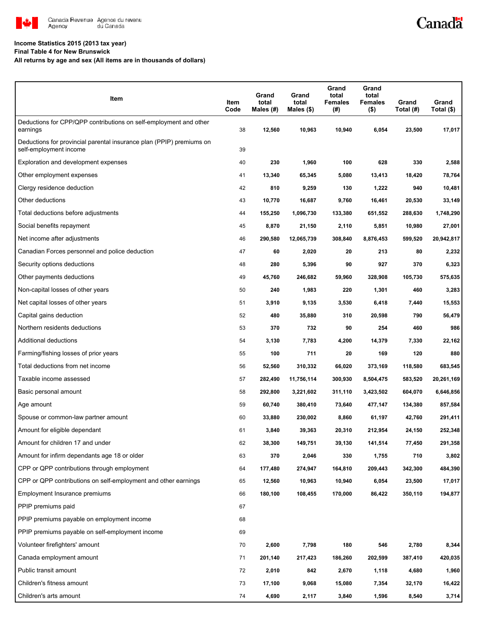

#### **Income Statistics 2015 (2013 tax year)**

**Final Table 4 for New Brunswick**

**All returns by age and sex (All items are in thousands of dollars)**

| Item                                                                                           | Item<br>Code | Grand<br>total<br>Males (#) | Grand<br>total<br>Males (\$) | Grand<br>total<br><b>Females</b><br>(#) | Grand<br>total<br><b>Females</b><br>$($ \$) | Grand<br>Total (#) | Grand<br>Total (\$) |
|------------------------------------------------------------------------------------------------|--------------|-----------------------------|------------------------------|-----------------------------------------|---------------------------------------------|--------------------|---------------------|
| Deductions for CPP/QPP contributions on self-employment and other<br>earnings                  | 38           | 12,560                      | 10,963                       | 10,940                                  | 6,054                                       | 23,500             | 17,017              |
| Deductions for provincial parental insurance plan (PPIP) premiums on<br>self-employment income | 39           |                             |                              |                                         |                                             |                    |                     |
| Exploration and development expenses                                                           | 40           | 230                         | 1,960                        | 100                                     | 628                                         | 330                | 2,588               |
| Other employment expenses                                                                      | 41           | 13,340                      | 65,345                       | 5,080                                   | 13,413                                      | 18,420             | 78,764              |
| Clergy residence deduction                                                                     | 42           | 810                         | 9,259                        | 130                                     | 1,222                                       | 940                | 10,481              |
| Other deductions                                                                               | 43           | 10,770                      | 16,687                       | 9,760                                   | 16,461                                      | 20,530             | 33,149              |
| Total deductions before adjustments                                                            | 44           | 155,250                     | 1,096,730                    | 133,380                                 | 651,552                                     | 288,630            | 1,748,290           |
| Social benefits repayment                                                                      | 45           | 8,870                       | 21,150                       | 2,110                                   | 5,851                                       | 10,980             | 27,001              |
| Net income after adjustments                                                                   | 46           | 290,580                     | 12,065,739                   | 308,840                                 | 8,876,453                                   | 599,520            | 20,942,817          |
| Canadian Forces personnel and police deduction                                                 | 47           | 60                          | 2,020                        | 20                                      | 213                                         | 80                 | 2,232               |
| Security options deductions                                                                    | 48           | 280                         | 5,396                        | 90                                      | 927                                         | 370                | 6,323               |
| Other payments deductions                                                                      | 49           | 45,760                      | 246,682                      | 59,960                                  | 328,908                                     | 105,730            | 575,635             |
| Non-capital losses of other years                                                              | 50           | 240                         | 1,983                        | 220                                     | 1,301                                       | 460                | 3,283               |
| Net capital losses of other years                                                              | 51           | 3,910                       | 9,135                        | 3,530                                   | 6,418                                       | 7,440              | 15,553              |
| Capital gains deduction                                                                        | 52           | 480                         | 35,880                       | 310                                     | 20,598                                      | 790                | 56,479              |
| Northern residents deductions                                                                  | 53           | 370                         | 732                          | 90                                      | 254                                         | 460                | 986                 |
| Additional deductions                                                                          | 54           | 3,130                       | 7,783                        | 4,200                                   | 14,379                                      | 7,330              | 22,162              |
| Farming/fishing losses of prior years                                                          | 55           | 100                         | 711                          | 20                                      | 169                                         | 120                | 880                 |
| Total deductions from net income                                                               | 56           | 52,560                      | 310,332                      | 66,020                                  | 373,169                                     | 118,580            | 683,545             |
| Taxable income assessed                                                                        | 57           | 282,490                     | 11,756,114                   | 300,930                                 | 8,504,475                                   | 583,520            | 20,261,169          |
| Basic personal amount                                                                          | 58           | 292,800                     | 3,221,602                    | 311,110                                 | 3,423,502                                   | 604,070            | 6,646,856           |
| Age amount                                                                                     | 59           | 60,740                      | 380,410                      | 73,640                                  | 477,147                                     | 134,380            | 857,584             |
| Spouse or common-law partner amount                                                            | 60           | 33,880                      | 230,002                      | 8,860                                   | 61,197                                      | 42,760             | 291,411             |
| Amount for eligible dependant                                                                  | 61           | 3,840                       | 39,363                       | 20,310                                  | 212.954                                     | 24,150             | 252,348             |
| Amount for children 17 and under                                                               | 62           | 38,300                      | 149,751                      | 39,130                                  | 141,514                                     | 77,450             | 291,358             |
| Amount for infirm dependants age 18 or older                                                   | 63           | 370                         | 2,046                        | 330                                     | 1,755                                       | 710                | 3,802               |
| CPP or QPP contributions through employment                                                    | 64           | 177,480                     | 274,947                      | 164,810                                 | 209,443                                     | 342,300            | 484,390             |
| CPP or QPP contributions on self-employment and other earnings                                 | 65           | 12,560                      | 10,963                       | 10,940                                  | 6,054                                       | 23,500             | 17,017              |
| Employment Insurance premiums                                                                  | 66           | 180,100                     | 108,455                      | 170,000                                 | 86,422                                      | 350,110            | 194,877             |
| PPIP premiums paid                                                                             | 67           |                             |                              |                                         |                                             |                    |                     |
| PPIP premiums payable on employment income                                                     | 68           |                             |                              |                                         |                                             |                    |                     |
| PPIP premiums payable on self-employment income                                                | 69           |                             |                              |                                         |                                             |                    |                     |
| Volunteer firefighters' amount                                                                 | 70           | 2,600                       | 7,798                        | 180                                     | 546                                         | 2,780              | 8,344               |
| Canada employment amount                                                                       | 71           | 201,140                     | 217,423                      | 186,260                                 | 202,599                                     | 387,410            | 420,035             |
| Public transit amount                                                                          | 72           | 2,010                       | 842                          | 2,670                                   | 1,118                                       | 4,680              | 1,960               |
| Children's fitness amount                                                                      | 73           | 17,100                      | 9,068                        | 15,080                                  | 7,354                                       | 32,170             | 16,422              |
| Children's arts amount                                                                         | 74           | 4,690                       | 2,117                        | 3,840                                   | 1,596                                       | 8,540              | 3,714               |

Canadä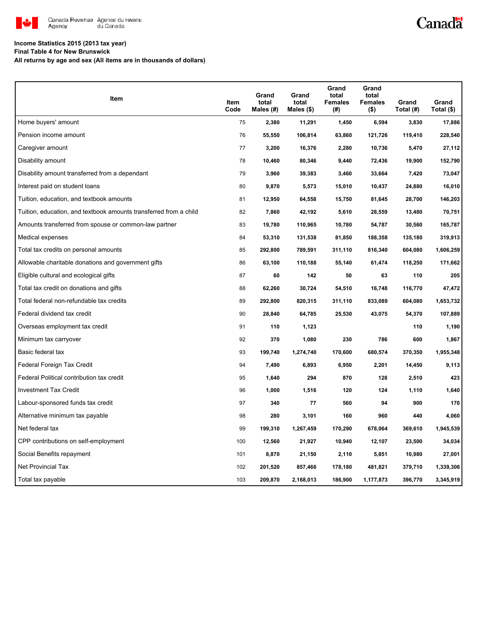

# Canadä

### **Income Statistics 2015 (2013 tax year)**

**Final Table 4 for New Brunswick**

**All returns by age and sex (All items are in thousands of dollars)**

| <b>Item</b>                                                       | Item<br>Code | Grand<br>total<br>Males (#) | Grand<br>total<br>Males $(\$)$ | Grand<br>total<br><b>Females</b><br>(#) | Grand<br>total<br><b>Females</b><br>$($ \$) | Grand<br>Total (#) | Grand<br>Total (\$) |
|-------------------------------------------------------------------|--------------|-----------------------------|--------------------------------|-----------------------------------------|---------------------------------------------|--------------------|---------------------|
| Home buyers' amount                                               | 75           | 2,380                       | 11,291                         | 1,450                                   | 6,594                                       | 3,830              | 17,886              |
| Pension income amount                                             | 76           | 55,550                      | 106,814                        | 63,860                                  | 121,726                                     | 119,410            | 228,540             |
| Caregiver amount                                                  | 77           | 3,200                       | 16,376                         | 2,280                                   | 10,736                                      | 5,470              | 27,112              |
| Disability amount                                                 | 78           | 10,460                      | 80,346                         | 9,440                                   | 72,436                                      | 19,900             | 152,790             |
| Disability amount transferred from a dependant                    | 79           | 3,960                       | 39,383                         | 3,460                                   | 33,664                                      | 7,420              | 73,047              |
| Interest paid on student loans                                    | 80           | 9,870                       | 5,573                          | 15,010                                  | 10,437                                      | 24,880             | 16,010              |
| Tuition, education, and textbook amounts                          | 81           | 12,950                      | 64,558                         | 15,750                                  | 81,645                                      | 28,700             | 146,203             |
| Tuition, education, and textbook amounts transferred from a child | 82           | 7,860                       | 42,192                         | 5,610                                   | 28,559                                      | 13,480             | 70,751              |
| Amounts transferred from spouse or common-law partner             | 83           | 19,780                      | 110,965                        | 10,780                                  | 54,787                                      | 30,560             | 165,787             |
| Medical expenses                                                  | 84           | 53,310                      | 131,538                        | 81,850                                  | 188,358                                     | 135,180            | 319,913             |
| Total tax credits on personal amounts                             | 85           | 292,800                     | 789,591                        | 311,110                                 | 816,340                                     | 604,080            | 1,606,259           |
| Allowable charitable donations and government gifts               | 86           | 63,100                      | 110,188                        | 55,140                                  | 61,474                                      | 118,250            | 171,662             |
| Eligible cultural and ecological gifts                            | 87           | 60                          | 142                            | 50                                      | 63                                          | 110                | 205                 |
| Total tax credit on donations and gifts                           | 88           | 62,260                      | 30,724                         | 54,510                                  | 16,748                                      | 116,770            | 47,472              |
| Total federal non-refundable tax credits                          | 89           | 292,800                     | 820,315                        | 311,110                                 | 833,089                                     | 604,080            | 1,653,732           |
| Federal dividend tax credit                                       | 90           | 28,840                      | 64,785                         | 25,530                                  | 43,075                                      | 54,370             | 107,889             |
| Overseas employment tax credit                                    | 91           | 110                         | 1,123                          |                                         |                                             | 110                | 1,190               |
| Minimum tax carryover                                             | 92           | 370                         | 1,080                          | 230                                     | 786                                         | 600                | 1,867               |
| Basic federal tax                                                 | 93           | 199,740                     | 1,274,740                      | 170,600                                 | 680,574                                     | 370,350            | 1,955,348           |
| Federal Foreign Tax Credit                                        | 94           | 7,490                       | 6,893                          | 6,950                                   | 2,201                                       | 14,450             | 9,113               |
| Federal Political contribution tax credit                         | 95           | 1,640                       | 294                            | 870                                     | 128                                         | 2,510              | 423                 |
| <b>Investment Tax Credit</b>                                      | 96           | 1,000                       | 1,516                          | 120                                     | 124                                         | 1,110              | 1,640               |
| Labour-sponsored funds tax credit                                 | 97           | 340                         | 77                             | 560                                     | 94                                          | 900                | 170                 |
| Alternative minimum tax payable                                   | 98           | 280                         | 3,101                          | 160                                     | 960                                         | 440                | 4,060               |
| Net federal tax                                                   | 99           | 199,310                     | 1,267,459                      | 170,290                                 | 678,064                                     | 369,610            | 1,945,539           |
| CPP contributions on self-employment                              | 100          | 12,560                      | 21,927                         | 10,940                                  | 12,107                                      | 23,500             | 34,034              |
| Social Benefits repayment                                         | 101          | 8,870                       | 21,150                         | 2,110                                   | 5,851                                       | 10,980             | 27,001              |
| Net Provincial Tax                                                | 102          | 201,520                     | 857,466                        | 178,180                                 | 481,821                                     | 379,710            | 1,339,306           |
| Total tax payable                                                 | 103          | 209,870                     | 2,168,013                      | 186,900                                 | 1,177,873                                   | 396,770            | 3,345,919           |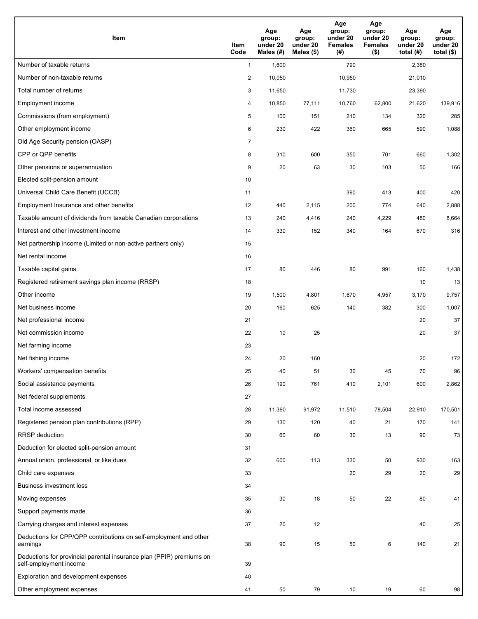| <b>Item</b>                                                                                    | Item<br>Code            | Age<br>group:<br>under 20<br>Males (#) | Age<br>group:<br>under 20<br>Males (\$) | Age<br>group:<br>under 20<br><b>Females</b><br>(# ) | Age<br>group:<br>under 20<br><b>Females</b><br>$($ \$) | Age<br>group:<br>under 20<br>total $(#)$ | Age<br>group:<br>under 20<br>total $($)$ |
|------------------------------------------------------------------------------------------------|-------------------------|----------------------------------------|-----------------------------------------|-----------------------------------------------------|--------------------------------------------------------|------------------------------------------|------------------------------------------|
| Number of taxable returns                                                                      | $\mathbf{1}$            | 1,600                                  |                                         | 790                                                 |                                                        | 2,380                                    |                                          |
| Number of non-taxable returns                                                                  | $\overline{\mathbf{c}}$ | 10,050                                 |                                         | 10,950                                              |                                                        | 21,010                                   |                                          |
| Total number of returns                                                                        | 3                       | 11,650                                 |                                         | 11,730                                              |                                                        | 23,390                                   |                                          |
| Employment income                                                                              | 4                       | 10,850                                 | 77,111                                  | 10,760                                              | 62,800                                                 | 21,620                                   | 139,916                                  |
| Commissions (from employment)                                                                  | 5                       | 100                                    | 151                                     | 210                                                 | 134                                                    | 320                                      | 285                                      |
| Other employment income                                                                        | 6                       | 230                                    | 422                                     | 360                                                 | 665                                                    | 590                                      | 1,088                                    |
| Old Age Security pension (OASP)                                                                | $\overline{7}$          |                                        |                                         |                                                     |                                                        |                                          |                                          |
| CPP or QPP benefits                                                                            | 8                       | 310                                    | 600                                     | 350                                                 | 701                                                    | 660                                      | 1,302                                    |
| Other pensions or superannuation                                                               | 9                       | 20                                     | 63                                      | 30                                                  | 103                                                    | 50                                       | 166                                      |
| Elected split-pension amount                                                                   | 10                      |                                        |                                         |                                                     |                                                        |                                          |                                          |
| Universal Child Care Benefit (UCCB)                                                            | 11                      |                                        |                                         | 390                                                 | 413                                                    | 400                                      | 420                                      |
| Employment Insurance and other benefits                                                        | 12                      | 440                                    | 2,115                                   | 200                                                 | 774                                                    | 640                                      | 2,888                                    |
| Taxable amount of dividends from taxable Canadian corporations                                 | 13                      | 240                                    | 4,416                                   | 240                                                 | 4,229                                                  | 480                                      | 8,664                                    |
| Interest and other investment income                                                           | 14                      | 330                                    | 152                                     | 340                                                 | 164                                                    | 670                                      | 316                                      |
| Net partnership income (Limited or non-active partners only)                                   | 15                      |                                        |                                         |                                                     |                                                        |                                          |                                          |
| Net rental income                                                                              | 16                      |                                        |                                         |                                                     |                                                        |                                          |                                          |
| Taxable capital gains                                                                          | 17                      | 80                                     | 446                                     | 80                                                  | 991                                                    | 160                                      | 1,438                                    |
| Registered retirement savings plan income (RRSP)                                               | 18                      |                                        |                                         |                                                     |                                                        | 10                                       | 13                                       |
| Other income                                                                                   | 19                      | 1,500                                  | 4,801                                   | 1,670                                               | 4,957                                                  | 3,170                                    | 9,757                                    |
| Net business income                                                                            | 20                      | 160                                    | 625                                     | 140                                                 | 382                                                    | 300                                      | 1,007                                    |
| Net professional income                                                                        | 21                      |                                        |                                         |                                                     |                                                        | 20                                       | 37                                       |
| Net commission income                                                                          | 22                      | 10                                     | 25                                      |                                                     |                                                        | 20                                       | 37                                       |
| Net farming income                                                                             | 23                      |                                        |                                         |                                                     |                                                        |                                          |                                          |
| Net fishing income                                                                             | 24                      | 20                                     | 160                                     |                                                     |                                                        | 20                                       | 172                                      |
| Workers' compensation benefits                                                                 | 25                      | 40                                     | 51                                      | 30                                                  | 45                                                     | 70                                       | 96                                       |
| Social assistance payments                                                                     | 26                      | 190                                    | 761                                     | 410                                                 | 2,101                                                  | 600                                      | 2,862                                    |
| Net federal supplements                                                                        | 27                      |                                        |                                         |                                                     |                                                        |                                          |                                          |
| Total income assessed                                                                          | 28                      | 11,390                                 | 91,972                                  | 11,510                                              | 78,504                                                 | 22,910                                   | 170,501                                  |
| Registered pension plan contributions (RPP)                                                    | 29                      | 130                                    | 120                                     | 40                                                  | 21                                                     | 170                                      | 141                                      |
| RRSP deduction                                                                                 | 30                      | 60                                     | 60                                      | 30                                                  | 13                                                     | 90                                       | 73                                       |
| Deduction for elected split-pension amount                                                     | 31                      |                                        |                                         |                                                     |                                                        |                                          |                                          |
| Annual union, professional, or like dues                                                       | 32                      | 600                                    | 113                                     | 330                                                 | 50                                                     | 930                                      | 163                                      |
| Child care expenses                                                                            | 33                      |                                        |                                         | 20                                                  | 29                                                     | 20                                       | 29                                       |
| <b>Business investment loss</b>                                                                | 34                      |                                        |                                         |                                                     |                                                        |                                          |                                          |
| Moving expenses                                                                                | 35                      | 30                                     | 18                                      | 50                                                  | 22                                                     | 80                                       | 41                                       |
| Support payments made                                                                          | 36                      |                                        |                                         |                                                     |                                                        |                                          |                                          |
| Carrying charges and interest expenses                                                         | 37                      | 20                                     | 12                                      |                                                     |                                                        | 40                                       | 25                                       |
| Deductions for CPP/QPP contributions on self-employment and other<br>earnings                  | 38                      | 90                                     | 15                                      | 50                                                  | 6                                                      | 140                                      | 21                                       |
| Deductions for provincial parental insurance plan (PPIP) premiums on<br>self-employment income | 39                      |                                        |                                         |                                                     |                                                        |                                          |                                          |
| Exploration and development expenses                                                           | 40                      |                                        |                                         |                                                     |                                                        |                                          |                                          |
| Other employment expenses                                                                      | 41                      | 50                                     | 79                                      | 10                                                  | 19                                                     | 60                                       | 98                                       |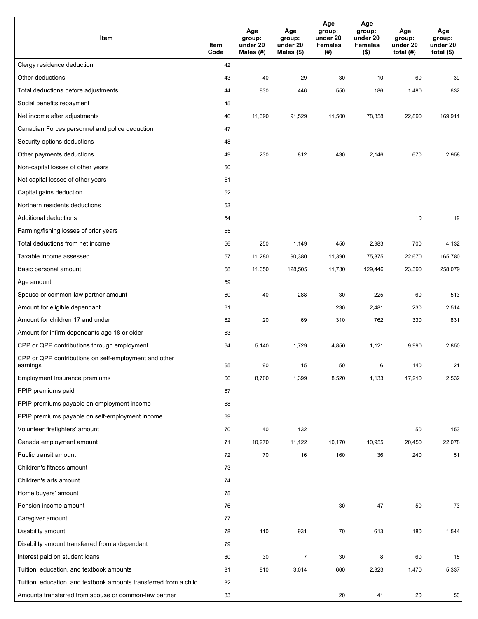| Item                                                              | Item<br>Code | Age<br>group:<br>under 20<br>Males (#) | Age<br>group:<br>under 20<br>Males (\$) | Age<br>group:<br>under 20<br><b>Females</b><br>(#) | Age<br>group:<br>under 20<br><b>Females</b><br>$($ \$) | Age<br>group:<br>under 20<br>total $(H)$ | Age<br>group:<br>under 20<br>total $($)$ |
|-------------------------------------------------------------------|--------------|----------------------------------------|-----------------------------------------|----------------------------------------------------|--------------------------------------------------------|------------------------------------------|------------------------------------------|
| Clergy residence deduction                                        | 42           |                                        |                                         |                                                    |                                                        |                                          |                                          |
| Other deductions                                                  | 43           | 40                                     | 29                                      | 30                                                 | 10                                                     | 60                                       | 39                                       |
| Total deductions before adjustments                               | 44           | 930                                    | 446                                     | 550                                                | 186                                                    | 1,480                                    | 632                                      |
| Social benefits repayment                                         | 45           |                                        |                                         |                                                    |                                                        |                                          |                                          |
| Net income after adjustments                                      | 46           | 11,390                                 | 91,529                                  | 11,500                                             | 78,358                                                 | 22,890                                   | 169,911                                  |
| Canadian Forces personnel and police deduction                    | 47           |                                        |                                         |                                                    |                                                        |                                          |                                          |
| Security options deductions                                       | 48           |                                        |                                         |                                                    |                                                        |                                          |                                          |
| Other payments deductions                                         | 49           | 230                                    | 812                                     | 430                                                | 2,146                                                  | 670                                      | 2,958                                    |
| Non-capital losses of other years                                 | 50           |                                        |                                         |                                                    |                                                        |                                          |                                          |
| Net capital losses of other years                                 | 51           |                                        |                                         |                                                    |                                                        |                                          |                                          |
| Capital gains deduction                                           | 52           |                                        |                                         |                                                    |                                                        |                                          |                                          |
| Northern residents deductions                                     | 53           |                                        |                                         |                                                    |                                                        |                                          |                                          |
| Additional deductions                                             | 54           |                                        |                                         |                                                    |                                                        | 10                                       | 19                                       |
| Farming/fishing losses of prior years                             | 55           |                                        |                                         |                                                    |                                                        |                                          |                                          |
| Total deductions from net income                                  | 56           | 250                                    | 1,149                                   | 450                                                | 2,983                                                  | 700                                      | 4,132                                    |
| Taxable income assessed                                           | 57           | 11,280                                 | 90,380                                  | 11,390                                             | 75,375                                                 | 22,670                                   | 165,780                                  |
| Basic personal amount                                             | 58           | 11,650                                 | 128,505                                 | 11,730                                             | 129,446                                                | 23,390                                   | 258,079                                  |
| Age amount                                                        | 59           |                                        |                                         |                                                    |                                                        |                                          |                                          |
| Spouse or common-law partner amount                               | 60           | 40                                     | 288                                     | 30                                                 | 225                                                    | 60                                       | 513                                      |
| Amount for eligible dependant                                     | 61           |                                        |                                         | 230                                                | 2,481                                                  | 230                                      | 2,514                                    |
| Amount for children 17 and under                                  | 62           | 20                                     | 69                                      | 310                                                | 762                                                    | 330                                      | 831                                      |
| Amount for infirm dependants age 18 or older                      | 63           |                                        |                                         |                                                    |                                                        |                                          |                                          |
| CPP or QPP contributions through employment                       | 64           | 5,140                                  | 1,729                                   | 4,850                                              | 1,121                                                  | 9,990                                    | 2,850                                    |
| CPP or QPP contributions on self-employment and other<br>earnings | 65           | 90                                     | 15                                      | 50                                                 | 6                                                      | 140                                      | 21                                       |
| Employment Insurance premiums                                     | 66           | 8,700                                  | 1,399                                   | 8,520                                              | 1,133                                                  | 17,210                                   | 2,532                                    |
| PPIP premiums paid                                                | 67           |                                        |                                         |                                                    |                                                        |                                          |                                          |
| PPIP premiums payable on employment income                        | 68           |                                        |                                         |                                                    |                                                        |                                          |                                          |
| PPIP premiums payable on self-employment income                   | 69           |                                        |                                         |                                                    |                                                        |                                          |                                          |
| Volunteer firefighters' amount                                    | 70           | 40                                     | 132                                     |                                                    |                                                        | 50                                       | 153                                      |
| Canada employment amount                                          | 71           | 10,270                                 | 11,122                                  | 10,170                                             | 10,955                                                 | 20,450                                   | 22,078                                   |
| Public transit amount                                             | 72           | 70                                     | 16                                      | 160                                                | 36                                                     | 240                                      | 51                                       |
| Children's fitness amount                                         | 73           |                                        |                                         |                                                    |                                                        |                                          |                                          |
| Children's arts amount                                            | 74           |                                        |                                         |                                                    |                                                        |                                          |                                          |
| Home buyers' amount                                               | 75           |                                        |                                         |                                                    |                                                        |                                          |                                          |
| Pension income amount                                             | 76           |                                        |                                         | 30                                                 | 47                                                     | 50                                       | 73                                       |
| Caregiver amount                                                  | 77           |                                        |                                         |                                                    |                                                        |                                          |                                          |
| Disability amount                                                 | 78           | 110                                    | 931                                     | 70                                                 | 613                                                    | 180                                      | 1,544                                    |
| Disability amount transferred from a dependant                    | 79           |                                        |                                         |                                                    |                                                        |                                          |                                          |
| Interest paid on student loans                                    | 80           | 30                                     | $\overline{7}$                          | 30                                                 | 8                                                      | 60                                       | 15                                       |
| Tuition, education, and textbook amounts                          | 81           | 810                                    | 3,014                                   | 660                                                | 2,323                                                  | 1,470                                    | 5,337                                    |
| Tuition, education, and textbook amounts transferred from a child | 82           |                                        |                                         |                                                    |                                                        |                                          |                                          |
| Amounts transferred from spouse or common-law partner             | 83           |                                        |                                         | 20                                                 | 41                                                     | 20                                       | 50                                       |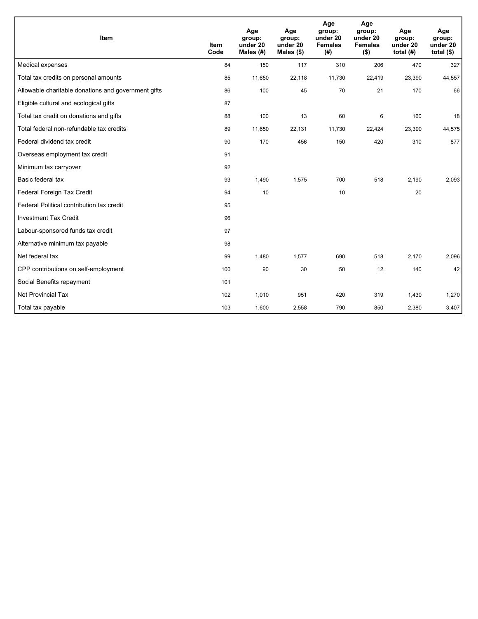| <b>Item</b>                                         | <b>Item</b><br>Code | Age<br>group:<br>under 20<br>Males $(H)$ | Age<br>group:<br>under 20<br>Males $(\$)$ | Age<br>group:<br>under 20<br><b>Females</b><br>(# ) | Age<br>group:<br>under 20<br><b>Females</b><br>$($ \$) | Age<br>group:<br>under 20<br>total $(H)$ | Age<br>group:<br>under 20<br>total $(§)$ |
|-----------------------------------------------------|---------------------|------------------------------------------|-------------------------------------------|-----------------------------------------------------|--------------------------------------------------------|------------------------------------------|------------------------------------------|
| Medical expenses                                    | 84                  | 150                                      | 117                                       | 310                                                 | 206                                                    | 470                                      | 327                                      |
| Total tax credits on personal amounts               | 85                  | 11,650                                   | 22,118                                    | 11,730                                              | 22,419                                                 | 23,390                                   | 44,557                                   |
| Allowable charitable donations and government gifts | 86                  | 100                                      | 45                                        | 70                                                  | 21                                                     | 170                                      | 66                                       |
| Eligible cultural and ecological gifts              | 87                  |                                          |                                           |                                                     |                                                        |                                          |                                          |
| Total tax credit on donations and gifts             | 88                  | 100                                      | 13                                        | 60                                                  | 6                                                      | 160                                      | 18                                       |
| Total federal non-refundable tax credits            | 89                  | 11,650                                   | 22,131                                    | 11,730                                              | 22,424                                                 | 23,390                                   | 44,575                                   |
| Federal dividend tax credit                         | 90                  | 170                                      | 456                                       | 150                                                 | 420                                                    | 310                                      | 877                                      |
| Overseas employment tax credit                      | 91                  |                                          |                                           |                                                     |                                                        |                                          |                                          |
| Minimum tax carryover                               | 92                  |                                          |                                           |                                                     |                                                        |                                          |                                          |
| Basic federal tax                                   | 93                  | 1,490                                    | 1,575                                     | 700                                                 | 518                                                    | 2,190                                    | 2,093                                    |
| Federal Foreign Tax Credit                          | 94                  | 10                                       |                                           | 10                                                  |                                                        | 20                                       |                                          |
| Federal Political contribution tax credit           | 95                  |                                          |                                           |                                                     |                                                        |                                          |                                          |
| <b>Investment Tax Credit</b>                        | 96                  |                                          |                                           |                                                     |                                                        |                                          |                                          |
| Labour-sponsored funds tax credit                   | 97                  |                                          |                                           |                                                     |                                                        |                                          |                                          |
| Alternative minimum tax payable                     | 98                  |                                          |                                           |                                                     |                                                        |                                          |                                          |
| Net federal tax                                     | 99                  | 1,480                                    | 1,577                                     | 690                                                 | 518                                                    | 2,170                                    | 2,096                                    |
| CPP contributions on self-employment                | 100                 | 90                                       | 30                                        | 50                                                  | 12                                                     | 140                                      | 42                                       |
| Social Benefits repayment                           | 101                 |                                          |                                           |                                                     |                                                        |                                          |                                          |
| <b>Net Provincial Tax</b>                           | 102                 | 1,010                                    | 951                                       | 420                                                 | 319                                                    | 1,430                                    | 1,270                                    |
| Total tax payable                                   | 103                 | 1,600                                    | 2,558                                     | 790                                                 | 850                                                    | 2,380                                    | 3,407                                    |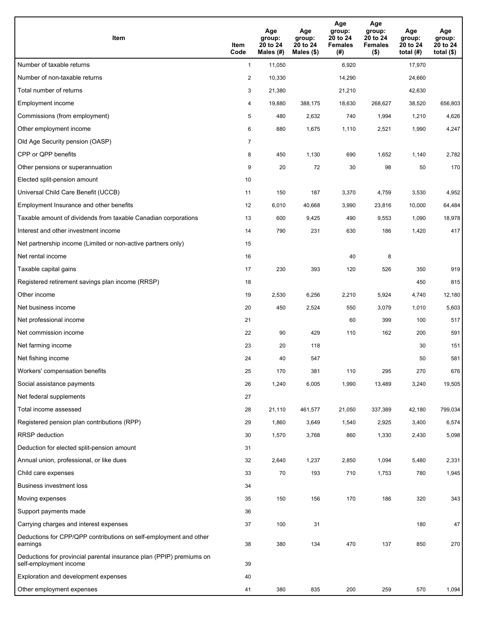| <b>Item</b>                                                                                    | Item<br>Code            | Age<br>group:<br>20 to 24<br>Males (#) | Age<br>group:<br>20 to 24<br>Males (\$) | Age<br>group:<br>20 to 24<br><b>Females</b><br>(#) | Age<br>group:<br>20 to 24<br><b>Females</b><br>$($ \$) | Age<br>group:<br>20 to 24<br>total $(H)$ | Age<br>group:<br>20 to 24<br>total $($)$ |
|------------------------------------------------------------------------------------------------|-------------------------|----------------------------------------|-----------------------------------------|----------------------------------------------------|--------------------------------------------------------|------------------------------------------|------------------------------------------|
| Number of taxable returns                                                                      | $\mathbf{1}$            | 11,050                                 |                                         | 6,920                                              |                                                        | 17,970                                   |                                          |
| Number of non-taxable returns                                                                  | $\overline{\mathbf{c}}$ | 10,330                                 |                                         | 14,290                                             |                                                        | 24,660                                   |                                          |
| Total number of returns                                                                        | 3                       | 21,380                                 |                                         | 21,210                                             |                                                        | 42,630                                   |                                          |
| Employment income                                                                              | 4                       | 19,880                                 | 388.175                                 | 18,630                                             | 268,627                                                | 38,520                                   | 656,803                                  |
| Commissions (from employment)                                                                  | 5                       | 480                                    | 2,632                                   | 740                                                | 1,994                                                  | 1,210                                    | 4,626                                    |
| Other employment income                                                                        | 6                       | 880                                    | 1,675                                   | 1,110                                              | 2,521                                                  | 1,990                                    | 4,247                                    |
| Old Age Security pension (OASP)                                                                | $\overline{7}$          |                                        |                                         |                                                    |                                                        |                                          |                                          |
| CPP or QPP benefits                                                                            | 8                       | 450                                    | 1,130                                   | 690                                                | 1,652                                                  | 1,140                                    | 2,782                                    |
| Other pensions or superannuation                                                               | 9                       | 20                                     | 72                                      | 30                                                 | 98                                                     | 50                                       | 170                                      |
| Elected split-pension amount                                                                   | 10                      |                                        |                                         |                                                    |                                                        |                                          |                                          |
| Universal Child Care Benefit (UCCB)                                                            | 11                      | 150                                    | 187                                     | 3,370                                              | 4,759                                                  | 3,530                                    | 4,952                                    |
| Employment Insurance and other benefits                                                        | 12                      | 6,010                                  | 40,668                                  | 3,990                                              | 23,816                                                 | 10,000                                   | 64,484                                   |
| Taxable amount of dividends from taxable Canadian corporations                                 | 13                      | 600                                    | 9,425                                   | 490                                                | 9,553                                                  | 1,090                                    | 18,978                                   |
| Interest and other investment income                                                           | 14                      | 790                                    | 231                                     | 630                                                | 186                                                    | 1,420                                    | 417                                      |
| Net partnership income (Limited or non-active partners only)                                   | 15                      |                                        |                                         |                                                    |                                                        |                                          |                                          |
| Net rental income                                                                              | 16                      |                                        |                                         | 40                                                 | 8                                                      |                                          |                                          |
| Taxable capital gains                                                                          | 17                      | 230                                    | 393                                     | 120                                                | 526                                                    | 350                                      | 919                                      |
| Registered retirement savings plan income (RRSP)                                               | 18                      |                                        |                                         |                                                    |                                                        | 450                                      | 815                                      |
| Other income                                                                                   | 19                      | 2,530                                  | 6,256                                   | 2,210                                              | 5,924                                                  | 4,740                                    | 12,180                                   |
| Net business income                                                                            | 20                      | 450                                    | 2,524                                   | 550                                                | 3,079                                                  | 1,010                                    | 5,603                                    |
| Net professional income                                                                        | 21                      |                                        |                                         | 60                                                 | 399                                                    | 100                                      | 517                                      |
| Net commission income                                                                          | 22                      | 90                                     | 429                                     | 110                                                | 162                                                    | 200                                      | 591                                      |
| Net farming income                                                                             | 23                      | 20                                     | 118                                     |                                                    |                                                        | 30                                       | 151                                      |
| Net fishing income                                                                             | 24                      | 40                                     | 547                                     |                                                    |                                                        | 50                                       | 581                                      |
| Workers' compensation benefits                                                                 | 25                      | 170                                    | 381                                     | 110                                                | 295                                                    | 270                                      | 676                                      |
| Social assistance payments                                                                     | 26                      | 1,240                                  | 6,005                                   | 1,990                                              | 13,489                                                 | 3,240                                    | 19,505                                   |
| Net federal supplements                                                                        | 27                      |                                        |                                         |                                                    |                                                        |                                          |                                          |
| Total income assessed                                                                          | 28                      | 21,110                                 | 461,577                                 | 21,050                                             | 337,389                                                | 42,180                                   | 799,034                                  |
| Registered pension plan contributions (RPP)                                                    | 29                      | 1,860                                  | 3,649                                   | 1,540                                              | 2,925                                                  | 3,400                                    | 6,574                                    |
| RRSP deduction                                                                                 | 30                      | 1,570                                  | 3,768                                   | 860                                                | 1,330                                                  | 2,430                                    | 5,098                                    |
| Deduction for elected split-pension amount                                                     | 31                      |                                        |                                         |                                                    |                                                        |                                          |                                          |
| Annual union, professional, or like dues                                                       | 32                      | 2,640                                  | 1,237                                   | 2,850                                              | 1,094                                                  | 5,480                                    | 2,331                                    |
| Child care expenses                                                                            | 33                      | 70                                     | 193                                     | 710                                                | 1,753                                                  | 780                                      | 1,945                                    |
| <b>Business investment loss</b>                                                                | 34                      |                                        |                                         |                                                    |                                                        |                                          |                                          |
| Moving expenses                                                                                | 35                      | 150                                    | 156                                     | 170                                                | 186                                                    | 320                                      | 343                                      |
| Support payments made                                                                          | 36                      |                                        |                                         |                                                    |                                                        |                                          |                                          |
| Carrying charges and interest expenses                                                         | 37                      | 100                                    | 31                                      |                                                    |                                                        | 180                                      | 47                                       |
| Deductions for CPP/QPP contributions on self-employment and other<br>earnings                  | 38                      | 380                                    | 134                                     | 470                                                | 137                                                    | 850                                      | 270                                      |
| Deductions for provincial parental insurance plan (PPIP) premiums on<br>self-employment income | 39                      |                                        |                                         |                                                    |                                                        |                                          |                                          |
| Exploration and development expenses                                                           | 40                      |                                        |                                         |                                                    |                                                        |                                          |                                          |
| Other employment expenses                                                                      | 41                      | 380                                    | 835                                     | 200                                                | 259                                                    | 570                                      | 1,094                                    |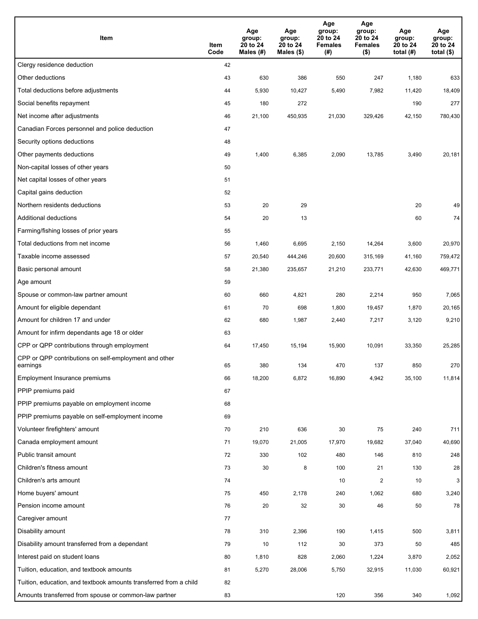| Item                                                              | Item<br>Code | Age<br>group:<br>20 to 24<br>Males (#) | Age<br>group:<br>20 to 24<br>Males (\$) | Age<br>group:<br>20 to 24<br><b>Females</b><br>(#) | Age<br>group:<br>20 to 24<br><b>Females</b><br>$($ \$) | Age<br>group:<br>20 to 24<br>total $(H)$ | Age<br>group:<br>20 to 24<br>total $($)$ |
|-------------------------------------------------------------------|--------------|----------------------------------------|-----------------------------------------|----------------------------------------------------|--------------------------------------------------------|------------------------------------------|------------------------------------------|
| Clergy residence deduction                                        | 42           |                                        |                                         |                                                    |                                                        |                                          |                                          |
| Other deductions                                                  | 43           | 630                                    | 386                                     | 550                                                | 247                                                    | 1,180                                    | 633                                      |
| Total deductions before adjustments                               | 44           | 5,930                                  | 10,427                                  | 5,490                                              | 7,982                                                  | 11,420                                   | 18,409                                   |
| Social benefits repayment                                         | 45           | 180                                    | 272                                     |                                                    |                                                        | 190                                      | 277                                      |
| Net income after adjustments                                      | 46           | 21,100                                 | 450,935                                 | 21,030                                             | 329,426                                                | 42,150                                   | 780,430                                  |
| Canadian Forces personnel and police deduction                    | 47           |                                        |                                         |                                                    |                                                        |                                          |                                          |
| Security options deductions                                       | 48           |                                        |                                         |                                                    |                                                        |                                          |                                          |
| Other payments deductions                                         | 49           | 1,400                                  | 6,385                                   | 2,090                                              | 13,785                                                 | 3,490                                    | 20,181                                   |
| Non-capital losses of other years                                 | 50           |                                        |                                         |                                                    |                                                        |                                          |                                          |
| Net capital losses of other years                                 | 51           |                                        |                                         |                                                    |                                                        |                                          |                                          |
| Capital gains deduction                                           | 52           |                                        |                                         |                                                    |                                                        |                                          |                                          |
| Northern residents deductions                                     | 53           | 20                                     | 29                                      |                                                    |                                                        | 20                                       | 49                                       |
| Additional deductions                                             | 54           | 20                                     | 13                                      |                                                    |                                                        | 60                                       | 74                                       |
| Farming/fishing losses of prior years                             | 55           |                                        |                                         |                                                    |                                                        |                                          |                                          |
| Total deductions from net income                                  | 56           | 1,460                                  | 6,695                                   | 2,150                                              | 14,264                                                 | 3,600                                    | 20,970                                   |
| Taxable income assessed                                           | 57           | 20,540                                 | 444,246                                 | 20,600                                             | 315,169                                                | 41,160                                   | 759,472                                  |
| Basic personal amount                                             | 58           | 21,380                                 | 235,657                                 | 21,210                                             | 233,771                                                | 42,630                                   | 469,771                                  |
| Age amount                                                        | 59           |                                        |                                         |                                                    |                                                        |                                          |                                          |
| Spouse or common-law partner amount                               | 60           | 660                                    | 4,821                                   | 280                                                | 2,214                                                  | 950                                      | 7,065                                    |
| Amount for eligible dependant                                     | 61           | 70                                     | 698                                     | 1,800                                              | 19,457                                                 | 1,870                                    | 20,165                                   |
| Amount for children 17 and under                                  | 62           | 680                                    | 1,987                                   | 2,440                                              | 7,217                                                  | 3,120                                    | 9,210                                    |
| Amount for infirm dependants age 18 or older                      | 63           |                                        |                                         |                                                    |                                                        |                                          |                                          |
| CPP or QPP contributions through employment                       | 64           | 17,450                                 | 15,194                                  | 15,900                                             | 10,091                                                 | 33,350                                   | 25,285                                   |
| CPP or QPP contributions on self-employment and other<br>earnings | 65           | 380                                    | 134                                     | 470                                                | 137                                                    | 850                                      | 270                                      |
| Employment Insurance premiums                                     | 66           | 18,200                                 | 6,872                                   | 16,890                                             | 4,942                                                  | 35,100                                   | 11,814                                   |
| PPIP premiums paid                                                | 67           |                                        |                                         |                                                    |                                                        |                                          |                                          |
| PPIP premiums payable on employment income                        | 68           |                                        |                                         |                                                    |                                                        |                                          |                                          |
| PPIP premiums payable on self-employment income                   | 69           |                                        |                                         |                                                    |                                                        |                                          |                                          |
| Volunteer firefighters' amount                                    | 70           | 210                                    | 636                                     | 30                                                 | 75                                                     | 240                                      | 711                                      |
| Canada employment amount                                          | 71           | 19,070                                 | 21,005                                  | 17,970                                             | 19,682                                                 | 37,040                                   | 40,690                                   |
| Public transit amount                                             | 72           | 330                                    | 102                                     | 480                                                | 146                                                    | 810                                      | 248                                      |
| Children's fitness amount                                         | 73           | 30                                     | 8                                       | 100                                                | 21                                                     | 130                                      | 28                                       |
| Children's arts amount                                            | 74           |                                        |                                         | 10                                                 | $\overline{c}$                                         | 10                                       | 3                                        |
| Home buyers' amount                                               | 75           | 450                                    | 2,178                                   | 240                                                | 1,062                                                  | 680                                      | 3,240                                    |
| Pension income amount                                             | 76           | 20                                     | 32                                      | 30                                                 | 46                                                     | 50                                       | 78                                       |
| Caregiver amount                                                  | 77           |                                        |                                         |                                                    |                                                        |                                          |                                          |
| Disability amount                                                 | 78           | 310                                    | 2,396                                   | 190                                                | 1,415                                                  | 500                                      | 3,811                                    |
| Disability amount transferred from a dependant                    | 79           | 10                                     | 112                                     | 30                                                 | 373                                                    | 50                                       | 485                                      |
| Interest paid on student loans                                    | 80           | 1,810                                  | 828                                     | 2,060                                              | 1,224                                                  | 3,870                                    | 2,052                                    |
| Tuition, education, and textbook amounts                          | 81           | 5,270                                  | 28,006                                  | 5,750                                              | 32,915                                                 | 11,030                                   | 60,921                                   |
| Tuition, education, and textbook amounts transferred from a child | 82           |                                        |                                         |                                                    |                                                        |                                          |                                          |
| Amounts transferred from spouse or common-law partner             | 83           |                                        |                                         | 120                                                | 356                                                    | 340                                      | 1,092                                    |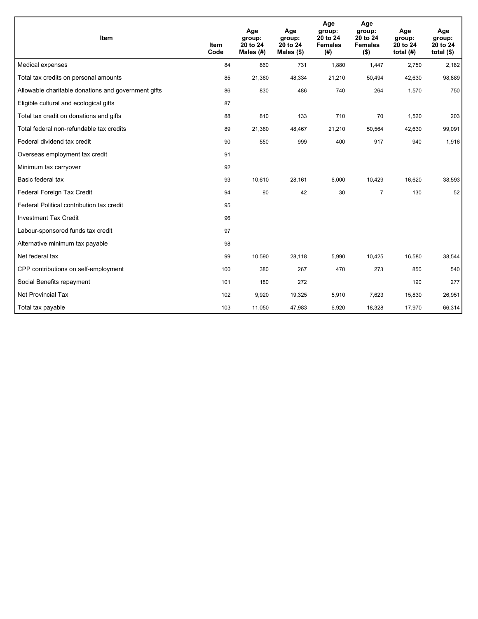| Item                                                | <b>Item</b><br>Code | Age<br>group:<br>20 to 24<br>Males $(H)$ | Age<br>group:<br>20 to 24<br>Males (\$) | Age<br>group:<br>20 to 24<br><b>Females</b><br>(# ) | Age<br>group:<br>20 to 24<br><b>Females</b><br>$($ \$) | Age<br>group:<br>20 to 24<br>total $(H)$ | Age<br>group:<br>20 to 24<br>total $($)$ |
|-----------------------------------------------------|---------------------|------------------------------------------|-----------------------------------------|-----------------------------------------------------|--------------------------------------------------------|------------------------------------------|------------------------------------------|
| Medical expenses                                    | 84                  | 860                                      | 731                                     | 1,880                                               | 1,447                                                  | 2,750                                    | 2,182                                    |
| Total tax credits on personal amounts               | 85                  | 21,380                                   | 48,334                                  | 21,210                                              | 50,494                                                 | 42,630                                   | 98,889                                   |
| Allowable charitable donations and government gifts | 86                  | 830                                      | 486                                     | 740                                                 | 264                                                    | 1,570                                    | 750                                      |
| Eligible cultural and ecological gifts              | 87                  |                                          |                                         |                                                     |                                                        |                                          |                                          |
| Total tax credit on donations and gifts             | 88                  | 810                                      | 133                                     | 710                                                 | 70                                                     | 1,520                                    | 203                                      |
| Total federal non-refundable tax credits            | 89                  | 21,380                                   | 48,467                                  | 21,210                                              | 50,564                                                 | 42,630                                   | 99,091                                   |
| Federal dividend tax credit                         | 90                  | 550                                      | 999                                     | 400                                                 | 917                                                    | 940                                      | 1,916                                    |
| Overseas employment tax credit                      | 91                  |                                          |                                         |                                                     |                                                        |                                          |                                          |
| Minimum tax carryover                               | 92                  |                                          |                                         |                                                     |                                                        |                                          |                                          |
| Basic federal tax                                   | 93                  | 10,610                                   | 28,161                                  | 6,000                                               | 10,429                                                 | 16,620                                   | 38,593                                   |
| Federal Foreign Tax Credit                          | 94                  | 90                                       | 42                                      | 30                                                  | $\overline{7}$                                         | 130                                      | 52                                       |
| Federal Political contribution tax credit           | 95                  |                                          |                                         |                                                     |                                                        |                                          |                                          |
| <b>Investment Tax Credit</b>                        | 96                  |                                          |                                         |                                                     |                                                        |                                          |                                          |
| Labour-sponsored funds tax credit                   | 97                  |                                          |                                         |                                                     |                                                        |                                          |                                          |
| Alternative minimum tax payable                     | 98                  |                                          |                                         |                                                     |                                                        |                                          |                                          |
| Net federal tax                                     | 99                  | 10,590                                   | 28,118                                  | 5,990                                               | 10,425                                                 | 16,580                                   | 38,544                                   |
| CPP contributions on self-employment                | 100                 | 380                                      | 267                                     | 470                                                 | 273                                                    | 850                                      | 540                                      |
| Social Benefits repayment                           | 101                 | 180                                      | 272                                     |                                                     |                                                        | 190                                      | 277                                      |
| Net Provincial Tax                                  | 102                 | 9,920                                    | 19,325                                  | 5,910                                               | 7,623                                                  | 15,830                                   | 26,951                                   |
| Total tax payable                                   | 103                 | 11,050                                   | 47,983                                  | 6,920                                               | 18,328                                                 | 17,970                                   | 66,314                                   |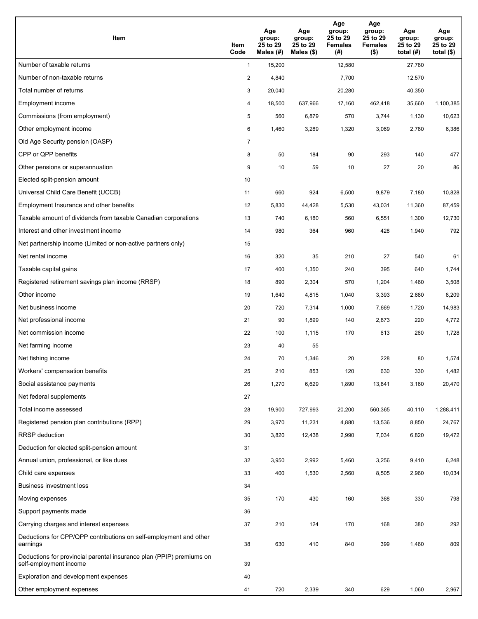| Item                                                                                           | Item<br>Code   | Age<br>group:<br>25 to 29<br>Males (#) | Age<br>group:<br>25 to 29<br>Males (\$) | Age<br>group:<br>25 to 29<br><b>Females</b><br>(# ) | Age<br>group:<br>25 to 29<br><b>Females</b><br>$($ \$) | Age<br>group:<br>25 to 29<br>total $(#)$ | Age<br>group:<br>25 to 29<br>total $($ |
|------------------------------------------------------------------------------------------------|----------------|----------------------------------------|-----------------------------------------|-----------------------------------------------------|--------------------------------------------------------|------------------------------------------|----------------------------------------|
| Number of taxable returns                                                                      | $\mathbf{1}$   | 15,200                                 |                                         | 12,580                                              |                                                        | 27,780                                   |                                        |
| Number of non-taxable returns                                                                  | $\overline{2}$ | 4,840                                  |                                         | 7,700                                               |                                                        | 12,570                                   |                                        |
| Total number of returns                                                                        | 3              | 20,040                                 |                                         | 20,280                                              |                                                        | 40,350                                   |                                        |
| Employment income                                                                              | 4              | 18,500                                 | 637,966                                 | 17,160                                              | 462,418                                                | 35,660                                   | 1,100,385                              |
| Commissions (from employment)                                                                  | 5              | 560                                    | 6,879                                   | 570                                                 | 3,744                                                  | 1,130                                    | 10,623                                 |
| Other employment income                                                                        | 6              | 1,460                                  | 3,289                                   | 1,320                                               | 3,069                                                  | 2,780                                    | 6,386                                  |
| Old Age Security pension (OASP)                                                                | $\overline{7}$ |                                        |                                         |                                                     |                                                        |                                          |                                        |
| CPP or QPP benefits                                                                            | 8              | 50                                     | 184                                     | 90                                                  | 293                                                    | 140                                      | 477                                    |
| Other pensions or superannuation                                                               | 9              | 10                                     | 59                                      | 10                                                  | 27                                                     | 20                                       | 86                                     |
| Elected split-pension amount                                                                   | 10             |                                        |                                         |                                                     |                                                        |                                          |                                        |
| Universal Child Care Benefit (UCCB)                                                            | 11             | 660                                    | 924                                     | 6,500                                               | 9,879                                                  | 7,180                                    | 10,828                                 |
| Employment Insurance and other benefits                                                        | 12             | 5,830                                  | 44,428                                  | 5,530                                               | 43,031                                                 | 11,360                                   | 87,459                                 |
| Taxable amount of dividends from taxable Canadian corporations                                 | 13             | 740                                    | 6,180                                   | 560                                                 | 6,551                                                  | 1,300                                    | 12,730                                 |
| Interest and other investment income                                                           | 14             | 980                                    | 364                                     | 960                                                 | 428                                                    | 1,940                                    | 792                                    |
| Net partnership income (Limited or non-active partners only)                                   | 15             |                                        |                                         |                                                     |                                                        |                                          |                                        |
| Net rental income                                                                              | 16             | 320                                    | 35                                      | 210                                                 | 27                                                     | 540                                      | 61                                     |
| Taxable capital gains                                                                          | 17             | 400                                    | 1,350                                   | 240                                                 | 395                                                    | 640                                      | 1,744                                  |
| Registered retirement savings plan income (RRSP)                                               | 18             | 890                                    | 2,304                                   | 570                                                 | 1,204                                                  | 1,460                                    | 3,508                                  |
| Other income                                                                                   | 19             | 1,640                                  | 4,815                                   | 1,040                                               | 3,393                                                  | 2,680                                    | 8,209                                  |
| Net business income                                                                            | 20             | 720                                    | 7,314                                   | 1,000                                               | 7,669                                                  | 1,720                                    | 14,983                                 |
| Net professional income                                                                        | 21             | 90                                     | 1,899                                   | 140                                                 | 2,873                                                  | 220                                      | 4,772                                  |
| Net commission income                                                                          | 22             | 100                                    | 1,115                                   | 170                                                 | 613                                                    | 260                                      | 1,728                                  |
| Net farming income                                                                             | 23             | 40                                     | 55                                      |                                                     |                                                        |                                          |                                        |
| Net fishing income                                                                             | 24             | 70                                     | 1,346                                   | 20                                                  | 228                                                    | 80                                       | 1,574                                  |
| Workers' compensation benefits                                                                 | 25             | 210                                    | 853                                     | 120                                                 | 630                                                    | 330                                      | 1,482                                  |
| Social assistance payments                                                                     | 26             | 1,270                                  | 6,629                                   | 1,890                                               | 13,841                                                 | 3,160                                    | 20,470                                 |
| Net federal supplements                                                                        | 27             |                                        |                                         |                                                     |                                                        |                                          |                                        |
| Total income assessed                                                                          | 28             | 19,900                                 | 727,993                                 | 20,200                                              | 560,365                                                | 40,110                                   | 1,288,411                              |
| Registered pension plan contributions (RPP)                                                    | 29             | 3,970                                  | 11,231                                  | 4,880                                               | 13,536                                                 | 8,850                                    | 24,767                                 |
| <b>RRSP</b> deduction                                                                          | 30             | 3,820                                  | 12,438                                  | 2,990                                               | 7,034                                                  | 6,820                                    | 19,472                                 |
| Deduction for elected split-pension amount                                                     | 31             |                                        |                                         |                                                     |                                                        |                                          |                                        |
| Annual union, professional, or like dues                                                       | 32             | 3,950                                  | 2,992                                   | 5,460                                               | 3,256                                                  | 9,410                                    | 6,248                                  |
| Child care expenses                                                                            | 33             | 400                                    | 1,530                                   | 2,560                                               | 8,505                                                  | 2,960                                    | 10,034                                 |
| Business investment loss                                                                       | 34             |                                        |                                         |                                                     |                                                        |                                          |                                        |
| Moving expenses                                                                                | 35             | 170                                    | 430                                     | 160                                                 | 368                                                    | 330                                      | 798                                    |
| Support payments made                                                                          | 36             |                                        |                                         |                                                     |                                                        |                                          |                                        |
| Carrying charges and interest expenses                                                         | 37             | 210                                    | 124                                     | 170                                                 | 168                                                    | 380                                      | 292                                    |
| Deductions for CPP/QPP contributions on self-employment and other<br>earnings                  | 38             | 630                                    | 410                                     | 840                                                 | 399                                                    | 1,460                                    | 809                                    |
| Deductions for provincial parental insurance plan (PPIP) premiums on<br>self-employment income | 39             |                                        |                                         |                                                     |                                                        |                                          |                                        |
| Exploration and development expenses                                                           | 40             |                                        |                                         |                                                     |                                                        |                                          |                                        |
| Other employment expenses                                                                      | 41             | 720                                    | 2,339                                   | 340                                                 | 629                                                    | 1,060                                    | 2,967                                  |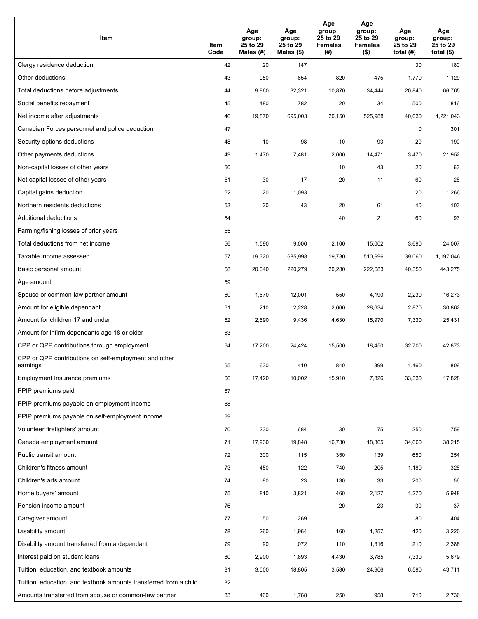| Item                                                              | Item<br>Code | Age<br>group:<br>25 to 29<br>Males (#) | Age<br>group:<br>25 to 29<br>Males (\$) | Age<br>group:<br>25 to 29<br><b>Females</b><br>(#) | Age<br>group:<br>25 to 29<br>Females<br>$($ \$) | Age<br>group:<br>25 to 29<br>total $(#)$ | Age<br>group:<br>25 to 29<br>total $($ |
|-------------------------------------------------------------------|--------------|----------------------------------------|-----------------------------------------|----------------------------------------------------|-------------------------------------------------|------------------------------------------|----------------------------------------|
| Clergy residence deduction                                        | 42           | 20                                     | 147                                     |                                                    |                                                 | 30                                       | 180                                    |
| Other deductions                                                  | 43           | 950                                    | 654                                     | 820                                                | 475                                             | 1,770                                    | 1,129                                  |
| Total deductions before adjustments                               | 44           | 9,960                                  | 32,321                                  | 10,870                                             | 34,444                                          | 20,840                                   | 66,765                                 |
| Social benefits repayment                                         | 45           | 480                                    | 782                                     | 20                                                 | 34                                              | 500                                      | 816                                    |
| Net income after adjustments                                      | 46           | 19,870                                 | 695,003                                 | 20,150                                             | 525,988                                         | 40,030                                   | 1,221,043                              |
| Canadian Forces personnel and police deduction                    | 47           |                                        |                                         |                                                    |                                                 | 10                                       | 301                                    |
| Security options deductions                                       | 48           | 10                                     | 98                                      | 10                                                 | 93                                              | 20                                       | 190                                    |
| Other payments deductions                                         | 49           | 1,470                                  | 7,481                                   | 2,000                                              | 14,471                                          | 3,470                                    | 21,952                                 |
| Non-capital losses of other years                                 | 50           |                                        |                                         | 10                                                 | 43                                              | 20                                       | 63                                     |
| Net capital losses of other years                                 | 51           | 30                                     | 17                                      | 20                                                 | 11                                              | 60                                       | 28                                     |
| Capital gains deduction                                           | 52           | 20                                     | 1,093                                   |                                                    |                                                 | 20                                       | 1,266                                  |
| Northern residents deductions                                     | 53           | 20                                     | 43                                      | 20                                                 | 61                                              | 40                                       | 103                                    |
| Additional deductions                                             | 54           |                                        |                                         | 40                                                 | 21                                              | 60                                       | 93                                     |
| Farming/fishing losses of prior years                             | 55           |                                        |                                         |                                                    |                                                 |                                          |                                        |
| Total deductions from net income                                  | 56           | 1,590                                  | 9,006                                   | 2,100                                              | 15,002                                          | 3,690                                    | 24,007                                 |
| Taxable income assessed                                           | 57           | 19,320                                 | 685,998                                 | 19,730                                             | 510,996                                         | 39,060                                   | 1,197,046                              |
| Basic personal amount                                             | 58           | 20,040                                 | 220,279                                 | 20,280                                             | 222,683                                         | 40,350                                   | 443,275                                |
| Age amount                                                        | 59           |                                        |                                         |                                                    |                                                 |                                          |                                        |
| Spouse or common-law partner amount                               | 60           | 1,670                                  | 12,001                                  | 550                                                | 4,190                                           | 2,230                                    | 16,273                                 |
| Amount for eligible dependant                                     | 61           | 210                                    | 2,228                                   | 2,660                                              | 28,634                                          | 2,870                                    | 30,862                                 |
| Amount for children 17 and under                                  | 62           | 2,690                                  | 9,436                                   | 4,630                                              | 15,970                                          | 7,330                                    | 25,431                                 |
| Amount for infirm dependants age 18 or older                      | 63           |                                        |                                         |                                                    |                                                 |                                          |                                        |
| CPP or QPP contributions through employment                       | 64           | 17,200                                 | 24,424                                  | 15,500                                             | 18,450                                          | 32,700                                   | 42,873                                 |
| CPP or QPP contributions on self-employment and other<br>earnings | 65           | 630                                    | 410                                     | 840                                                | 399                                             | 1,460                                    | 809                                    |
| Employment Insurance premiums                                     | 66           | 17,420                                 | 10,002                                  | 15,910                                             | 7,826                                           | 33,330                                   | 17,828                                 |
| PPIP premiums paid                                                | 67           |                                        |                                         |                                                    |                                                 |                                          |                                        |
| PPIP premiums payable on employment income                        | 68           |                                        |                                         |                                                    |                                                 |                                          |                                        |
| PPIP premiums payable on self-employment income                   | 69           |                                        |                                         |                                                    |                                                 |                                          |                                        |
| Volunteer firefighters' amount                                    | 70           | 230                                    | 684                                     | 30                                                 | 75                                              | 250                                      | 759                                    |
| Canada employment amount                                          | 71           | 17,930                                 | 19,848                                  | 16,730                                             | 18,365                                          | 34,660                                   | 38,215                                 |
| Public transit amount                                             | 72           | 300                                    | 115                                     | 350                                                | 139                                             | 650                                      | 254                                    |
| Children's fitness amount                                         | 73           | 450                                    | 122                                     | 740                                                | 205                                             | 1,180                                    | 328                                    |
| Children's arts amount                                            | 74           | 80                                     | 23                                      | 130                                                | 33                                              | 200                                      | 56                                     |
| Home buyers' amount                                               | 75           | 810                                    | 3,821                                   | 460                                                | 2,127                                           | 1,270                                    | 5,948                                  |
| Pension income amount                                             | 76           |                                        |                                         | 20                                                 | 23                                              | 30                                       | 37                                     |
| Caregiver amount                                                  | 77           | 50                                     | 269                                     |                                                    |                                                 | 80                                       | 404                                    |
| Disability amount                                                 | 78           | 260                                    | 1,964                                   | 160                                                | 1,257                                           | 420                                      | 3,220                                  |
| Disability amount transferred from a dependant                    | 79           | 90                                     | 1,072                                   | 110                                                | 1,316                                           | 210                                      | 2,388                                  |
| Interest paid on student loans                                    | 80           | 2,900                                  | 1,893                                   | 4,430                                              | 3,785                                           | 7,330                                    | 5,679                                  |
| Tuition, education, and textbook amounts                          | 81           | 3,000                                  | 18,805                                  | 3,580                                              | 24,906                                          | 6,580                                    | 43,711                                 |
| Tuition, education, and textbook amounts transferred from a child | 82           |                                        |                                         |                                                    |                                                 |                                          |                                        |
| Amounts transferred from spouse or common-law partner             | 83           | 460                                    | 1,768                                   | 250                                                | 958                                             | 710                                      | 2,736                                  |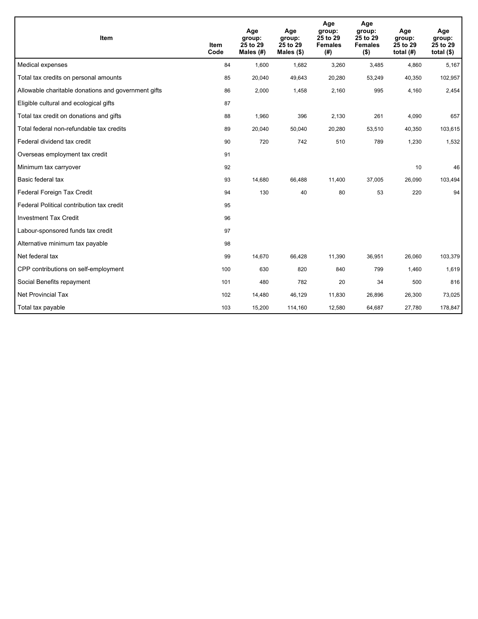| Item                                                | <b>Item</b><br>Code | Age<br>group:<br>25 to 29<br>Males (#) | Age<br>group:<br>25 to 29<br>Males $(\$)$ | Age<br>group:<br>25 to 29<br><b>Females</b><br>(#) | Age<br>group:<br>25 to 29<br><b>Females</b><br>$($ \$) | Age<br>group:<br>25 to 29<br>total $(H)$ | Age<br>group:<br>25 to 29<br>total $($)$ |
|-----------------------------------------------------|---------------------|----------------------------------------|-------------------------------------------|----------------------------------------------------|--------------------------------------------------------|------------------------------------------|------------------------------------------|
| Medical expenses                                    | 84                  | 1,600                                  | 1,682                                     | 3,260                                              | 3,485                                                  | 4,860                                    | 5,167                                    |
| Total tax credits on personal amounts               | 85                  | 20,040                                 | 49,643                                    | 20,280                                             | 53,249                                                 | 40,350                                   | 102,957                                  |
| Allowable charitable donations and government gifts | 86                  | 2,000                                  | 1,458                                     | 2,160                                              | 995                                                    | 4,160                                    | 2,454                                    |
| Eligible cultural and ecological gifts              | 87                  |                                        |                                           |                                                    |                                                        |                                          |                                          |
| Total tax credit on donations and gifts             | 88                  | 1,960                                  | 396                                       | 2,130                                              | 261                                                    | 4,090                                    | 657                                      |
| Total federal non-refundable tax credits            | 89                  | 20,040                                 | 50,040                                    | 20,280                                             | 53,510                                                 | 40,350                                   | 103,615                                  |
| Federal dividend tax credit                         | 90                  | 720                                    | 742                                       | 510                                                | 789                                                    | 1,230                                    | 1,532                                    |
| Overseas employment tax credit                      | 91                  |                                        |                                           |                                                    |                                                        |                                          |                                          |
| Minimum tax carryover                               | 92                  |                                        |                                           |                                                    |                                                        | 10                                       | 46                                       |
| Basic federal tax                                   | 93                  | 14,680                                 | 66,488                                    | 11,400                                             | 37,005                                                 | 26,090                                   | 103,494                                  |
| Federal Foreign Tax Credit                          | 94                  | 130                                    | 40                                        | 80                                                 | 53                                                     | 220                                      | 94                                       |
| Federal Political contribution tax credit           | 95                  |                                        |                                           |                                                    |                                                        |                                          |                                          |
| <b>Investment Tax Credit</b>                        | 96                  |                                        |                                           |                                                    |                                                        |                                          |                                          |
| Labour-sponsored funds tax credit                   | 97                  |                                        |                                           |                                                    |                                                        |                                          |                                          |
| Alternative minimum tax payable                     | 98                  |                                        |                                           |                                                    |                                                        |                                          |                                          |
| Net federal tax                                     | 99                  | 14,670                                 | 66,428                                    | 11,390                                             | 36,951                                                 | 26,060                                   | 103,379                                  |
| CPP contributions on self-employment                | 100                 | 630                                    | 820                                       | 840                                                | 799                                                    | 1,460                                    | 1,619                                    |
| Social Benefits repayment                           | 101                 | 480                                    | 782                                       | 20                                                 | 34                                                     | 500                                      | 816                                      |
| Net Provincial Tax                                  | 102                 | 14,480                                 | 46,129                                    | 11,830                                             | 26,896                                                 | 26,300                                   | 73,025                                   |
| Total tax payable                                   | 103                 | 15,200                                 | 114,160                                   | 12,580                                             | 64,687                                                 | 27,780                                   | 178,847                                  |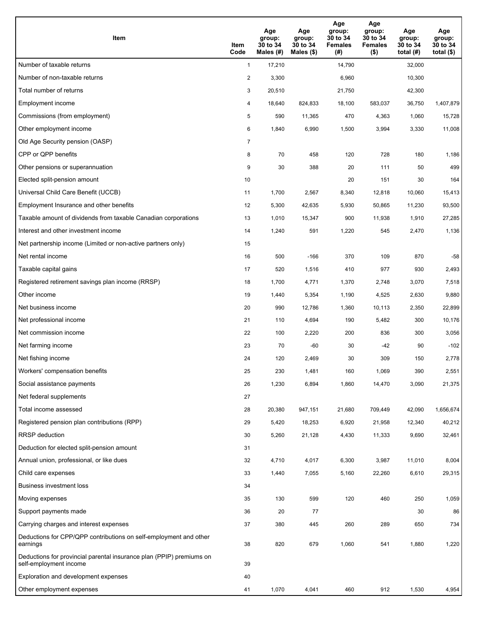| Item                                                                                           | Item<br>Code   | Age<br>group:<br>30 to 34<br>Males (#) | Age<br>group:<br>30 to 34<br>Males (\$) | Age<br>group:<br>30 to 34<br><b>Females</b><br>(#) | Age<br>group:<br>30 to 34<br><b>Females</b><br>$($ \$) | Age<br>group:<br>30 to 34<br>total $(H)$ | Age<br>group:<br>30 to 34<br>total $($ |
|------------------------------------------------------------------------------------------------|----------------|----------------------------------------|-----------------------------------------|----------------------------------------------------|--------------------------------------------------------|------------------------------------------|----------------------------------------|
| Number of taxable returns                                                                      | $\mathbf{1}$   | 17,210                                 |                                         | 14,790                                             |                                                        | 32,000                                   |                                        |
| Number of non-taxable returns                                                                  | $\overline{2}$ | 3,300                                  |                                         | 6,960                                              |                                                        | 10,300                                   |                                        |
| Total number of returns                                                                        | 3              | 20,510                                 |                                         | 21,750                                             |                                                        | 42,300                                   |                                        |
| Employment income                                                                              | 4              | 18,640                                 | 824,833                                 | 18,100                                             | 583,037                                                | 36,750                                   | 1,407,879                              |
| Commissions (from employment)                                                                  | 5              | 590                                    | 11,365                                  | 470                                                | 4,363                                                  | 1,060                                    | 15,728                                 |
| Other employment income                                                                        | 6              | 1,840                                  | 6,990                                   | 1,500                                              | 3,994                                                  | 3,330                                    | 11,008                                 |
| Old Age Security pension (OASP)                                                                | $\overline{7}$ |                                        |                                         |                                                    |                                                        |                                          |                                        |
| CPP or QPP benefits                                                                            | 8              | 70                                     | 458                                     | 120                                                | 728                                                    | 180                                      | 1,186                                  |
| Other pensions or superannuation                                                               | 9              | 30                                     | 388                                     | 20                                                 | 111                                                    | 50                                       | 499                                    |
| Elected split-pension amount                                                                   | 10             |                                        |                                         | 20                                                 | 151                                                    | 30                                       | 164                                    |
| Universal Child Care Benefit (UCCB)                                                            | 11             | 1,700                                  | 2,567                                   | 8,340                                              | 12,818                                                 | 10,060                                   | 15,413                                 |
| Employment Insurance and other benefits                                                        | 12             | 5,300                                  | 42,635                                  | 5,930                                              | 50,865                                                 | 11,230                                   | 93,500                                 |
| Taxable amount of dividends from taxable Canadian corporations                                 | 13             | 1,010                                  | 15,347                                  | 900                                                | 11,938                                                 | 1,910                                    | 27,285                                 |
| Interest and other investment income                                                           | 14             | 1,240                                  | 591                                     | 1,220                                              | 545                                                    | 2,470                                    | 1,136                                  |
| Net partnership income (Limited or non-active partners only)                                   | 15             |                                        |                                         |                                                    |                                                        |                                          |                                        |
| Net rental income                                                                              | 16             | 500                                    | $-166$                                  | 370                                                | 109                                                    | 870                                      | $-58$                                  |
| Taxable capital gains                                                                          | 17             | 520                                    | 1,516                                   | 410                                                | 977                                                    | 930                                      | 2,493                                  |
| Registered retirement savings plan income (RRSP)                                               | 18             | 1,700                                  | 4,771                                   | 1,370                                              | 2,748                                                  | 3,070                                    | 7,518                                  |
| Other income                                                                                   | 19             | 1,440                                  | 5,354                                   | 1,190                                              | 4,525                                                  | 2,630                                    | 9,880                                  |
| Net business income                                                                            | 20             | 990                                    | 12,786                                  | 1,360                                              | 10,113                                                 | 2,350                                    | 22,899                                 |
| Net professional income                                                                        | 21             | 110                                    | 4,694                                   | 190                                                | 5,482                                                  | 300                                      | 10,176                                 |
| Net commission income                                                                          | 22             | 100                                    | 2,220                                   | 200                                                | 836                                                    | 300                                      | 3,056                                  |
| Net farming income                                                                             | 23             | 70                                     | $-60$                                   | 30                                                 | $-42$                                                  | 90                                       | $-102$                                 |
| Net fishing income                                                                             | 24             | 120                                    | 2,469                                   | 30                                                 | 309                                                    | 150                                      | 2,778                                  |
| Workers' compensation benefits                                                                 | 25             | 230                                    | 1,481                                   | 160                                                | 1,069                                                  | 390                                      | 2,551                                  |
| Social assistance payments                                                                     | 26             | 1,230                                  | 6,894                                   | 1,860                                              | 14,470                                                 | 3,090                                    | 21,375                                 |
| Net federal supplements                                                                        | 27             |                                        |                                         |                                                    |                                                        |                                          |                                        |
| Total income assessed                                                                          | 28             | 20,380                                 | 947,151                                 | 21,680                                             | 709,449                                                | 42,090                                   | 1,656,674                              |
| Registered pension plan contributions (RPP)                                                    | 29             | 5,420                                  | 18,253                                  | 6,920                                              | 21,958                                                 | 12,340                                   | 40,212                                 |
| <b>RRSP</b> deduction                                                                          | 30             | 5,260                                  | 21,128                                  | 4,430                                              | 11,333                                                 | 9,690                                    | 32,461                                 |
| Deduction for elected split-pension amount                                                     | 31             |                                        |                                         |                                                    |                                                        |                                          |                                        |
| Annual union, professional, or like dues                                                       | 32             | 4,710                                  | 4,017                                   | 6,300                                              | 3,987                                                  | 11,010                                   | 8,004                                  |
| Child care expenses                                                                            | 33             | 1,440                                  | 7,055                                   | 5,160                                              | 22,260                                                 | 6,610                                    | 29,315                                 |
| Business investment loss                                                                       | 34             |                                        |                                         |                                                    |                                                        |                                          |                                        |
| Moving expenses                                                                                | 35             | 130                                    | 599                                     | 120                                                | 460                                                    | 250                                      | 1,059                                  |
| Support payments made                                                                          | 36             | 20                                     | 77                                      |                                                    |                                                        | 30                                       | 86                                     |
| Carrying charges and interest expenses                                                         | 37             | 380                                    | 445                                     | 260                                                | 289                                                    | 650                                      | 734                                    |
| Deductions for CPP/QPP contributions on self-employment and other<br>earnings                  | 38             | 820                                    | 679                                     | 1,060                                              | 541                                                    | 1,880                                    | 1,220                                  |
| Deductions for provincial parental insurance plan (PPIP) premiums on<br>self-employment income | 39             |                                        |                                         |                                                    |                                                        |                                          |                                        |
| Exploration and development expenses                                                           | 40             |                                        |                                         |                                                    |                                                        |                                          |                                        |
| Other employment expenses                                                                      | 41             | 1,070                                  | 4,041                                   | 460                                                | 912                                                    | 1,530                                    | 4,954                                  |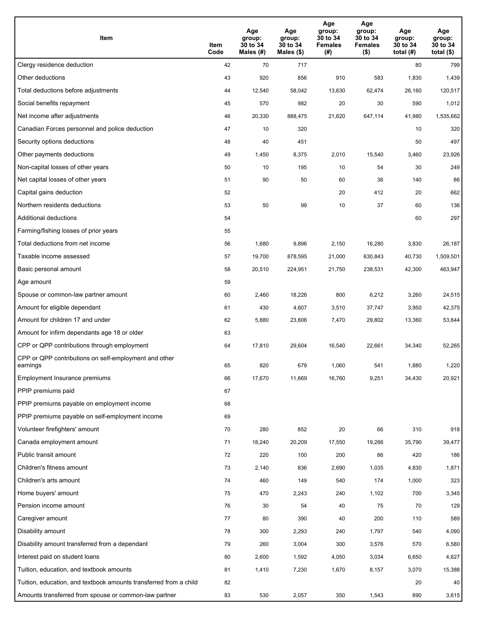| Item                                                              | Item<br>Code | Age<br>group:<br>30 to 34<br>Males (#) | Age<br>group:<br>30 to 34<br>Males (\$) | Age<br>group:<br>30 to 34<br><b>Females</b><br>(#) | Age<br>group:<br>30 to 34<br><b>Females</b><br>$($ \$) | Age<br>group:<br>30 to 34<br>total $(H)$ | Age<br>group:<br>30 to 34<br>total $($)$ |
|-------------------------------------------------------------------|--------------|----------------------------------------|-----------------------------------------|----------------------------------------------------|--------------------------------------------------------|------------------------------------------|------------------------------------------|
| Clergy residence deduction                                        | 42           | 70                                     | 717                                     |                                                    |                                                        | 80                                       | 799                                      |
| Other deductions                                                  | 43           | 920                                    | 856                                     | 910                                                | 583                                                    | 1,830                                    | 1,439                                    |
| Total deductions before adjustments                               | 44           | 12,540                                 | 58,042                                  | 13,630                                             | 62,474                                                 | 26,160                                   | 120,517                                  |
| Social benefits repayment                                         | 45           | 570                                    | 982                                     | 20                                                 | 30                                                     | 590                                      | 1,012                                    |
| Net income after adjustments                                      | 46           | 20,330                                 | 888,475                                 | 21,620                                             | 647,114                                                | 41,980                                   | 1,535,662                                |
| Canadian Forces personnel and police deduction                    | 47           | 10                                     | 320                                     |                                                    |                                                        | 10                                       | 320                                      |
| Security options deductions                                       | 48           | 40                                     | 451                                     |                                                    |                                                        | 50                                       | 497                                      |
| Other payments deductions                                         | 49           | 1,450                                  | 8,375                                   | 2,010                                              | 15,540                                                 | 3,460                                    | 23,926                                   |
| Non-capital losses of other years                                 | 50           | 10                                     | 195                                     | 10                                                 | 54                                                     | 30                                       | 249                                      |
| Net capital losses of other years                                 | 51           | 90                                     | 50                                      | 60                                                 | 36                                                     | 140                                      | 86                                       |
| Capital gains deduction                                           | 52           |                                        |                                         | 20                                                 | 412                                                    | 20                                       | 662                                      |
| Northern residents deductions                                     | 53           | 50                                     | 99                                      | 10                                                 | 37                                                     | 60                                       | 136                                      |
| Additional deductions                                             | 54           |                                        |                                         |                                                    |                                                        | 60                                       | 297                                      |
| Farming/fishing losses of prior years                             | 55           |                                        |                                         |                                                    |                                                        |                                          |                                          |
| Total deductions from net income                                  | 56           | 1,680                                  | 9,896                                   | 2,150                                              | 16,280                                                 | 3,830                                    | 26,187                                   |
| Taxable income assessed                                           | 57           | 19,700                                 | 878,595                                 | 21,000                                             | 630,843                                                | 40,730                                   | 1,509,501                                |
| Basic personal amount                                             | 58           | 20,510                                 | 224,951                                 | 21,750                                             | 238,531                                                | 42,300                                   | 463,947                                  |
| Age amount                                                        | 59           |                                        |                                         |                                                    |                                                        |                                          |                                          |
| Spouse or common-law partner amount                               | 60           | 2,460                                  | 18,226                                  | 800                                                | 6,212                                                  | 3,260                                    | 24,515                                   |
| Amount for eligible dependant                                     | 61           | 430                                    | 4,607                                   | 3,510                                              | 37,747                                                 | 3,950                                    | 42,375                                   |
| Amount for children 17 and under                                  | 62           | 5,880                                  | 23,806                                  | 7,470                                              | 29,802                                                 | 13,360                                   | 53,644                                   |
| Amount for infirm dependants age 18 or older                      | 63           |                                        |                                         |                                                    |                                                        |                                          |                                          |
| CPP or QPP contributions through employment                       | 64           | 17,810                                 | 29,604                                  | 16,540                                             | 22,661                                                 | 34,340                                   | 52,265                                   |
| CPP or QPP contributions on self-employment and other<br>earnings | 65           | 820                                    | 679                                     | 1,060                                              | 541                                                    | 1,880                                    | 1,220                                    |
| Employment Insurance premiums                                     | 66           | 17,670                                 | 11,669                                  | 16,760                                             | 9,251                                                  | 34,430                                   | 20,921                                   |
| PPIP premiums paid                                                | 67           |                                        |                                         |                                                    |                                                        |                                          |                                          |
| PPIP premiums payable on employment income                        | 68           |                                        |                                         |                                                    |                                                        |                                          |                                          |
| PPIP premiums payable on self-employment income                   | 69           |                                        |                                         |                                                    |                                                        |                                          |                                          |
| Volunteer firefighters' amount                                    | 70           | 280                                    | 852                                     | 20                                                 | 66                                                     | 310                                      | 918                                      |
| Canada employment amount                                          | 71           | 18,240                                 | 20,209                                  | 17,550                                             | 19,266                                                 | 35,790                                   | 39,477                                   |
| Public transit amount                                             | 72           | 220                                    | 100                                     | 200                                                | 86                                                     | 420                                      | 186                                      |
| Children's fitness amount                                         | 73           | 2,140                                  | 836                                     | 2,690                                              | 1,035                                                  | 4,830                                    | 1,871                                    |
| Children's arts amount                                            | 74           | 460                                    | 149                                     | 540                                                | 174                                                    | 1,000                                    | 323                                      |
| Home buyers' amount                                               | 75           | 470                                    | 2,243                                   | 240                                                | 1,102                                                  | 700                                      | 3,345                                    |
| Pension income amount                                             | 76           | 30                                     | 54                                      | 40                                                 | 75                                                     | 70                                       | 129                                      |
| Caregiver amount                                                  | 77           | 80                                     | 390                                     | 40                                                 | 200                                                    | 110                                      | 589                                      |
| Disability amount                                                 | 78           | 300                                    | 2,293                                   | 240                                                | 1,797                                                  | 540                                      | 4,090                                    |
| Disability amount transferred from a dependant                    | 79           | 260                                    | 3,004                                   | 300                                                | 3,576                                                  | 570                                      | 6,580                                    |
| Interest paid on student loans                                    | 80           | 2,600                                  | 1,592                                   | 4,050                                              | 3,034                                                  | 6,650                                    | 4,627                                    |
| Tuition, education, and textbook amounts                          | 81           | 1,410                                  | 7,230                                   | 1,670                                              | 8,157                                                  | 3,070                                    | 15,388                                   |
| Tuition, education, and textbook amounts transferred from a child | 82           |                                        |                                         |                                                    |                                                        | 20                                       | 40                                       |
| Amounts transferred from spouse or common-law partner             | 83           | 530                                    | 2,057                                   | 350                                                | 1,543                                                  | 890                                      | 3,615                                    |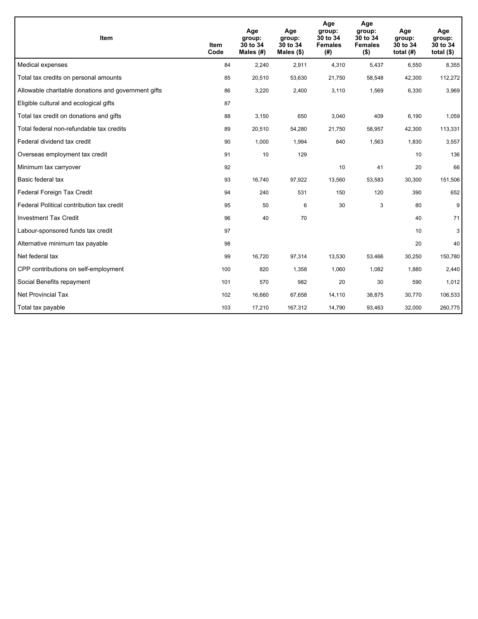| Item                                                | Item<br>Code | Age<br>group:<br>30 to 34<br>Males $(H)$ | Age<br>group:<br>30 to 34<br>Males $(\$)$ | Age<br>group:<br>30 to 34<br><b>Females</b><br>(#) | Age<br>group:<br>30 to 34<br><b>Females</b><br>( \$) | Age<br>group:<br>30 to 34<br>total $(H)$ | Age<br>group:<br>30 to 34<br>total $($)$ |
|-----------------------------------------------------|--------------|------------------------------------------|-------------------------------------------|----------------------------------------------------|------------------------------------------------------|------------------------------------------|------------------------------------------|
| Medical expenses                                    | 84           | 2,240                                    | 2,911                                     | 4,310                                              | 5,437                                                | 6,550                                    | 8,355                                    |
| Total tax credits on personal amounts               | 85           | 20,510                                   | 53,630                                    | 21,750                                             | 58,548                                               | 42,300                                   | 112,272                                  |
| Allowable charitable donations and government gifts | 86           | 3,220                                    | 2,400                                     | 3,110                                              | 1,569                                                | 6,330                                    | 3,969                                    |
| Eligible cultural and ecological gifts              | 87           |                                          |                                           |                                                    |                                                      |                                          |                                          |
| Total tax credit on donations and gifts             | 88           | 3,150                                    | 650                                       | 3,040                                              | 409                                                  | 6,190                                    | 1,059                                    |
| Total federal non-refundable tax credits            | 89           | 20,510                                   | 54,280                                    | 21,750                                             | 58,957                                               | 42,300                                   | 113,331                                  |
| Federal dividend tax credit                         | 90           | 1,000                                    | 1,994                                     | 840                                                | 1,563                                                | 1,830                                    | 3,557                                    |
| Overseas employment tax credit                      | 91           | 10                                       | 129                                       |                                                    |                                                      | 10                                       | 136                                      |
| Minimum tax carryover                               | 92           |                                          |                                           | 10                                                 | 41                                                   | 20                                       | 66                                       |
| Basic federal tax                                   | 93           | 16,740                                   | 97,922                                    | 13,560                                             | 53,583                                               | 30,300                                   | 151,506                                  |
| Federal Foreign Tax Credit                          | 94           | 240                                      | 531                                       | 150                                                | 120                                                  | 390                                      | 652                                      |
| Federal Political contribution tax credit           | 95           | 50                                       | 6                                         | 30                                                 | 3                                                    | 80                                       | 9                                        |
| <b>Investment Tax Credit</b>                        | 96           | 40                                       | 70                                        |                                                    |                                                      | 40                                       | 71                                       |
| Labour-sponsored funds tax credit                   | 97           |                                          |                                           |                                                    |                                                      | 10                                       | 3                                        |
| Alternative minimum tax payable                     | 98           |                                          |                                           |                                                    |                                                      | 20                                       | 40                                       |
| Net federal tax                                     | 99           | 16,720                                   | 97,314                                    | 13,530                                             | 53,466                                               | 30,250                                   | 150,780                                  |
| CPP contributions on self-employment                | 100          | 820                                      | 1,358                                     | 1,060                                              | 1,082                                                | 1,880                                    | 2,440                                    |
| Social Benefits repayment                           | 101          | 570                                      | 982                                       | 20                                                 | 30                                                   | 590                                      | 1,012                                    |
| Net Provincial Tax                                  | 102          | 16,660                                   | 67,658                                    | 14,110                                             | 38,875                                               | 30,770                                   | 106,533                                  |
| Total tax payable                                   | 103          | 17,210                                   | 167,312                                   | 14,790                                             | 93,463                                               | 32,000                                   | 260,775                                  |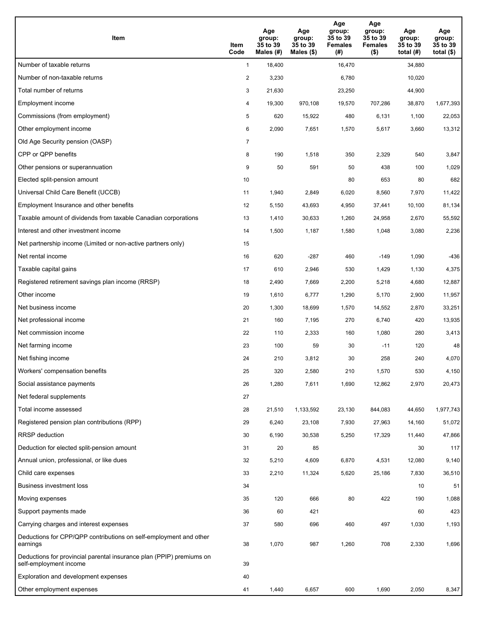| Item                                                                                           | Item<br>Code   | Age<br>group:<br>35 to 39<br>Males (#) | Age<br>group:<br>35 to 39<br>Males $(\$)$ | Age<br>group:<br>35 to 39<br><b>Females</b><br>(#) | Age<br>group:<br>35 to 39<br><b>Females</b><br>$($ \$) | Age<br>group:<br>35 to 39<br>total $(H)$ | Age<br>group:<br>35 to 39<br>total $($)$ |
|------------------------------------------------------------------------------------------------|----------------|----------------------------------------|-------------------------------------------|----------------------------------------------------|--------------------------------------------------------|------------------------------------------|------------------------------------------|
| Number of taxable returns                                                                      | $\mathbf{1}$   | 18,400                                 |                                           | 16,470                                             |                                                        | 34,880                                   |                                          |
| Number of non-taxable returns                                                                  | $\overline{c}$ | 3,230                                  |                                           | 6,780                                              |                                                        | 10,020                                   |                                          |
| Total number of returns                                                                        | 3              | 21,630                                 |                                           | 23,250                                             |                                                        | 44,900                                   |                                          |
| Employment income                                                                              | 4              | 19,300                                 | 970,108                                   | 19,570                                             | 707,286                                                | 38,870                                   | 1,677,393                                |
| Commissions (from employment)                                                                  | 5              | 620                                    | 15,922                                    | 480                                                | 6,131                                                  | 1,100                                    | 22,053                                   |
| Other employment income                                                                        | 6              | 2,090                                  | 7,651                                     | 1,570                                              | 5,617                                                  | 3,660                                    | 13,312                                   |
| Old Age Security pension (OASP)                                                                | $\overline{7}$ |                                        |                                           |                                                    |                                                        |                                          |                                          |
| CPP or QPP benefits                                                                            | 8              | 190                                    | 1,518                                     | 350                                                | 2,329                                                  | 540                                      | 3,847                                    |
| Other pensions or superannuation                                                               | 9              | 50                                     | 591                                       | 50                                                 | 438                                                    | 100                                      | 1,029                                    |
| Elected split-pension amount                                                                   | 10             |                                        |                                           | 80                                                 | 653                                                    | 80                                       | 682                                      |
| Universal Child Care Benefit (UCCB)                                                            | 11             | 1,940                                  | 2,849                                     | 6,020                                              | 8,560                                                  | 7,970                                    | 11,422                                   |
| Employment Insurance and other benefits                                                        | 12             | 5,150                                  | 43,693                                    | 4,950                                              | 37,441                                                 | 10,100                                   | 81,134                                   |
| Taxable amount of dividends from taxable Canadian corporations                                 | 13             | 1,410                                  | 30,633                                    | 1,260                                              | 24,958                                                 | 2,670                                    | 55,592                                   |
| Interest and other investment income                                                           | 14             | 1,500                                  | 1,187                                     | 1,580                                              | 1,048                                                  | 3,080                                    | 2,236                                    |
| Net partnership income (Limited or non-active partners only)                                   | 15             |                                        |                                           |                                                    |                                                        |                                          |                                          |
| Net rental income                                                                              | 16             | 620                                    | $-287$                                    | 460                                                | $-149$                                                 | 1,090                                    | $-436$                                   |
| Taxable capital gains                                                                          | 17             | 610                                    | 2,946                                     | 530                                                | 1,429                                                  | 1,130                                    | 4,375                                    |
| Registered retirement savings plan income (RRSP)                                               | 18             | 2,490                                  | 7,669                                     | 2,200                                              | 5,218                                                  | 4,680                                    | 12,887                                   |
| Other income                                                                                   | 19             | 1,610                                  | 6,777                                     | 1,290                                              | 5,170                                                  | 2,900                                    | 11,957                                   |
| Net business income                                                                            | 20             | 1,300                                  | 18,699                                    | 1,570                                              | 14,552                                                 | 2,870                                    | 33,251                                   |
| Net professional income                                                                        | 21             | 160                                    | 7,195                                     | 270                                                | 6,740                                                  | 420                                      | 13,935                                   |
| Net commission income                                                                          | 22             | 110                                    | 2,333                                     | 160                                                | 1,080                                                  | 280                                      | 3,413                                    |
| Net farming income                                                                             | 23             | 100                                    | 59                                        | 30                                                 | $-11$                                                  | 120                                      | 48                                       |
| Net fishing income                                                                             | 24             | 210                                    | 3,812                                     | 30                                                 | 258                                                    | 240                                      | 4,070                                    |
| Workers' compensation benefits                                                                 | 25             | 320                                    | 2,580                                     | 210                                                | 1,570                                                  | 530                                      | 4,150                                    |
| Social assistance payments                                                                     | 26             | 1,280                                  | 7,611                                     | 1,690                                              | 12,862                                                 | 2,970                                    | 20,473                                   |
| Net federal supplements                                                                        | 27             |                                        |                                           |                                                    |                                                        |                                          |                                          |
| Total income assessed                                                                          | 28             | 21,510                                 | 1,133,592                                 | 23,130                                             | 844,083                                                | 44,650                                   | 1,977,743                                |
| Registered pension plan contributions (RPP)                                                    | 29             | 6,240                                  | 23,108                                    | 7,930                                              | 27,963                                                 | 14,160                                   | 51,072                                   |
| RRSP deduction                                                                                 | 30             | 6,190                                  | 30,538                                    | 5,250                                              | 17,329                                                 | 11,440                                   | 47,866                                   |
| Deduction for elected split-pension amount                                                     | 31             | 20                                     | 85                                        |                                                    |                                                        | 30                                       | 117                                      |
| Annual union, professional, or like dues                                                       | 32             | 5,210                                  | 4,609                                     | 6,870                                              | 4,531                                                  | 12,080                                   | 9,140                                    |
| Child care expenses                                                                            | 33             | 2,210                                  | 11,324                                    | 5,620                                              | 25,186                                                 | 7,830                                    | 36,510                                   |
| <b>Business investment loss</b>                                                                | 34             |                                        |                                           |                                                    |                                                        | 10                                       | 51                                       |
| Moving expenses                                                                                | 35             | 120                                    | 666                                       | 80                                                 | 422                                                    | 190                                      | 1,088                                    |
| Support payments made                                                                          | 36             | 60                                     | 421                                       |                                                    |                                                        | 60                                       | 423                                      |
| Carrying charges and interest expenses                                                         | 37             | 580                                    | 696                                       | 460                                                | 497                                                    | 1,030                                    | 1,193                                    |
| Deductions for CPP/QPP contributions on self-employment and other<br>earnings                  | 38             | 1,070                                  | 987                                       | 1,260                                              | 708                                                    | 2,330                                    | 1,696                                    |
| Deductions for provincial parental insurance plan (PPIP) premiums on<br>self-employment income | 39             |                                        |                                           |                                                    |                                                        |                                          |                                          |
| Exploration and development expenses                                                           | 40             |                                        |                                           |                                                    |                                                        |                                          |                                          |
| Other employment expenses                                                                      | 41             | 1,440                                  | 6,657                                     | 600                                                | 1,690                                                  | 2,050                                    | 8,347                                    |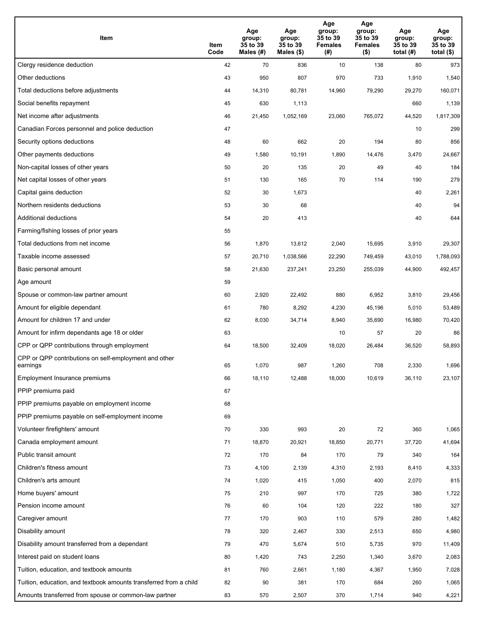| Item                                                              | Item<br>Code | Age<br>group:<br>35 to 39<br>Males (#) | Age<br>group:<br>35 to 39<br>Males (\$) | Age<br>group:<br>35 to 39<br><b>Females</b><br>(# ) | Age<br>group:<br>35 to 39<br><b>Females</b><br>$($ \$) | Age<br>group:<br>35 to 39<br>total $(H)$ | Age<br>group:<br>35 to 39<br>total $($)$ |
|-------------------------------------------------------------------|--------------|----------------------------------------|-----------------------------------------|-----------------------------------------------------|--------------------------------------------------------|------------------------------------------|------------------------------------------|
| Clergy residence deduction                                        | 42           | 70                                     | 836                                     | 10                                                  | 138                                                    | 80                                       | 973                                      |
| Other deductions                                                  | 43           | 950                                    | 807                                     | 970                                                 | 733                                                    | 1,910                                    | 1,540                                    |
| Total deductions before adjustments                               | 44           | 14,310                                 | 80,781                                  | 14,960                                              | 79,290                                                 | 29,270                                   | 160,071                                  |
| Social benefits repayment                                         | 45           | 630                                    | 1,113                                   |                                                     |                                                        | 660                                      | 1,139                                    |
| Net income after adjustments                                      | 46           | 21,450                                 | 1,052,169                               | 23,060                                              | 765,072                                                | 44,520                                   | 1,817,309                                |
| Canadian Forces personnel and police deduction                    | 47           |                                        |                                         |                                                     |                                                        | 10                                       | 299                                      |
| Security options deductions                                       | 48           | 60                                     | 662                                     | 20                                                  | 194                                                    | 80                                       | 856                                      |
| Other payments deductions                                         | 49           | 1,580                                  | 10,191                                  | 1,890                                               | 14,476                                                 | 3,470                                    | 24,667                                   |
| Non-capital losses of other years                                 | 50           | 20                                     | 135                                     | 20                                                  | 49                                                     | 40                                       | 184                                      |
| Net capital losses of other years                                 | 51           | 130                                    | 165                                     | 70                                                  | 114                                                    | 190                                      | 279                                      |
| Capital gains deduction                                           | 52           | 30                                     | 1,673                                   |                                                     |                                                        | 40                                       | 2,261                                    |
| Northern residents deductions                                     | 53           | 30                                     | 68                                      |                                                     |                                                        | 40                                       | 94                                       |
| Additional deductions                                             | 54           | 20                                     | 413                                     |                                                     |                                                        | 40                                       | 644                                      |
| Farming/fishing losses of prior years                             | 55           |                                        |                                         |                                                     |                                                        |                                          |                                          |
| Total deductions from net income                                  | 56           | 1,870                                  | 13,612                                  | 2,040                                               | 15,695                                                 | 3,910                                    | 29,307                                   |
| Taxable income assessed                                           | 57           | 20,710                                 | 1,038,566                               | 22,290                                              | 749,459                                                | 43,010                                   | 1,788,093                                |
| Basic personal amount                                             | 58           | 21,630                                 | 237,241                                 | 23,250                                              | 255,039                                                | 44,900                                   | 492,457                                  |
| Age amount                                                        | 59           |                                        |                                         |                                                     |                                                        |                                          |                                          |
| Spouse or common-law partner amount                               | 60           | 2,920                                  | 22,492                                  | 880                                                 | 6,952                                                  | 3,810                                    | 29,456                                   |
| Amount for eligible dependant                                     | 61           | 780                                    | 8,292                                   | 4,230                                               | 45,196                                                 | 5,010                                    | 53,489                                   |
| Amount for children 17 and under                                  | 62           | 8,030                                  | 34,714                                  | 8,940                                               | 35,690                                                 | 16,980                                   | 70,420                                   |
| Amount for infirm dependants age 18 or older                      | 63           |                                        |                                         | 10                                                  | 57                                                     | 20                                       | 86                                       |
| CPP or QPP contributions through employment                       | 64           | 18,500                                 | 32,409                                  | 18,020                                              | 26,484                                                 | 36,520                                   | 58,893                                   |
| CPP or QPP contributions on self-employment and other<br>earnings | 65           | 1,070                                  | 987                                     | 1,260                                               | 708                                                    | 2,330                                    | 1,696                                    |
| Employment Insurance premiums                                     | 66           | 18,110                                 | 12,488                                  | 18,000                                              | 10,619                                                 | 36,110                                   | 23,107                                   |
| PPIP premiums paid                                                | 67           |                                        |                                         |                                                     |                                                        |                                          |                                          |
| PPIP premiums payable on employment income                        | 68           |                                        |                                         |                                                     |                                                        |                                          |                                          |
| PPIP premiums payable on self-employment income                   | 69           |                                        |                                         |                                                     |                                                        |                                          |                                          |
| Volunteer firefighters' amount                                    | 70           | 330                                    | 993                                     | 20                                                  | 72                                                     | 360                                      | 1,065                                    |
| Canada employment amount                                          | 71           | 18,870                                 | 20,921                                  | 18,850                                              | 20,771                                                 | 37,720                                   | 41,694                                   |
| Public transit amount                                             | 72           | 170                                    | 84                                      | 170                                                 | 79                                                     | 340                                      | 164                                      |
| Children's fitness amount                                         | 73           | 4,100                                  | 2,139                                   | 4,310                                               | 2,193                                                  | 8,410                                    | 4,333                                    |
| Children's arts amount                                            | 74           | 1,020                                  | 415                                     | 1,050                                               | 400                                                    | 2,070                                    | 815                                      |
| Home buyers' amount                                               | 75           | 210                                    | 997                                     | 170                                                 | 725                                                    | 380                                      | 1,722                                    |
| Pension income amount                                             | 76           | 60                                     | 104                                     | 120                                                 | 222                                                    | 180                                      | 327                                      |
| Caregiver amount                                                  | 77           | 170                                    | 903                                     | 110                                                 | 579                                                    | 280                                      | 1,482                                    |
| Disability amount                                                 | 78           | 320                                    | 2,467                                   | 330                                                 | 2,513                                                  | 650                                      | 4,980                                    |
| Disability amount transferred from a dependant                    | 79           | 470                                    | 5,674                                   | 510                                                 | 5,735                                                  | 970                                      | 11,409                                   |
| Interest paid on student loans                                    | 80           | 1,420                                  | 743                                     | 2,250                                               | 1,340                                                  | 3,670                                    | 2,083                                    |
| Tuition, education, and textbook amounts                          | 81           | 760                                    | 2,661                                   | 1,180                                               | 4,367                                                  | 1,950                                    | 7,028                                    |
| Tuition, education, and textbook amounts transferred from a child | 82           | 90                                     | 381                                     | 170                                                 | 684                                                    | 260                                      | 1,065                                    |
| Amounts transferred from spouse or common-law partner             | 83           | 570                                    | 2,507                                   | 370                                                 | 1,714                                                  | 940                                      | 4,221                                    |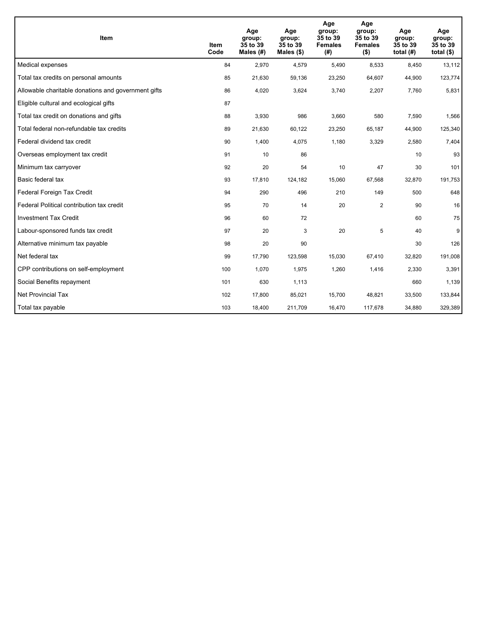| <b>Item</b>                                         | Item<br>Code | Age<br>group:<br>35 to 39<br>Males $(H)$ | Age<br>group:<br>35 to 39<br>Males $(\$)$ | Age<br>group:<br>35 to 39<br><b>Females</b><br>(#) | Age<br>group:<br>35 to 39<br><b>Females</b><br>$($ \$) | Age<br>group:<br>35 to 39<br>total $(H)$ | Age<br>group:<br>35 to 39<br>total $($)$ |
|-----------------------------------------------------|--------------|------------------------------------------|-------------------------------------------|----------------------------------------------------|--------------------------------------------------------|------------------------------------------|------------------------------------------|
| Medical expenses                                    | 84           | 2,970                                    | 4,579                                     | 5,490                                              | 8,533                                                  | 8,450                                    | 13,112                                   |
| Total tax credits on personal amounts               | 85           | 21,630                                   | 59,136                                    | 23,250                                             | 64,607                                                 | 44,900                                   | 123,774                                  |
| Allowable charitable donations and government gifts | 86           | 4,020                                    | 3,624                                     | 3,740                                              | 2,207                                                  | 7,760                                    | 5,831                                    |
| Eligible cultural and ecological gifts              | 87           |                                          |                                           |                                                    |                                                        |                                          |                                          |
| Total tax credit on donations and gifts             | 88           | 3,930                                    | 986                                       | 3,660                                              | 580                                                    | 7,590                                    | 1,566                                    |
| Total federal non-refundable tax credits            | 89           | 21,630                                   | 60,122                                    | 23,250                                             | 65,187                                                 | 44,900                                   | 125,340                                  |
| Federal dividend tax credit                         | 90           | 1,400                                    | 4,075                                     | 1,180                                              | 3,329                                                  | 2,580                                    | 7,404                                    |
| Overseas employment tax credit                      | 91           | 10                                       | 86                                        |                                                    |                                                        | 10                                       | 93                                       |
| Minimum tax carryover                               | 92           | 20                                       | 54                                        | 10                                                 | 47                                                     | 30                                       | 101                                      |
| Basic federal tax                                   | 93           | 17,810                                   | 124,182                                   | 15,060                                             | 67,568                                                 | 32,870                                   | 191,753                                  |
| Federal Foreign Tax Credit                          | 94           | 290                                      | 496                                       | 210                                                | 149                                                    | 500                                      | 648                                      |
| Federal Political contribution tax credit           | 95           | 70                                       | 14                                        | 20                                                 | $\overline{2}$                                         | 90                                       | 16                                       |
| <b>Investment Tax Credit</b>                        | 96           | 60                                       | 72                                        |                                                    |                                                        | 60                                       | 75                                       |
| Labour-sponsored funds tax credit                   | 97           | 20                                       | 3                                         | 20                                                 | 5                                                      | 40                                       | 9                                        |
| Alternative minimum tax payable                     | 98           | 20                                       | 90                                        |                                                    |                                                        | 30                                       | 126                                      |
| Net federal tax                                     | 99           | 17,790                                   | 123,598                                   | 15,030                                             | 67,410                                                 | 32,820                                   | 191,008                                  |
| CPP contributions on self-employment                | 100          | 1,070                                    | 1,975                                     | 1,260                                              | 1,416                                                  | 2,330                                    | 3,391                                    |
| Social Benefits repayment                           | 101          | 630                                      | 1,113                                     |                                                    |                                                        | 660                                      | 1,139                                    |
| Net Provincial Tax                                  | 102          | 17,800                                   | 85,021                                    | 15,700                                             | 48.821                                                 | 33,500                                   | 133,844                                  |
| Total tax payable                                   | 103          | 18,400                                   | 211,709                                   | 16,470                                             | 117,678                                                | 34,880                                   | 329,389                                  |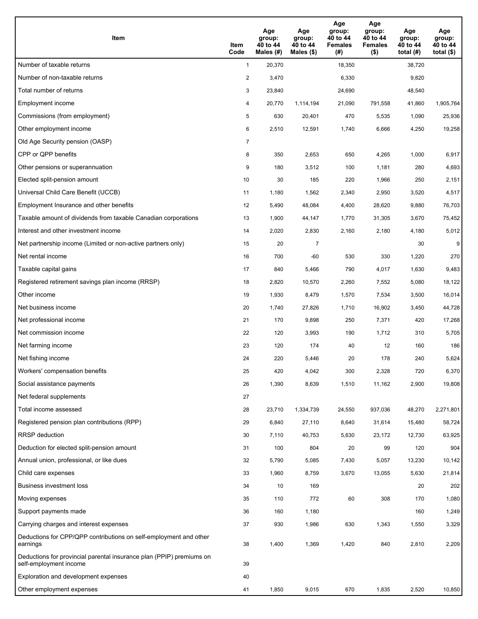| Item                                                                                           | Item<br>Code   | Age<br>group:<br>40 to 44<br>Males (#) | Age<br>group:<br>40 to 44<br>Males $(\$)$ | Age<br>group:<br>40 to 44<br><b>Females</b><br>(#) | Age<br>group:<br>40 to 44<br><b>Females</b><br>$($ \$) | Age<br>group:<br>40 to 44<br>total $(H)$ | Age<br>group:<br>40 to 44<br>total $($ |
|------------------------------------------------------------------------------------------------|----------------|----------------------------------------|-------------------------------------------|----------------------------------------------------|--------------------------------------------------------|------------------------------------------|----------------------------------------|
| Number of taxable returns                                                                      | $\mathbf{1}$   | 20,370                                 |                                           | 18,350                                             |                                                        | 38,720                                   |                                        |
| Number of non-taxable returns                                                                  | $\overline{a}$ | 3,470                                  |                                           | 6,330                                              |                                                        | 9,820                                    |                                        |
| Total number of returns                                                                        | 3              | 23,840                                 |                                           | 24,690                                             |                                                        | 48,540                                   |                                        |
| Employment income                                                                              | 4              | 20,770                                 | 1,114,194                                 | 21,090                                             | 791,558                                                | 41,860                                   | 1,905,764                              |
| Commissions (from employment)                                                                  | 5              | 630                                    | 20,401                                    | 470                                                | 5,535                                                  | 1,090                                    | 25,936                                 |
| Other employment income                                                                        | 6              | 2,510                                  | 12,591                                    | 1,740                                              | 6,666                                                  | 4,250                                    | 19,258                                 |
| Old Age Security pension (OASP)                                                                | 7              |                                        |                                           |                                                    |                                                        |                                          |                                        |
| CPP or QPP benefits                                                                            | 8              | 350                                    | 2,653                                     | 650                                                | 4,265                                                  | 1,000                                    | 6,917                                  |
| Other pensions or superannuation                                                               | 9              | 180                                    | 3,512                                     | 100                                                | 1,181                                                  | 280                                      | 4,693                                  |
| Elected split-pension amount                                                                   | 10             | 30                                     | 185                                       | 220                                                | 1,966                                                  | 250                                      | 2,151                                  |
| Universal Child Care Benefit (UCCB)                                                            | 11             | 1,180                                  | 1,562                                     | 2,340                                              | 2,950                                                  | 3,520                                    | 4,517                                  |
| Employment Insurance and other benefits                                                        | 12             | 5,490                                  | 48,084                                    | 4,400                                              | 28,620                                                 | 9,880                                    | 76,703                                 |
| Taxable amount of dividends from taxable Canadian corporations                                 | 13             | 1,900                                  | 44,147                                    | 1,770                                              | 31,305                                                 | 3,670                                    | 75,452                                 |
| Interest and other investment income                                                           | 14             | 2,020                                  | 2,830                                     | 2,160                                              | 2,180                                                  | 4,180                                    | 5,012                                  |
| Net partnership income (Limited or non-active partners only)                                   | 15             | 20                                     | $\overline{7}$                            |                                                    |                                                        | 30                                       | 9                                      |
| Net rental income                                                                              | 16             | 700                                    | $-60$                                     | 530                                                | 330                                                    | 1,220                                    | 270                                    |
| Taxable capital gains                                                                          | 17             | 840                                    | 5,466                                     | 790                                                | 4,017                                                  | 1,630                                    | 9,483                                  |
| Registered retirement savings plan income (RRSP)                                               | 18             | 2,820                                  | 10,570                                    | 2,260                                              | 7,552                                                  | 5,080                                    | 18,122                                 |
| Other income                                                                                   | 19             | 1,930                                  | 8,479                                     | 1,570                                              | 7,534                                                  | 3,500                                    | 16,014                                 |
| Net business income                                                                            | 20             | 1,740                                  | 27,826                                    | 1,710                                              | 16,902                                                 | 3,450                                    | 44,728                                 |
| Net professional income                                                                        | 21             | 170                                    | 9,898                                     | 250                                                | 7,371                                                  | 420                                      | 17,268                                 |
| Net commission income                                                                          | 22             | 120                                    | 3,993                                     | 190                                                | 1,712                                                  | 310                                      | 5,705                                  |
| Net farming income                                                                             | 23             | 120                                    | 174                                       | 40                                                 | 12                                                     | 160                                      | 186                                    |
| Net fishing income                                                                             | 24             | 220                                    | 5,446                                     | 20                                                 | 178                                                    | 240                                      | 5,624                                  |
| Workers' compensation benefits                                                                 | 25             | 420                                    | 4,042                                     | 300                                                | 2,328                                                  | 720                                      | 6,370                                  |
| Social assistance payments                                                                     | 26             | 1,390                                  | 8,639                                     | 1,510                                              | 11,162                                                 | 2,900                                    | 19,808                                 |
| Net federal supplements                                                                        | 27             |                                        |                                           |                                                    |                                                        |                                          |                                        |
| Total income assessed                                                                          | 28             | 23,710                                 | 1,334,739                                 | 24,550                                             | 937,036                                                | 48,270                                   | 2,271,801                              |
| Registered pension plan contributions (RPP)                                                    | 29             | 6,840                                  | 27,110                                    | 8,640                                              | 31,614                                                 | 15,480                                   | 58,724                                 |
| <b>RRSP</b> deduction                                                                          | 30             | 7,110                                  | 40,753                                    | 5,630                                              | 23,172                                                 | 12,730                                   | 63,925                                 |
| Deduction for elected split-pension amount                                                     | 31             | 100                                    | 804                                       | 20                                                 | 99                                                     | 120                                      | 904                                    |
| Annual union, professional, or like dues                                                       | 32             | 5,790                                  | 5,085                                     | 7,430                                              | 5,057                                                  | 13,230                                   | 10,142                                 |
| Child care expenses                                                                            | 33             | 1,960                                  | 8,759                                     | 3,670                                              | 13,055                                                 | 5,630                                    | 21,814                                 |
| Business investment loss                                                                       | 34             | 10                                     | 169                                       |                                                    |                                                        | 20                                       | 202                                    |
| Moving expenses                                                                                | 35             | 110                                    | 772                                       | 60                                                 | 308                                                    | 170                                      | 1,080                                  |
| Support payments made                                                                          | 36             | 160                                    | 1,180                                     |                                                    |                                                        | 160                                      | 1,249                                  |
| Carrying charges and interest expenses                                                         | 37             | 930                                    | 1,986                                     | 630                                                | 1,343                                                  | 1,550                                    | 3,329                                  |
| Deductions for CPP/QPP contributions on self-employment and other<br>earnings                  | 38             | 1,400                                  | 1,369                                     | 1,420                                              | 840                                                    | 2,810                                    | 2,209                                  |
| Deductions for provincial parental insurance plan (PPIP) premiums on<br>self-employment income | 39             |                                        |                                           |                                                    |                                                        |                                          |                                        |
| Exploration and development expenses                                                           | 40             |                                        |                                           |                                                    |                                                        |                                          |                                        |
| Other employment expenses                                                                      | 41             | 1,850                                  | 9,015                                     | 670                                                | 1,835                                                  | 2,520                                    | 10,850                                 |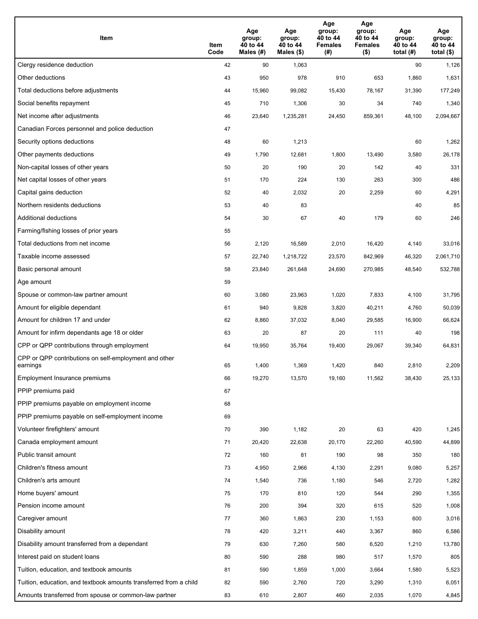| Item                                                              | Item<br>Code | Age<br>group:<br>40 to 44<br>Males (#) | Age<br>group:<br>40 to 44<br>Males (\$) | Age<br>group:<br>40 to 44<br><b>Females</b><br>(#) | Age<br>group:<br>40 to 44<br><b>Females</b><br>$($ \$) | Age<br>group:<br>40 to 44<br>total $(H)$ | Age<br>group:<br>40 to 44<br>total $($)$ |
|-------------------------------------------------------------------|--------------|----------------------------------------|-----------------------------------------|----------------------------------------------------|--------------------------------------------------------|------------------------------------------|------------------------------------------|
| Clergy residence deduction                                        | 42           | 90                                     | 1,063                                   |                                                    |                                                        | 90                                       | 1,126                                    |
| Other deductions                                                  | 43           | 950                                    | 978                                     | 910                                                | 653                                                    | 1,860                                    | 1,631                                    |
| Total deductions before adjustments                               | 44           | 15,960                                 | 99,082                                  | 15,430                                             | 78,167                                                 | 31,390                                   | 177,249                                  |
| Social benefits repayment                                         | 45           | 710                                    | 1,306                                   | 30                                                 | 34                                                     | 740                                      | 1,340                                    |
| Net income after adjustments                                      | 46           | 23,640                                 | 1,235,281                               | 24,450                                             | 859,361                                                | 48,100                                   | 2,094,667                                |
| Canadian Forces personnel and police deduction                    | 47           |                                        |                                         |                                                    |                                                        |                                          |                                          |
| Security options deductions                                       | 48           | 60                                     | 1,213                                   |                                                    |                                                        | 60                                       | 1,262                                    |
| Other payments deductions                                         | 49           | 1,790                                  | 12,681                                  | 1,800                                              | 13,490                                                 | 3,580                                    | 26,178                                   |
| Non-capital losses of other years                                 | 50           | 20                                     | 190                                     | 20                                                 | 142                                                    | 40                                       | 331                                      |
| Net capital losses of other years                                 | 51           | 170                                    | 224                                     | 130                                                | 263                                                    | 300                                      | 486                                      |
| Capital gains deduction                                           | 52           | 40                                     | 2,032                                   | 20                                                 | 2,259                                                  | 60                                       | 4,291                                    |
| Northern residents deductions                                     | 53           | 40                                     | 83                                      |                                                    |                                                        | 40                                       | 85                                       |
| Additional deductions                                             | 54           | 30                                     | 67                                      | 40                                                 | 179                                                    | 60                                       | 246                                      |
| Farming/fishing losses of prior years                             | 55           |                                        |                                         |                                                    |                                                        |                                          |                                          |
| Total deductions from net income                                  | 56           | 2,120                                  | 16,589                                  | 2,010                                              | 16,420                                                 | 4,140                                    | 33,016                                   |
| Taxable income assessed                                           | 57           | 22,740                                 | 1,218,722                               | 23,570                                             | 842,969                                                | 46,320                                   | 2,061,710                                |
| Basic personal amount                                             | 58           | 23,840                                 | 261,648                                 | 24,690                                             | 270,985                                                | 48,540                                   | 532,788                                  |
| Age amount                                                        | 59           |                                        |                                         |                                                    |                                                        |                                          |                                          |
| Spouse or common-law partner amount                               | 60           | 3,080                                  | 23,963                                  | 1,020                                              | 7,833                                                  | 4,100                                    | 31,795                                   |
| Amount for eligible dependant                                     | 61           | 940                                    | 9,828                                   | 3,820                                              | 40,211                                                 | 4,760                                    | 50,039                                   |
| Amount for children 17 and under                                  | 62           | 8,860                                  | 37,032                                  | 8,040                                              | 29,585                                                 | 16,900                                   | 66,624                                   |
| Amount for infirm dependants age 18 or older                      | 63           | 20                                     | 87                                      | 20                                                 | 111                                                    | 40                                       | 198                                      |
| CPP or QPP contributions through employment                       | 64           | 19,950                                 | 35,764                                  | 19,400                                             | 29,067                                                 | 39,340                                   | 64,831                                   |
| CPP or QPP contributions on self-employment and other<br>earnings | 65           | 1,400                                  | 1,369                                   | 1,420                                              | 840                                                    | 2,810                                    | 2,209                                    |
| Employment Insurance premiums                                     | 66           | 19,270                                 | 13,570                                  | 19,160                                             | 11,562                                                 | 38,430                                   | 25,133                                   |
| PPIP premiums paid                                                | 67           |                                        |                                         |                                                    |                                                        |                                          |                                          |
| PPIP premiums payable on employment income                        | 68           |                                        |                                         |                                                    |                                                        |                                          |                                          |
| PPIP premiums payable on self-employment income                   | 69           |                                        |                                         |                                                    |                                                        |                                          |                                          |
| Volunteer firefighters' amount                                    | 70           | 390                                    | 1,182                                   | 20                                                 | 63                                                     | 420                                      | 1,245                                    |
| Canada employment amount                                          | 71           | 20,420                                 | 22,638                                  | 20,170                                             | 22,260                                                 | 40,590                                   | 44,899                                   |
| Public transit amount                                             | 72           | 160                                    | 81                                      | 190                                                | 98                                                     | 350                                      | 180                                      |
| Children's fitness amount                                         | 73           | 4,950                                  | 2,966                                   | 4,130                                              | 2,291                                                  | 9,080                                    | 5,257                                    |
| Children's arts amount                                            | 74           | 1,540                                  | 736                                     | 1,180                                              | 546                                                    | 2,720                                    | 1,282                                    |
| Home buyers' amount                                               | 75           | 170                                    | 810                                     | 120                                                | 544                                                    | 290                                      | 1,355                                    |
| Pension income amount                                             | 76           | 200                                    | 394                                     | 320                                                | 615                                                    | 520                                      | 1,008                                    |
| Caregiver amount                                                  | $77\,$       | 360                                    | 1,863                                   | 230                                                | 1,153                                                  | 600                                      | 3,016                                    |
| Disability amount                                                 | 78           | 420                                    | 3,211                                   | 440                                                | 3,367                                                  | 860                                      | 6,586                                    |
| Disability amount transferred from a dependant                    | 79           | 630                                    | 7,260                                   | 580                                                | 6,520                                                  | 1,210                                    | 13,780                                   |
| Interest paid on student loans                                    | 80           | 590                                    | 288                                     | 980                                                | 517                                                    | 1,570                                    | 805                                      |
| Tuition, education, and textbook amounts                          | 81           | 590                                    | 1,859                                   | 1,000                                              | 3,664                                                  | 1,580                                    | 5,523                                    |
| Tuition, education, and textbook amounts transferred from a child | 82           | 590                                    | 2,760                                   | 720                                                | 3,290                                                  | 1,310                                    | 6,051                                    |
| Amounts transferred from spouse or common-law partner             | 83           | 610                                    | 2,807                                   | 460                                                | 2,035                                                  | 1,070                                    | 4,845                                    |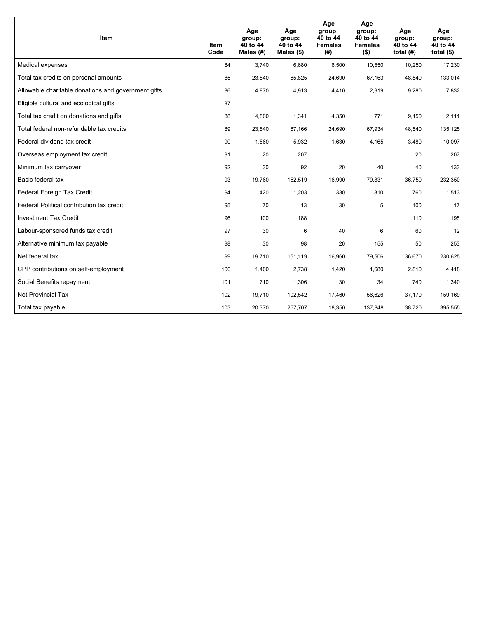| <b>Item</b>                                         | Item<br>Code | Age<br>group:<br>40 to 44<br>Males $(H)$ | Age<br>group:<br>40 to 44<br>Males $(\$)$ | Age<br>group:<br>40 to 44<br><b>Females</b><br>(#) | Age<br>group:<br>40 to 44<br><b>Females</b><br>$($ \$) | Age<br>group:<br>40 to 44<br>total $(H)$ | Age<br>group:<br>40 to 44<br>total $($)$ |
|-----------------------------------------------------|--------------|------------------------------------------|-------------------------------------------|----------------------------------------------------|--------------------------------------------------------|------------------------------------------|------------------------------------------|
| Medical expenses                                    | 84           | 3,740                                    | 6,680                                     | 6,500                                              | 10,550                                                 | 10,250                                   | 17,230                                   |
| Total tax credits on personal amounts               | 85           | 23,840                                   | 65,825                                    | 24,690                                             | 67,163                                                 | 48,540                                   | 133,014                                  |
| Allowable charitable donations and government gifts | 86           | 4,870                                    | 4,913                                     | 4,410                                              | 2,919                                                  | 9,280                                    | 7,832                                    |
| Eligible cultural and ecological gifts              | 87           |                                          |                                           |                                                    |                                                        |                                          |                                          |
| Total tax credit on donations and gifts             | 88           | 4,800                                    | 1,341                                     | 4,350                                              | 771                                                    | 9,150                                    | 2,111                                    |
| Total federal non-refundable tax credits            | 89           | 23,840                                   | 67,166                                    | 24,690                                             | 67,934                                                 | 48,540                                   | 135,125                                  |
| Federal dividend tax credit                         | 90           | 1,860                                    | 5,932                                     | 1,630                                              | 4,165                                                  | 3,480                                    | 10,097                                   |
| Overseas employment tax credit                      | 91           | 20                                       | 207                                       |                                                    |                                                        | 20                                       | 207                                      |
| Minimum tax carryover                               | 92           | 30                                       | 92                                        | 20                                                 | 40                                                     | 40                                       | 133                                      |
| Basic federal tax                                   | 93           | 19,760                                   | 152,519                                   | 16.990                                             | 79,831                                                 | 36,750                                   | 232,350                                  |
| Federal Foreign Tax Credit                          | 94           | 420                                      | 1,203                                     | 330                                                | 310                                                    | 760                                      | 1,513                                    |
| Federal Political contribution tax credit           | 95           | 70                                       | 13                                        | 30                                                 | 5                                                      | 100                                      | 17                                       |
| <b>Investment Tax Credit</b>                        | 96           | 100                                      | 188                                       |                                                    |                                                        | 110                                      | 195                                      |
| Labour-sponsored funds tax credit                   | 97           | 30                                       | 6                                         | 40                                                 | 6                                                      | 60                                       | 12                                       |
| Alternative minimum tax payable                     | 98           | 30                                       | 98                                        | 20                                                 | 155                                                    | 50                                       | 253                                      |
| Net federal tax                                     | 99           | 19,710                                   | 151,119                                   | 16,960                                             | 79,506                                                 | 36,670                                   | 230,625                                  |
| CPP contributions on self-employment                | 100          | 1,400                                    | 2,738                                     | 1,420                                              | 1,680                                                  | 2,810                                    | 4,418                                    |
| Social Benefits repayment                           | 101          | 710                                      | 1,306                                     | 30                                                 | 34                                                     | 740                                      | 1,340                                    |
| <b>Net Provincial Tax</b>                           | 102          | 19,710                                   | 102,542                                   | 17.460                                             | 56,626                                                 | 37,170                                   | 159,169                                  |
| Total tax payable                                   | 103          | 20,370                                   | 257,707                                   | 18,350                                             | 137,848                                                | 38,720                                   | 395,555                                  |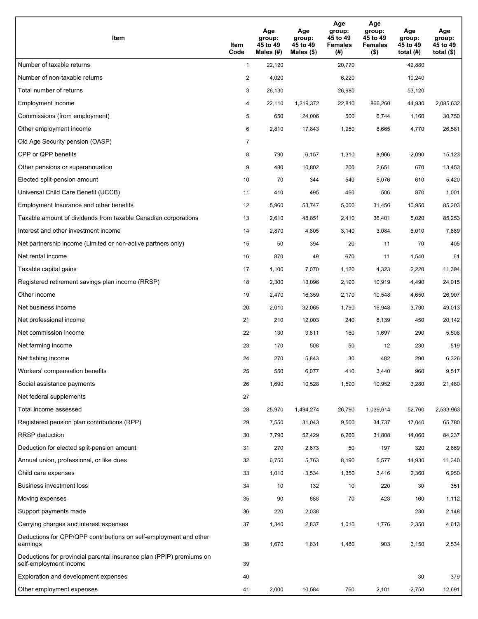| Item                                                                                           | Item<br>Code   | Age<br>group:<br>45 to 49<br>Males (#) | Age<br>group:<br>45 to 49<br>Males $(\$)$ | Age<br>group:<br>45 to 49<br><b>Females</b><br>(#) | Age<br>group:<br>45 to 49<br><b>Females</b><br>$($ \$) | Age<br>group:<br>45 to 49<br>total $(H)$ | Age<br>group:<br>45 to 49<br>total $($ |
|------------------------------------------------------------------------------------------------|----------------|----------------------------------------|-------------------------------------------|----------------------------------------------------|--------------------------------------------------------|------------------------------------------|----------------------------------------|
| Number of taxable returns                                                                      | $\mathbf{1}$   | 22,120                                 |                                           | 20,770                                             |                                                        | 42,880                                   |                                        |
| Number of non-taxable returns                                                                  | $\overline{a}$ | 4,020                                  |                                           | 6,220                                              |                                                        | 10,240                                   |                                        |
| Total number of returns                                                                        | 3              | 26,130                                 |                                           | 26,980                                             |                                                        | 53,120                                   |                                        |
| Employment income                                                                              | 4              | 22,110                                 | 1,219,372                                 | 22,810                                             | 866,260                                                | 44,930                                   | 2,085,632                              |
| Commissions (from employment)                                                                  | 5              | 650                                    | 24,006                                    | 500                                                | 6,744                                                  | 1,160                                    | 30,750                                 |
| Other employment income                                                                        | 6              | 2,810                                  | 17,843                                    | 1,950                                              | 8,665                                                  | 4,770                                    | 26,581                                 |
| Old Age Security pension (OASP)                                                                | 7              |                                        |                                           |                                                    |                                                        |                                          |                                        |
| CPP or QPP benefits                                                                            | 8              | 790                                    | 6,157                                     | 1,310                                              | 8,966                                                  | 2,090                                    | 15,123                                 |
| Other pensions or superannuation                                                               | 9              | 480                                    | 10,802                                    | 200                                                | 2,651                                                  | 670                                      | 13,453                                 |
| Elected split-pension amount                                                                   | 10             | 70                                     | 344                                       | 540                                                | 5,076                                                  | 610                                      | 5,420                                  |
| Universal Child Care Benefit (UCCB)                                                            | 11             | 410                                    | 495                                       | 460                                                | 506                                                    | 870                                      | 1,001                                  |
| Employment Insurance and other benefits                                                        | 12             | 5,960                                  | 53,747                                    | 5,000                                              | 31,456                                                 | 10,950                                   | 85,203                                 |
| Taxable amount of dividends from taxable Canadian corporations                                 | 13             | 2,610                                  | 48,851                                    | 2,410                                              | 36,401                                                 | 5,020                                    | 85,253                                 |
| Interest and other investment income                                                           | 14             | 2,870                                  | 4,805                                     | 3,140                                              | 3,084                                                  | 6,010                                    | 7,889                                  |
| Net partnership income (Limited or non-active partners only)                                   | 15             | 50                                     | 394                                       | 20                                                 | 11                                                     | 70                                       | 405                                    |
| Net rental income                                                                              | 16             | 870                                    | 49                                        | 670                                                | 11                                                     | 1,540                                    | 61                                     |
| Taxable capital gains                                                                          | 17             | 1,100                                  | 7,070                                     | 1,120                                              | 4,323                                                  | 2,220                                    | 11,394                                 |
| Registered retirement savings plan income (RRSP)                                               | 18             | 2,300                                  | 13,096                                    | 2,190                                              | 10,919                                                 | 4,490                                    | 24,015                                 |
| Other income                                                                                   | 19             | 2,470                                  | 16,359                                    | 2,170                                              | 10,548                                                 | 4,650                                    | 26,907                                 |
| Net business income                                                                            | 20             | 2,010                                  | 32,065                                    | 1,790                                              | 16,948                                                 | 3,790                                    | 49,013                                 |
| Net professional income                                                                        | 21             | 210                                    | 12,003                                    | 240                                                | 8,139                                                  | 450                                      | 20,142                                 |
| Net commission income                                                                          | 22             | 130                                    | 3,811                                     | 160                                                | 1,697                                                  | 290                                      | 5,508                                  |
| Net farming income                                                                             | 23             | 170                                    | 508                                       | 50                                                 | 12                                                     | 230                                      | 519                                    |
| Net fishing income                                                                             | 24             | 270                                    | 5,843                                     | 30                                                 | 482                                                    | 290                                      | 6,326                                  |
| Workers' compensation benefits                                                                 | 25             | 550                                    | 6,077                                     | 410                                                | 3,440                                                  | 960                                      | 9,517                                  |
| Social assistance payments                                                                     | 26             | 1,690                                  | 10,528                                    | 1,590                                              | 10,952                                                 | 3,280                                    | 21,480                                 |
| Net federal supplements                                                                        | 27             |                                        |                                           |                                                    |                                                        |                                          |                                        |
| Total income assessed                                                                          | 28             | 25,970                                 | 1,494,274                                 | 26,790                                             | 1,039,614                                              | 52,760                                   | 2,533,963                              |
| Registered pension plan contributions (RPP)                                                    | 29             | 7,550                                  | 31,043                                    | 9,500                                              | 34,737                                                 | 17,040                                   | 65,780                                 |
| <b>RRSP</b> deduction                                                                          | 30             | 7,790                                  | 52,429                                    | 6,260                                              | 31,808                                                 | 14,060                                   | 84,237                                 |
| Deduction for elected split-pension amount                                                     | 31             | 270                                    | 2,673                                     | 50                                                 | 197                                                    | 320                                      | 2,869                                  |
| Annual union, professional, or like dues                                                       | 32             | 6,750                                  | 5,763                                     | 8,190                                              | 5,577                                                  | 14,930                                   | 11,340                                 |
| Child care expenses                                                                            | 33             | 1,010                                  | 3,534                                     | 1,350                                              | 3,416                                                  | 2,360                                    | 6,950                                  |
| Business investment loss                                                                       | 34             | 10                                     | 132                                       | 10                                                 | 220                                                    | 30                                       | 351                                    |
| Moving expenses                                                                                | 35             | 90                                     | 688                                       | 70                                                 | 423                                                    | 160                                      | 1,112                                  |
| Support payments made                                                                          | 36             | 220                                    | 2,038                                     |                                                    |                                                        | 230                                      | 2,148                                  |
| Carrying charges and interest expenses                                                         | 37             | 1,340                                  | 2,837                                     | 1,010                                              | 1,776                                                  | 2,350                                    | 4,613                                  |
| Deductions for CPP/QPP contributions on self-employment and other<br>earnings                  | 38             | 1,670                                  | 1,631                                     | 1,480                                              | 903                                                    | 3,150                                    | 2,534                                  |
| Deductions for provincial parental insurance plan (PPIP) premiums on<br>self-employment income | 39             |                                        |                                           |                                                    |                                                        |                                          |                                        |
| Exploration and development expenses                                                           | 40             |                                        |                                           |                                                    |                                                        | 30                                       | 379                                    |
| Other employment expenses                                                                      | 41             | 2,000                                  | 10,584                                    | 760                                                | 2,101                                                  | 2,750                                    | 12,691                                 |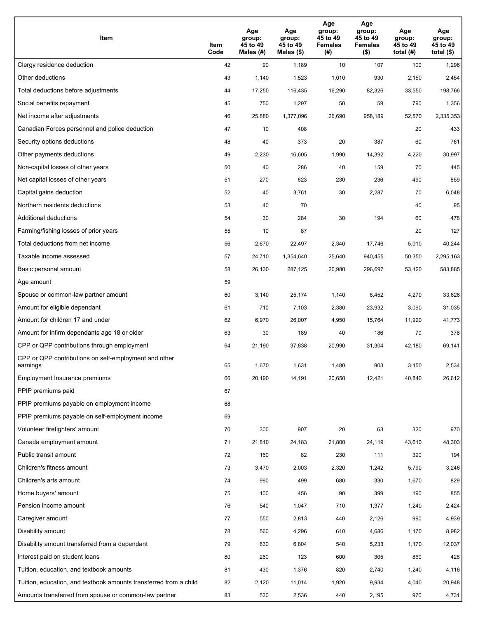| Item                                                              | Item<br>Code | Age<br>group:<br>45 to 49<br>Males (#) | Age<br>group:<br>45 to 49<br>Males (\$) | Age<br>group:<br>45 to 49<br><b>Females</b><br>(# ) | Age<br>group:<br>45 to 49<br><b>Females</b><br>$($ \$) | Age<br>group:<br>45 to 49<br>total $(#)$ | Age<br>group:<br>45 to 49<br>total $($)$ |
|-------------------------------------------------------------------|--------------|----------------------------------------|-----------------------------------------|-----------------------------------------------------|--------------------------------------------------------|------------------------------------------|------------------------------------------|
| Clergy residence deduction                                        | 42           | 90                                     | 1,189                                   | 10                                                  | 107                                                    | 100                                      | 1,296                                    |
| Other deductions                                                  | 43           | 1,140                                  | 1,523                                   | 1,010                                               | 930                                                    | 2,150                                    | 2,454                                    |
| Total deductions before adjustments                               | 44           | 17,250                                 | 116,435                                 | 16,290                                              | 82,326                                                 | 33,550                                   | 198,766                                  |
| Social benefits repayment                                         | 45           | 750                                    | 1,297                                   | 50                                                  | 59                                                     | 790                                      | 1,356                                    |
| Net income after adjustments                                      | 46           | 25,880                                 | 1,377,096                               | 26,690                                              | 958,189                                                | 52,570                                   | 2,335,353                                |
| Canadian Forces personnel and police deduction                    | 47           | 10                                     | 408                                     |                                                     |                                                        | 20                                       | 433                                      |
| Security options deductions                                       | 48           | 40                                     | 373                                     | 20                                                  | 387                                                    | 60                                       | 761                                      |
| Other payments deductions                                         | 49           | 2,230                                  | 16,605                                  | 1,990                                               | 14,392                                                 | 4,220                                    | 30,997                                   |
| Non-capital losses of other years                                 | 50           | 40                                     | 286                                     | 40                                                  | 159                                                    | 70                                       | 445                                      |
| Net capital losses of other years                                 | 51           | 270                                    | 623                                     | 230                                                 | 236                                                    | 490                                      | 859                                      |
| Capital gains deduction                                           | 52           | 40                                     | 3,761                                   | 30                                                  | 2,287                                                  | 70                                       | 6,048                                    |
| Northern residents deductions                                     | 53           | 40                                     | 70                                      |                                                     |                                                        | 40                                       | 95                                       |
| Additional deductions                                             | 54           | 30                                     | 284                                     | 30                                                  | 194                                                    | 60                                       | 478                                      |
| Farming/fishing losses of prior years                             | 55           | 10                                     | 87                                      |                                                     |                                                        | 20                                       | 127                                      |
| Total deductions from net income                                  | 56           | 2,670                                  | 22,497                                  | 2,340                                               | 17,746                                                 | 5,010                                    | 40,244                                   |
| Taxable income assessed                                           | 57           | 24,710                                 | 1,354,640                               | 25,640                                              | 940,455                                                | 50,350                                   | 2,295,163                                |
| Basic personal amount                                             | 58           | 26,130                                 | 287,125                                 | 26,980                                              | 296,697                                                | 53,120                                   | 583,885                                  |
| Age amount                                                        | 59           |                                        |                                         |                                                     |                                                        |                                          |                                          |
| Spouse or common-law partner amount                               | 60           | 3,140                                  | 25,174                                  | 1,140                                               | 8,452                                                  | 4,270                                    | 33,626                                   |
| Amount for eligible dependant                                     | 61           | 710                                    | 7,103                                   | 2,380                                               | 23,932                                                 | 3,090                                    | 31,035                                   |
| Amount for children 17 and under                                  | 62           | 6,970                                  | 26,007                                  | 4,950                                               | 15,764                                                 | 11,920                                   | 41,773                                   |
| Amount for infirm dependants age 18 or older                      | 63           | 30                                     | 189                                     | 40                                                  | 186                                                    | 70                                       | 376                                      |
| CPP or QPP contributions through employment                       | 64           | 21,190                                 | 37,838                                  | 20,990                                              | 31,304                                                 | 42,180                                   | 69,141                                   |
| CPP or QPP contributions on self-employment and other<br>earnings | 65           | 1,670                                  | 1,631                                   | 1,480                                               | 903                                                    | 3,150                                    | 2,534                                    |
| Employment Insurance premiums                                     | 66           | 20,190                                 | 14,191                                  | 20,650                                              | 12,421                                                 | 40,840                                   | 26,612                                   |
| PPIP premiums paid                                                | 67           |                                        |                                         |                                                     |                                                        |                                          |                                          |
| PPIP premiums payable on employment income                        | 68           |                                        |                                         |                                                     |                                                        |                                          |                                          |
| PPIP premiums payable on self-employment income                   | 69           |                                        |                                         |                                                     |                                                        |                                          |                                          |
| Volunteer firefighters' amount                                    | 70           | 300                                    | 907                                     | 20                                                  | 63                                                     | 320                                      | 970                                      |
| Canada employment amount                                          | 71           | 21,810                                 | 24,183                                  | 21,800                                              | 24,119                                                 | 43,610                                   | 48,303                                   |
| Public transit amount                                             | 72           | 160                                    | 82                                      | 230                                                 | 111                                                    | 390                                      | 194                                      |
| Children's fitness amount                                         | 73           | 3,470                                  | 2,003                                   | 2,320                                               | 1,242                                                  | 5,790                                    | 3,246                                    |
| Children's arts amount                                            | 74           | 990                                    | 499                                     | 680                                                 | 330                                                    | 1,670                                    | 829                                      |
| Home buyers' amount                                               | 75           | 100                                    | 456                                     | 90                                                  | 399                                                    | 190                                      | 855                                      |
| Pension income amount                                             | 76           | 540                                    | 1,047                                   | 710                                                 | 1,377                                                  | 1,240                                    | 2,424                                    |
| Caregiver amount                                                  | 77           | 550                                    | 2,813                                   | 440                                                 | 2,126                                                  | 990                                      | 4,939                                    |
| Disability amount                                                 | 78           | 560                                    | 4,296                                   | 610                                                 | 4,686                                                  | 1,170                                    | 8,982                                    |
| Disability amount transferred from a dependant                    | 79           | 630                                    | 6,804                                   | 540                                                 | 5,233                                                  | 1,170                                    | 12,037                                   |
| Interest paid on student loans                                    | 80           | 260                                    | 123                                     | 600                                                 | 305                                                    | 860                                      | 428                                      |
| Tuition, education, and textbook amounts                          | 81           | 430                                    | 1,376                                   | 820                                                 | 2,740                                                  | 1,240                                    | 4,116                                    |
| Tuition, education, and textbook amounts transferred from a child | 82           | 2,120                                  | 11,014                                  | 1,920                                               | 9,934                                                  | 4,040                                    | 20,948                                   |
| Amounts transferred from spouse or common-law partner             | 83           | 530                                    | 2,536                                   | 440                                                 | 2,195                                                  | 970                                      | 4,731                                    |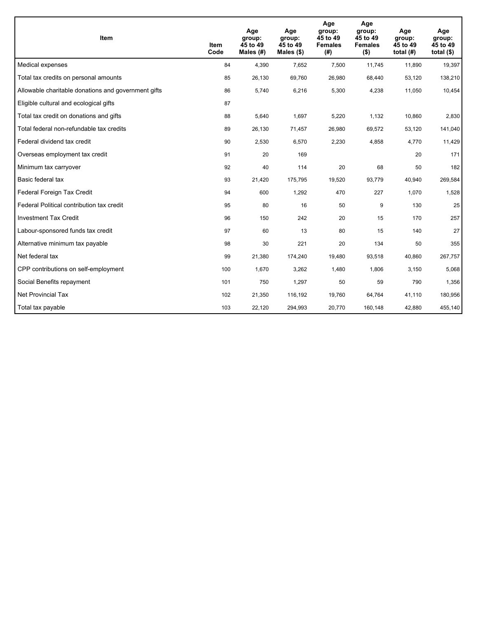| <b>Item</b>                                         | Item<br>Code | Age<br>group:<br>45 to 49<br>Males $(H)$ | Age<br>group:<br>45 to 49<br>Males $(\$)$ | Age<br>group:<br>45 to 49<br><b>Females</b><br>(# ) | Age<br>group:<br>45 to 49<br><b>Females</b><br>$($ \$) | Age<br>group:<br>45 to 49<br>total $(H)$ | Age<br>group:<br>45 to 49<br>total $($)$ |
|-----------------------------------------------------|--------------|------------------------------------------|-------------------------------------------|-----------------------------------------------------|--------------------------------------------------------|------------------------------------------|------------------------------------------|
| Medical expenses                                    | 84           | 4,390                                    | 7,652                                     | 7,500                                               | 11,745                                                 | 11,890                                   | 19,397                                   |
| Total tax credits on personal amounts               | 85           | 26,130                                   | 69,760                                    | 26,980                                              | 68,440                                                 | 53,120                                   | 138,210                                  |
| Allowable charitable donations and government gifts | 86           | 5,740                                    | 6,216                                     | 5,300                                               | 4,238                                                  | 11,050                                   | 10,454                                   |
| Eligible cultural and ecological gifts              | 87           |                                          |                                           |                                                     |                                                        |                                          |                                          |
| Total tax credit on donations and gifts             | 88           | 5,640                                    | 1,697                                     | 5,220                                               | 1,132                                                  | 10,860                                   | 2,830                                    |
| Total federal non-refundable tax credits            | 89           | 26,130                                   | 71,457                                    | 26,980                                              | 69,572                                                 | 53,120                                   | 141,040                                  |
| Federal dividend tax credit                         | 90           | 2,530                                    | 6,570                                     | 2,230                                               | 4,858                                                  | 4,770                                    | 11,429                                   |
| Overseas employment tax credit                      | 91           | 20                                       | 169                                       |                                                     |                                                        | 20                                       | 171                                      |
| Minimum tax carryover                               | 92           | 40                                       | 114                                       | 20                                                  | 68                                                     | 50                                       | 182                                      |
| Basic federal tax                                   | 93           | 21,420                                   | 175,795                                   | 19,520                                              | 93.779                                                 | 40,940                                   | 269,584                                  |
| Federal Foreign Tax Credit                          | 94           | 600                                      | 1,292                                     | 470                                                 | 227                                                    | 1,070                                    | 1,528                                    |
| Federal Political contribution tax credit           | 95           | 80                                       | 16                                        | 50                                                  | 9                                                      | 130                                      | 25                                       |
| <b>Investment Tax Credit</b>                        | 96           | 150                                      | 242                                       | 20                                                  | 15                                                     | 170                                      | 257                                      |
| Labour-sponsored funds tax credit                   | 97           | 60                                       | 13                                        | 80                                                  | 15                                                     | 140                                      | 27                                       |
| Alternative minimum tax payable                     | 98           | 30                                       | 221                                       | 20                                                  | 134                                                    | 50                                       | 355                                      |
| Net federal tax                                     | 99           | 21,380                                   | 174,240                                   | 19,480                                              | 93,518                                                 | 40,860                                   | 267,757                                  |
| CPP contributions on self-employment                | 100          | 1,670                                    | 3,262                                     | 1,480                                               | 1,806                                                  | 3,150                                    | 5,068                                    |
| Social Benefits repayment                           | 101          | 750                                      | 1,297                                     | 50                                                  | 59                                                     | 790                                      | 1,356                                    |
| Net Provincial Tax                                  | 102          | 21,350                                   | 116,192                                   | 19.760                                              | 64,764                                                 | 41,110                                   | 180,956                                  |
| Total tax payable                                   | 103          | 22,120                                   | 294,993                                   | 20,770                                              | 160,148                                                | 42,880                                   | 455,140                                  |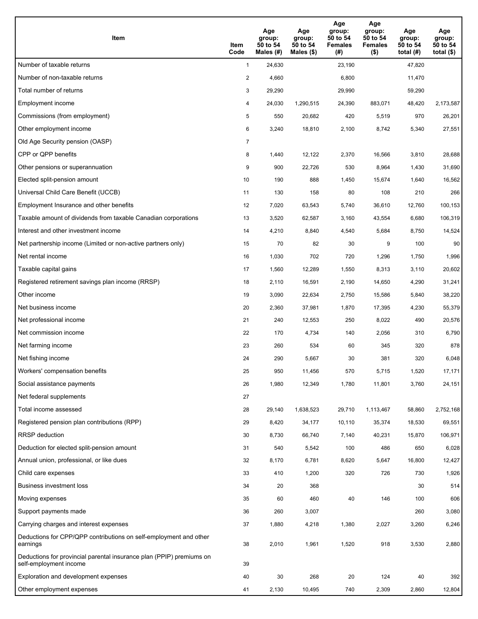| Item                                                                                           | Item<br>Code   | Age<br>group:<br>50 to 54<br>Males (#) | Age<br>group:<br>50 to 54<br>Males (\$) | Age<br>group:<br>50 to 54<br><b>Females</b><br>(#) | Age<br>group:<br>50 to 54<br><b>Females</b><br>$($ \$) | Age<br>group:<br>50 to 54<br>total $(H)$ | Age<br>group:<br>50 to 54<br>total $($ |
|------------------------------------------------------------------------------------------------|----------------|----------------------------------------|-----------------------------------------|----------------------------------------------------|--------------------------------------------------------|------------------------------------------|----------------------------------------|
| Number of taxable returns                                                                      | $\mathbf{1}$   | 24,630                                 |                                         | 23,190                                             |                                                        | 47,820                                   |                                        |
| Number of non-taxable returns                                                                  | $\overline{a}$ | 4,660                                  |                                         | 6,800                                              |                                                        | 11,470                                   |                                        |
| Total number of returns                                                                        | 3              | 29,290                                 |                                         | 29,990                                             |                                                        | 59,290                                   |                                        |
| Employment income                                                                              | 4              | 24,030                                 | 1,290,515                               | 24,390                                             | 883,071                                                | 48,420                                   | 2,173,587                              |
| Commissions (from employment)                                                                  | 5              | 550                                    | 20,682                                  | 420                                                | 5,519                                                  | 970                                      | 26,201                                 |
| Other employment income                                                                        | 6              | 3,240                                  | 18,810                                  | 2,100                                              | 8,742                                                  | 5,340                                    | 27,551                                 |
| Old Age Security pension (OASP)                                                                | 7              |                                        |                                         |                                                    |                                                        |                                          |                                        |
| CPP or QPP benefits                                                                            | 8              | 1,440                                  | 12,122                                  | 2,370                                              | 16,566                                                 | 3,810                                    | 28,688                                 |
| Other pensions or superannuation                                                               | 9              | 900                                    | 22,726                                  | 530                                                | 8,964                                                  | 1,430                                    | 31,690                                 |
| Elected split-pension amount                                                                   | 10             | 190                                    | 888                                     | 1,450                                              | 15,674                                                 | 1,640                                    | 16,562                                 |
| Universal Child Care Benefit (UCCB)                                                            | 11             | 130                                    | 158                                     | 80                                                 | 108                                                    | 210                                      | 266                                    |
| Employment Insurance and other benefits                                                        | 12             | 7,020                                  | 63,543                                  | 5,740                                              | 36,610                                                 | 12,760                                   | 100,153                                |
| Taxable amount of dividends from taxable Canadian corporations                                 | 13             | 3,520                                  | 62,587                                  | 3,160                                              | 43,554                                                 | 6,680                                    | 106,319                                |
| Interest and other investment income                                                           | 14             | 4,210                                  | 8,840                                   | 4,540                                              | 5,684                                                  | 8,750                                    | 14,524                                 |
| Net partnership income (Limited or non-active partners only)                                   | 15             | 70                                     | 82                                      | 30                                                 | 9                                                      | 100                                      | 90                                     |
| Net rental income                                                                              | 16             | 1,030                                  | 702                                     | 720                                                | 1,296                                                  | 1,750                                    | 1,996                                  |
| Taxable capital gains                                                                          | 17             | 1,560                                  | 12,289                                  | 1,550                                              | 8,313                                                  | 3,110                                    | 20,602                                 |
| Registered retirement savings plan income (RRSP)                                               | 18             | 2,110                                  | 16,591                                  | 2,190                                              | 14,650                                                 | 4,290                                    | 31,241                                 |
| Other income                                                                                   | 19             | 3,090                                  | 22,634                                  | 2,750                                              | 15,586                                                 | 5,840                                    | 38,220                                 |
| Net business income                                                                            | 20             | 2,360                                  | 37,981                                  | 1,870                                              | 17,395                                                 | 4,230                                    | 55,379                                 |
| Net professional income                                                                        | 21             | 240                                    | 12,553                                  | 250                                                | 8,022                                                  | 490                                      | 20,576                                 |
| Net commission income                                                                          | 22             | 170                                    | 4,734                                   | 140                                                | 2,056                                                  | 310                                      | 6,790                                  |
| Net farming income                                                                             | 23             | 260                                    | 534                                     | 60                                                 | 345                                                    | 320                                      | 878                                    |
| Net fishing income                                                                             | 24             | 290                                    | 5,667                                   | 30                                                 | 381                                                    | 320                                      | 6,048                                  |
| Workers' compensation benefits                                                                 | 25             | 950                                    | 11,456                                  | 570                                                | 5,715                                                  | 1,520                                    | 17,171                                 |
| Social assistance payments                                                                     | 26             | 1,980                                  | 12,349                                  | 1,780                                              | 11,801                                                 | 3,760                                    | 24,151                                 |
| Net federal supplements                                                                        | 27             |                                        |                                         |                                                    |                                                        |                                          |                                        |
| Total income assessed                                                                          | 28             | 29,140                                 | 1,638,523                               | 29,710                                             | 1,113,467                                              | 58,860                                   | 2,752,168                              |
| Registered pension plan contributions (RPP)                                                    | 29             | 8,420                                  | 34,177                                  | 10,110                                             | 35,374                                                 | 18,530                                   | 69,551                                 |
| <b>RRSP</b> deduction                                                                          | 30             | 8,730                                  | 66,740                                  | 7,140                                              | 40,231                                                 | 15,870                                   | 106,971                                |
| Deduction for elected split-pension amount                                                     | 31             | 540                                    | 5,542                                   | 100                                                | 486                                                    | 650                                      | 6,028                                  |
| Annual union, professional, or like dues                                                       | 32             | 8,170                                  | 6,781                                   | 8,620                                              | 5,647                                                  | 16,800                                   | 12,427                                 |
| Child care expenses                                                                            | 33             | 410                                    | 1,200                                   | 320                                                | 726                                                    | 730                                      | 1,926                                  |
| Business investment loss                                                                       | 34             | 20                                     | 368                                     |                                                    |                                                        | 30                                       | 514                                    |
| Moving expenses                                                                                | 35             | 60                                     | 460                                     | 40                                                 | 146                                                    | 100                                      | 606                                    |
| Support payments made                                                                          | 36             | 260                                    | 3,007                                   |                                                    |                                                        | 260                                      | 3,080                                  |
| Carrying charges and interest expenses                                                         | 37             | 1,880                                  | 4,218                                   | 1,380                                              | 2,027                                                  | 3,260                                    | 6,246                                  |
| Deductions for CPP/QPP contributions on self-employment and other<br>earnings                  | 38             | 2,010                                  | 1,961                                   | 1,520                                              | 918                                                    | 3,530                                    | 2,880                                  |
| Deductions for provincial parental insurance plan (PPIP) premiums on<br>self-employment income | 39             |                                        |                                         |                                                    |                                                        |                                          |                                        |
| Exploration and development expenses                                                           | 40             | 30                                     | 268                                     | 20                                                 | 124                                                    | 40                                       | 392                                    |
| Other employment expenses                                                                      | 41             | 2,130                                  | 10,495                                  | 740                                                | 2,309                                                  | 2,860                                    | 12,804                                 |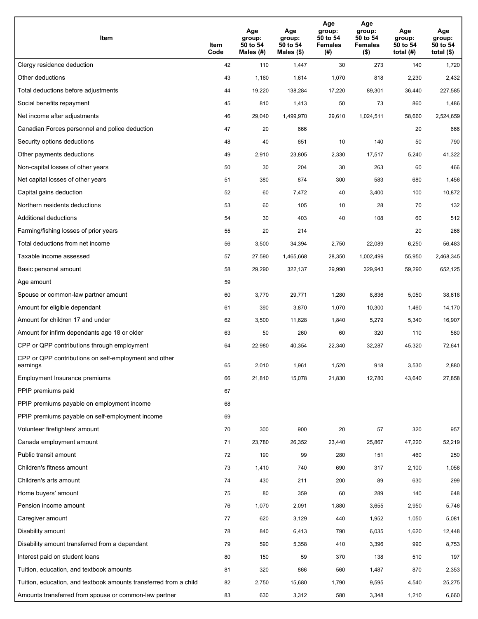| Item                                                              | Item<br>Code | Age<br>group:<br>50 to 54<br>Males (#) | Age<br>group:<br>50 to 54<br>Males (\$) | Age<br>group:<br>50 to 54<br><b>Females</b><br>(# ) | Age<br>group:<br>50 to 54<br><b>Females</b><br>$($ \$) | Age<br>group:<br>50 to 54<br>total $(H)$ | Age<br>group:<br>50 to 54<br>total $($)$ |
|-------------------------------------------------------------------|--------------|----------------------------------------|-----------------------------------------|-----------------------------------------------------|--------------------------------------------------------|------------------------------------------|------------------------------------------|
| Clergy residence deduction                                        | 42           | 110                                    | 1,447                                   | 30                                                  | 273                                                    | 140                                      | 1,720                                    |
| Other deductions                                                  | 43           | 1,160                                  | 1,614                                   | 1,070                                               | 818                                                    | 2,230                                    | 2,432                                    |
| Total deductions before adjustments                               | 44           | 19,220                                 | 138,284                                 | 17,220                                              | 89,301                                                 | 36,440                                   | 227,585                                  |
| Social benefits repayment                                         | 45           | 810                                    | 1,413                                   | 50                                                  | 73                                                     | 860                                      | 1,486                                    |
| Net income after adjustments                                      | 46           | 29,040                                 | 1,499,970                               | 29,610                                              | 1,024,511                                              | 58,660                                   | 2,524,659                                |
| Canadian Forces personnel and police deduction                    | 47           | 20                                     | 666                                     |                                                     |                                                        | 20                                       | 666                                      |
| Security options deductions                                       | 48           | 40                                     | 651                                     | 10                                                  | 140                                                    | 50                                       | 790                                      |
| Other payments deductions                                         | 49           | 2,910                                  | 23,805                                  | 2,330                                               | 17,517                                                 | 5,240                                    | 41,322                                   |
| Non-capital losses of other years                                 | 50           | 30                                     | 204                                     | 30                                                  | 263                                                    | 60                                       | 466                                      |
| Net capital losses of other years                                 | 51           | 380                                    | 874                                     | 300                                                 | 583                                                    | 680                                      | 1,456                                    |
| Capital gains deduction                                           | 52           | 60                                     | 7,472                                   | 40                                                  | 3,400                                                  | 100                                      | 10,872                                   |
| Northern residents deductions                                     | 53           | 60                                     | 105                                     | 10                                                  | 28                                                     | 70                                       | 132                                      |
| Additional deductions                                             | 54           | 30                                     | 403                                     | 40                                                  | 108                                                    | 60                                       | 512                                      |
| Farming/fishing losses of prior years                             | 55           | 20                                     | 214                                     |                                                     |                                                        | 20                                       | 266                                      |
| Total deductions from net income                                  | 56           | 3,500                                  | 34,394                                  | 2,750                                               | 22,089                                                 | 6,250                                    | 56,483                                   |
| Taxable income assessed                                           | 57           | 27,590                                 | 1,465,668                               | 28,350                                              | 1,002,499                                              | 55,950                                   | 2,468,345                                |
| Basic personal amount                                             | 58           | 29,290                                 | 322,137                                 | 29,990                                              | 329,943                                                | 59,290                                   | 652,125                                  |
| Age amount                                                        | 59           |                                        |                                         |                                                     |                                                        |                                          |                                          |
| Spouse or common-law partner amount                               | 60           | 3,770                                  | 29,771                                  | 1,280                                               | 8,836                                                  | 5,050                                    | 38,618                                   |
| Amount for eligible dependant                                     | 61           | 390                                    | 3,870                                   | 1,070                                               | 10,300                                                 | 1,460                                    | 14,170                                   |
| Amount for children 17 and under                                  | 62           | 3,500                                  | 11,628                                  | 1,840                                               | 5,279                                                  | 5,340                                    | 16,907                                   |
| Amount for infirm dependants age 18 or older                      | 63           | 50                                     | 260                                     | 60                                                  | 320                                                    | 110                                      | 580                                      |
| CPP or QPP contributions through employment                       | 64           | 22,980                                 | 40,354                                  | 22,340                                              | 32,287                                                 | 45,320                                   | 72,641                                   |
| CPP or QPP contributions on self-employment and other<br>earnings | 65           | 2,010                                  | 1,961                                   | 1.520                                               | 918                                                    | 3,530                                    | 2,880                                    |
| Employment Insurance premiums                                     | 66           | 21,810                                 | 15,078                                  | 21,830                                              | 12,780                                                 | 43,640                                   | 27,858                                   |
| PPIP premiums paid                                                | 67           |                                        |                                         |                                                     |                                                        |                                          |                                          |
| PPIP premiums payable on employment income                        | 68           |                                        |                                         |                                                     |                                                        |                                          |                                          |
| PPIP premiums payable on self-employment income                   | 69           |                                        |                                         |                                                     |                                                        |                                          |                                          |
| Volunteer firefighters' amount                                    | 70           | 300                                    | 900                                     | 20                                                  | 57                                                     | 320                                      | 957                                      |
| Canada employment amount                                          | 71           | 23,780                                 | 26,352                                  | 23,440                                              | 25,867                                                 | 47,220                                   | 52,219                                   |
| Public transit amount                                             | 72           | 190                                    | 99                                      | 280                                                 | 151                                                    | 460                                      | 250                                      |
| Children's fitness amount                                         | 73           | 1,410                                  | 740                                     | 690                                                 | 317                                                    | 2,100                                    | 1,058                                    |
| Children's arts amount                                            | 74           | 430                                    | 211                                     | 200                                                 | 89                                                     | 630                                      | 299                                      |
| Home buyers' amount                                               | 75           | 80                                     | 359                                     | 60                                                  | 289                                                    | 140                                      | 648                                      |
| Pension income amount                                             | 76           | 1,070                                  | 2,091                                   | 1,880                                               | 3,655                                                  | 2,950                                    | 5,746                                    |
| Caregiver amount                                                  | 77           | 620                                    | 3,129                                   | 440                                                 | 1,952                                                  | 1,050                                    | 5,081                                    |
| Disability amount                                                 | 78           | 840                                    | 6,413                                   | 790                                                 | 6,035                                                  | 1,620                                    | 12,448                                   |
| Disability amount transferred from a dependant                    | 79           | 590                                    | 5,358                                   | 410                                                 | 3,396                                                  | 990                                      | 8,753                                    |
| Interest paid on student loans                                    | 80           | 150                                    | 59                                      | 370                                                 | 138                                                    | 510                                      | 197                                      |
| Tuition, education, and textbook amounts                          | 81           | 320                                    | 866                                     | 560                                                 | 1,487                                                  | 870                                      | 2,353                                    |
| Tuition, education, and textbook amounts transferred from a child | 82           | 2,750                                  | 15,680                                  | 1,790                                               | 9,595                                                  | 4,540                                    | 25,275                                   |
| Amounts transferred from spouse or common-law partner             | 83           | 630                                    | 3,312                                   | 580                                                 | 3,348                                                  | 1,210                                    | 6,660                                    |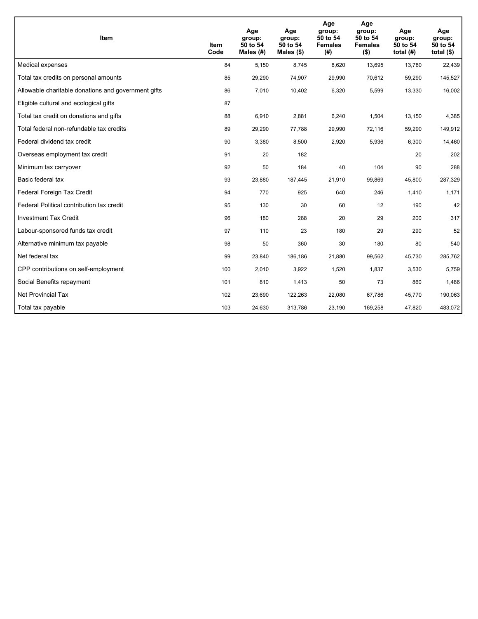| <b>Item</b>                                         | Item<br>Code | Age<br>group:<br>50 to 54<br>Males $(H)$ | Age<br>group:<br>50 to 54<br>Males $(\$)$ | Age<br>group:<br>50 to 54<br><b>Females</b><br>(#) | Age<br>group:<br>50 to 54<br><b>Females</b><br>$($ \$) | Age<br>group:<br>50 to 54<br>total $(H)$ | Age<br>group:<br>50 to 54<br>total $($)$ |
|-----------------------------------------------------|--------------|------------------------------------------|-------------------------------------------|----------------------------------------------------|--------------------------------------------------------|------------------------------------------|------------------------------------------|
| Medical expenses                                    | 84           | 5,150                                    | 8,745                                     | 8,620                                              | 13,695                                                 | 13,780                                   | 22,439                                   |
| Total tax credits on personal amounts               | 85           | 29,290                                   | 74,907                                    | 29,990                                             | 70,612                                                 | 59,290                                   | 145,527                                  |
| Allowable charitable donations and government gifts | 86           | 7,010                                    | 10,402                                    | 6,320                                              | 5,599                                                  | 13,330                                   | 16,002                                   |
| Eligible cultural and ecological gifts              | 87           |                                          |                                           |                                                    |                                                        |                                          |                                          |
| Total tax credit on donations and gifts             | 88           | 6,910                                    | 2,881                                     | 6,240                                              | 1,504                                                  | 13,150                                   | 4,385                                    |
| Total federal non-refundable tax credits            | 89           | 29,290                                   | 77,788                                    | 29,990                                             | 72,116                                                 | 59,290                                   | 149,912                                  |
| Federal dividend tax credit                         | 90           | 3,380                                    | 8,500                                     | 2,920                                              | 5,936                                                  | 6,300                                    | 14,460                                   |
| Overseas employment tax credit                      | 91           | 20                                       | 182                                       |                                                    |                                                        | 20                                       | 202                                      |
| Minimum tax carryover                               | 92           | 50                                       | 184                                       | 40                                                 | 104                                                    | 90                                       | 288                                      |
| Basic federal tax                                   | 93           | 23,880                                   | 187,445                                   | 21.910                                             | 99.869                                                 | 45,800                                   | 287,329                                  |
| Federal Foreign Tax Credit                          | 94           | 770                                      | 925                                       | 640                                                | 246                                                    | 1,410                                    | 1,171                                    |
| Federal Political contribution tax credit           | 95           | 130                                      | 30                                        | 60                                                 | 12                                                     | 190                                      | 42                                       |
| <b>Investment Tax Credit</b>                        | 96           | 180                                      | 288                                       | 20                                                 | 29                                                     | 200                                      | 317                                      |
| Labour-sponsored funds tax credit                   | 97           | 110                                      | 23                                        | 180                                                | 29                                                     | 290                                      | 52                                       |
| Alternative minimum tax payable                     | 98           | 50                                       | 360                                       | 30                                                 | 180                                                    | 80                                       | 540                                      |
| Net federal tax                                     | 99           | 23,840                                   | 186,186                                   | 21,880                                             | 99,562                                                 | 45,730                                   | 285,762                                  |
| CPP contributions on self-employment                | 100          | 2,010                                    | 3,922                                     | 1,520                                              | 1,837                                                  | 3,530                                    | 5,759                                    |
| Social Benefits repayment                           | 101          | 810                                      | 1,413                                     | 50                                                 | 73                                                     | 860                                      | 1,486                                    |
| Net Provincial Tax                                  | 102          | 23,690                                   | 122,263                                   | 22,080                                             | 67.786                                                 | 45,770                                   | 190,063                                  |
| Total tax payable                                   | 103          | 24,630                                   | 313,786                                   | 23,190                                             | 169,258                                                | 47,820                                   | 483,072                                  |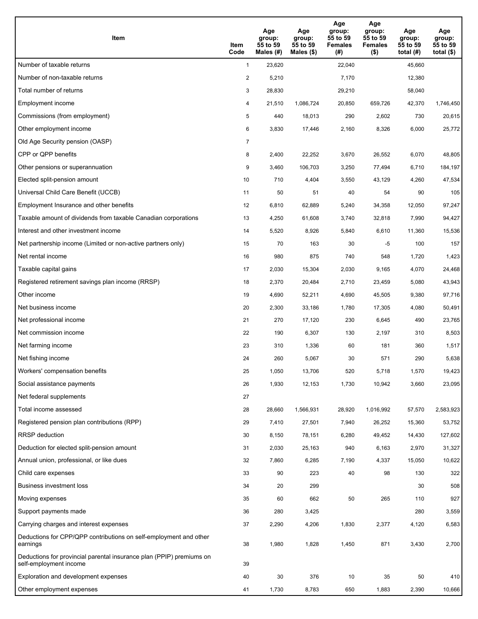| Item                                                                                           | Item<br>Code   | Age<br>group:<br>55 to 59<br>Males (#) | Age<br>group:<br>55 to 59<br>Males $(\$)$ | Age<br>group:<br>55 to 59<br><b>Females</b><br>(#) | Age<br>group:<br>55 to 59<br><b>Females</b><br>$($ \$) | Age<br>group:<br>55 to 59<br>total $(H)$ | Age<br>group:<br>55 to 59<br>total $($ |
|------------------------------------------------------------------------------------------------|----------------|----------------------------------------|-------------------------------------------|----------------------------------------------------|--------------------------------------------------------|------------------------------------------|----------------------------------------|
| Number of taxable returns                                                                      | $\mathbf{1}$   | 23,620                                 |                                           | 22,040                                             |                                                        | 45,660                                   |                                        |
| Number of non-taxable returns                                                                  | $\overline{a}$ | 5,210                                  |                                           | 7,170                                              |                                                        | 12,380                                   |                                        |
| Total number of returns                                                                        | 3              | 28,830                                 |                                           | 29,210                                             |                                                        | 58,040                                   |                                        |
| Employment income                                                                              | 4              | 21,510                                 | 1,086,724                                 | 20,850                                             | 659.726                                                | 42,370                                   | 1,746,450                              |
| Commissions (from employment)                                                                  | 5              | 440                                    | 18,013                                    | 290                                                | 2,602                                                  | 730                                      | 20,615                                 |
| Other employment income                                                                        | 6              | 3,830                                  | 17,446                                    | 2,160                                              | 8,326                                                  | 6,000                                    | 25,772                                 |
| Old Age Security pension (OASP)                                                                | 7              |                                        |                                           |                                                    |                                                        |                                          |                                        |
| CPP or QPP benefits                                                                            | 8              | 2,400                                  | 22,252                                    | 3,670                                              | 26,552                                                 | 6,070                                    | 48,805                                 |
| Other pensions or superannuation                                                               | 9              | 3,460                                  | 106,703                                   | 3,250                                              | 77,494                                                 | 6,710                                    | 184,197                                |
| Elected split-pension amount                                                                   | 10             | 710                                    | 4,404                                     | 3,550                                              | 43,129                                                 | 4,260                                    | 47,534                                 |
| Universal Child Care Benefit (UCCB)                                                            | 11             | 50                                     | 51                                        | 40                                                 | 54                                                     | 90                                       | 105                                    |
| Employment Insurance and other benefits                                                        | 12             | 6,810                                  | 62,889                                    | 5,240                                              | 34,358                                                 | 12,050                                   | 97,247                                 |
| Taxable amount of dividends from taxable Canadian corporations                                 | 13             | 4,250                                  | 61,608                                    | 3,740                                              | 32,818                                                 | 7,990                                    | 94,427                                 |
| Interest and other investment income                                                           | 14             | 5,520                                  | 8,926                                     | 5,840                                              | 6,610                                                  | 11,360                                   | 15,536                                 |
| Net partnership income (Limited or non-active partners only)                                   | 15             | 70                                     | 163                                       | 30                                                 | $-5$                                                   | 100                                      | 157                                    |
| Net rental income                                                                              | 16             | 980                                    | 875                                       | 740                                                | 548                                                    | 1,720                                    | 1,423                                  |
| Taxable capital gains                                                                          | 17             | 2,030                                  | 15,304                                    | 2,030                                              | 9,165                                                  | 4,070                                    | 24,468                                 |
| Registered retirement savings plan income (RRSP)                                               | 18             | 2,370                                  | 20,484                                    | 2,710                                              | 23,459                                                 | 5,080                                    | 43,943                                 |
| Other income                                                                                   | 19             | 4,690                                  | 52,211                                    | 4,690                                              | 45,505                                                 | 9,380                                    | 97,716                                 |
| Net business income                                                                            | 20             | 2,300                                  | 33,186                                    | 1,780                                              | 17,305                                                 | 4,080                                    | 50,491                                 |
| Net professional income                                                                        | 21             | 270                                    | 17,120                                    | 230                                                | 6,645                                                  | 490                                      | 23,765                                 |
| Net commission income                                                                          | 22             | 190                                    | 6,307                                     | 130                                                | 2,197                                                  | 310                                      | 8,503                                  |
| Net farming income                                                                             | 23             | 310                                    | 1,336                                     | 60                                                 | 181                                                    | 360                                      | 1,517                                  |
| Net fishing income                                                                             | 24             | 260                                    | 5,067                                     | 30                                                 | 571                                                    | 290                                      | 5,638                                  |
| Workers' compensation benefits                                                                 | 25             | 1,050                                  | 13,706                                    | 520                                                | 5,718                                                  | 1,570                                    | 19,423                                 |
| Social assistance payments                                                                     | 26             | 1,930                                  | 12,153                                    | 1,730                                              | 10,942                                                 | 3,660                                    | 23,095                                 |
| Net federal supplements                                                                        | 27             |                                        |                                           |                                                    |                                                        |                                          |                                        |
| Total income assessed                                                                          | 28             | 28,660                                 | 1,566,931                                 | 28,920                                             | 1,016,992                                              | 57,570                                   | 2,583,923                              |
| Registered pension plan contributions (RPP)                                                    | 29             | 7,410                                  | 27,501                                    | 7,940                                              | 26,252                                                 | 15,360                                   | 53,752                                 |
| <b>RRSP</b> deduction                                                                          | 30             | 8,150                                  | 78,151                                    | 6,280                                              | 49,452                                                 | 14,430                                   | 127,602                                |
| Deduction for elected split-pension amount                                                     | 31             | 2,030                                  | 25,163                                    | 940                                                | 6,163                                                  | 2,970                                    | 31,327                                 |
| Annual union, professional, or like dues                                                       | 32             | 7,860                                  | 6,285                                     | 7,190                                              | 4,337                                                  | 15,050                                   | 10,622                                 |
| Child care expenses                                                                            | 33             | 90                                     | 223                                       | 40                                                 | 98                                                     | 130                                      | 322                                    |
| Business investment loss                                                                       | 34             | 20                                     | 299                                       |                                                    |                                                        | 30                                       | 508                                    |
| Moving expenses                                                                                | 35             | 60                                     | 662                                       | 50                                                 | 265                                                    | 110                                      | 927                                    |
| Support payments made                                                                          | 36             | 280                                    | 3,425                                     |                                                    |                                                        | 280                                      | 3,559                                  |
| Carrying charges and interest expenses                                                         | 37             | 2,290                                  | 4,206                                     | 1,830                                              | 2,377                                                  | 4,120                                    | 6,583                                  |
| Deductions for CPP/QPP contributions on self-employment and other<br>earnings                  | 38             | 1,980                                  | 1,828                                     | 1,450                                              | 871                                                    | 3,430                                    | 2,700                                  |
| Deductions for provincial parental insurance plan (PPIP) premiums on<br>self-employment income | 39             |                                        |                                           |                                                    |                                                        |                                          |                                        |
| Exploration and development expenses                                                           | 40             | 30                                     | 376                                       | 10                                                 | 35                                                     | 50                                       | 410                                    |
| Other employment expenses                                                                      | 41             | 1,730                                  | 8,783                                     | 650                                                | 1,883                                                  | 2,390                                    | 10,666                                 |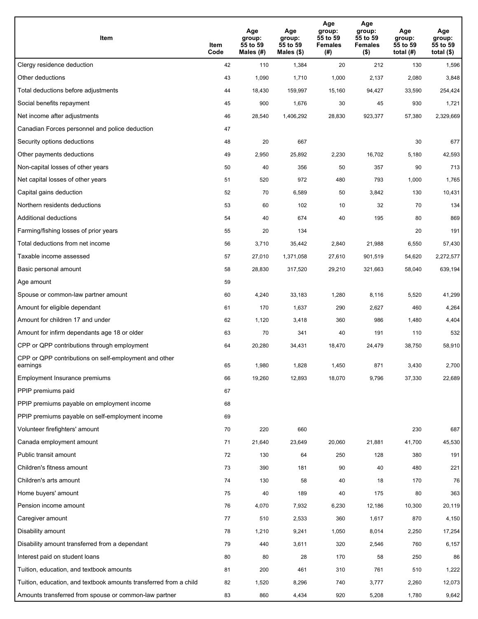| Item                                                              | Item<br>Code | Age<br>group:<br>55 to 59<br>Males (#) | Age<br>group:<br>55 to 59<br>Males (\$) | Age<br>group:<br>55 to 59<br><b>Females</b><br>(# ) | Age<br>group:<br>55 to 59<br><b>Females</b><br>$($ \$) | Age<br>group:<br>55 to 59<br>total $(H)$ | Age<br>group:<br>55 to 59<br>total $($)$ |
|-------------------------------------------------------------------|--------------|----------------------------------------|-----------------------------------------|-----------------------------------------------------|--------------------------------------------------------|------------------------------------------|------------------------------------------|
| Clergy residence deduction                                        | 42           | 110                                    | 1,384                                   | 20                                                  | 212                                                    | 130                                      | 1,596                                    |
| Other deductions                                                  | 43           | 1,090                                  | 1,710                                   | 1,000                                               | 2,137                                                  | 2,080                                    | 3,848                                    |
| Total deductions before adjustments                               | 44           | 18,430                                 | 159,997                                 | 15,160                                              | 94,427                                                 | 33,590                                   | 254,424                                  |
| Social benefits repayment                                         | 45           | 900                                    | 1,676                                   | 30                                                  | 45                                                     | 930                                      | 1,721                                    |
| Net income after adjustments                                      | 46           | 28,540                                 | 1,406,292                               | 28,830                                              | 923,377                                                | 57,380                                   | 2,329,669                                |
| Canadian Forces personnel and police deduction                    | 47           |                                        |                                         |                                                     |                                                        |                                          |                                          |
| Security options deductions                                       | 48           | 20                                     | 667                                     |                                                     |                                                        | 30                                       | 677                                      |
| Other payments deductions                                         | 49           | 2,950                                  | 25,892                                  | 2,230                                               | 16,702                                                 | 5,180                                    | 42,593                                   |
| Non-capital losses of other years                                 | 50           | 40                                     | 356                                     | 50                                                  | 357                                                    | 90                                       | 713                                      |
| Net capital losses of other years                                 | 51           | 520                                    | 972                                     | 480                                                 | 793                                                    | 1,000                                    | 1,765                                    |
| Capital gains deduction                                           | 52           | 70                                     | 6,589                                   | 50                                                  | 3,842                                                  | 130                                      | 10,431                                   |
| Northern residents deductions                                     | 53           | 60                                     | 102                                     | 10                                                  | 32                                                     | 70                                       | 134                                      |
| Additional deductions                                             | 54           | 40                                     | 674                                     | 40                                                  | 195                                                    | 80                                       | 869                                      |
| Farming/fishing losses of prior years                             | 55           | 20                                     | 134                                     |                                                     |                                                        | 20                                       | 191                                      |
| Total deductions from net income                                  | 56           | 3,710                                  | 35,442                                  | 2,840                                               | 21,988                                                 | 6,550                                    | 57,430                                   |
| Taxable income assessed                                           | 57           | 27,010                                 | 1,371,058                               | 27,610                                              | 901,519                                                | 54,620                                   | 2,272,577                                |
| Basic personal amount                                             | 58           | 28,830                                 | 317,520                                 | 29,210                                              | 321,663                                                | 58,040                                   | 639,194                                  |
| Age amount                                                        | 59           |                                        |                                         |                                                     |                                                        |                                          |                                          |
| Spouse or common-law partner amount                               | 60           | 4,240                                  | 33,183                                  | 1,280                                               | 8,116                                                  | 5,520                                    | 41,299                                   |
| Amount for eligible dependant                                     | 61           | 170                                    | 1,637                                   | 290                                                 | 2,627                                                  | 460                                      | 4,264                                    |
| Amount for children 17 and under                                  | 62           | 1,120                                  | 3,418                                   | 360                                                 | 986                                                    | 1,480                                    | 4,404                                    |
| Amount for infirm dependants age 18 or older                      | 63           | 70                                     | 341                                     | 40                                                  | 191                                                    | 110                                      | 532                                      |
| CPP or QPP contributions through employment                       | 64           | 20,280                                 | 34,431                                  | 18,470                                              | 24,479                                                 | 38,750                                   | 58,910                                   |
| CPP or QPP contributions on self-employment and other<br>earnings | 65           | 1,980                                  | 1,828                                   | 1.450                                               | 871                                                    | 3,430                                    | 2,700                                    |
| Employment Insurance premiums                                     | 66           | 19,260                                 | 12,893                                  | 18,070                                              | 9,796                                                  | 37,330                                   | 22,689                                   |
| PPIP premiums paid                                                | 67           |                                        |                                         |                                                     |                                                        |                                          |                                          |
| PPIP premiums payable on employment income                        | 68           |                                        |                                         |                                                     |                                                        |                                          |                                          |
| PPIP premiums payable on self-employment income                   | 69           |                                        |                                         |                                                     |                                                        |                                          |                                          |
| Volunteer firefighters' amount                                    | 70           | 220                                    | 660                                     |                                                     |                                                        | 230                                      | 687                                      |
| Canada employment amount                                          | 71           | 21,640                                 | 23,649                                  | 20,060                                              | 21,881                                                 | 41,700                                   | 45,530                                   |
| Public transit amount                                             | 72           | 130                                    | 64                                      | 250                                                 | 128                                                    | 380                                      | 191                                      |
| Children's fitness amount                                         | 73           | 390                                    | 181                                     | 90                                                  | 40                                                     | 480                                      | 221                                      |
| Children's arts amount                                            | 74           | 130                                    | 58                                      | 40                                                  | 18                                                     | 170                                      | 76                                       |
| Home buyers' amount                                               | 75           | 40                                     | 189                                     | 40                                                  | 175                                                    | 80                                       | 363                                      |
| Pension income amount                                             | 76           | 4,070                                  | 7,932                                   | 6,230                                               | 12,186                                                 | 10,300                                   | 20,119                                   |
| Caregiver amount                                                  | 77           | 510                                    | 2,533                                   | 360                                                 | 1,617                                                  | 870                                      | 4,150                                    |
| Disability amount                                                 | 78           | 1,210                                  | 9,241                                   | 1,050                                               | 8,014                                                  | 2,250                                    | 17,254                                   |
| Disability amount transferred from a dependant                    | 79           | 440                                    | 3,611                                   | 320                                                 | 2,546                                                  | 760                                      | 6,157                                    |
| Interest paid on student loans                                    | 80           | 80                                     | 28                                      | 170                                                 | 58                                                     | 250                                      | 86                                       |
| Tuition, education, and textbook amounts                          | 81           | 200                                    | 461                                     | 310                                                 | 761                                                    | 510                                      | 1,222                                    |
| Tuition, education, and textbook amounts transferred from a child | 82           | 1,520                                  | 8,296                                   | 740                                                 | 3,777                                                  | 2,260                                    | 12,073                                   |
| Amounts transferred from spouse or common-law partner             | 83           | 860                                    | 4,434                                   | 920                                                 | 5,208                                                  | 1,780                                    | 9,642                                    |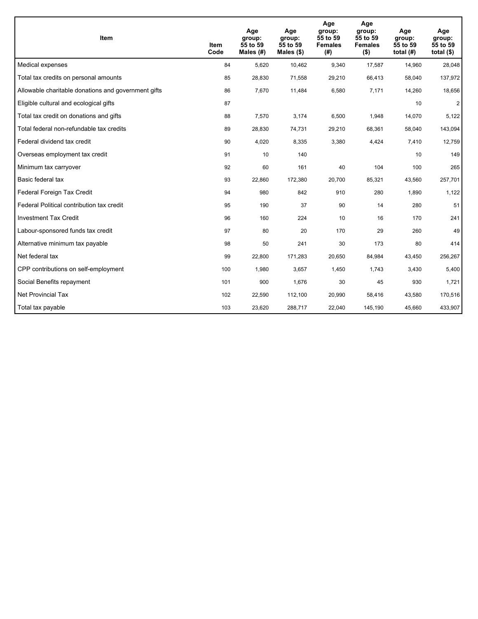| <b>Item</b>                                         | Item<br>Code | Age<br>group:<br>55 to 59<br>Males $(H)$ | Age<br>group:<br>55 to 59<br>Males $(\$)$ | Age<br>group:<br>55 to 59<br><b>Females</b><br>(# ) | Age<br>group:<br>55 to 59<br><b>Females</b><br>$($ \$) | Age<br>group:<br>55 to 59<br>total $(H)$ | Age<br>group:<br>55 to 59<br>total $($)$ |
|-----------------------------------------------------|--------------|------------------------------------------|-------------------------------------------|-----------------------------------------------------|--------------------------------------------------------|------------------------------------------|------------------------------------------|
| Medical expenses                                    | 84           | 5,620                                    | 10,462                                    | 9,340                                               | 17,587                                                 | 14,960                                   | 28,048                                   |
| Total tax credits on personal amounts               | 85           | 28,830                                   | 71,558                                    | 29,210                                              | 66,413                                                 | 58,040                                   | 137,972                                  |
| Allowable charitable donations and government gifts | 86           | 7,670                                    | 11,484                                    | 6,580                                               | 7,171                                                  | 14,260                                   | 18,656                                   |
| Eligible cultural and ecological gifts              | 87           |                                          |                                           |                                                     |                                                        | 10                                       | $\overline{a}$                           |
| Total tax credit on donations and gifts             | 88           | 7,570                                    | 3,174                                     | 6,500                                               | 1,948                                                  | 14,070                                   | 5,122                                    |
| Total federal non-refundable tax credits            | 89           | 28,830                                   | 74,731                                    | 29,210                                              | 68,361                                                 | 58,040                                   | 143,094                                  |
| Federal dividend tax credit                         | 90           | 4,020                                    | 8,335                                     | 3,380                                               | 4,424                                                  | 7,410                                    | 12,759                                   |
| Overseas employment tax credit                      | 91           | 10                                       | 140                                       |                                                     |                                                        | 10                                       | 149                                      |
| Minimum tax carryover                               | 92           | 60                                       | 161                                       | 40                                                  | 104                                                    | 100                                      | 265                                      |
| Basic federal tax                                   | 93           | 22,860                                   | 172,380                                   | 20.700                                              | 85,321                                                 | 43.560                                   | 257,701                                  |
| Federal Foreign Tax Credit                          | 94           | 980                                      | 842                                       | 910                                                 | 280                                                    | 1,890                                    | 1,122                                    |
| Federal Political contribution tax credit           | 95           | 190                                      | 37                                        | 90                                                  | 14                                                     | 280                                      | 51                                       |
| <b>Investment Tax Credit</b>                        | 96           | 160                                      | 224                                       | 10                                                  | 16                                                     | 170                                      | 241                                      |
| Labour-sponsored funds tax credit                   | 97           | 80                                       | 20                                        | 170                                                 | 29                                                     | 260                                      | 49                                       |
| Alternative minimum tax payable                     | 98           | 50                                       | 241                                       | 30                                                  | 173                                                    | 80                                       | 414                                      |
| Net federal tax                                     | 99           | 22,800                                   | 171,283                                   | 20,650                                              | 84,984                                                 | 43,450                                   | 256,267                                  |
| CPP contributions on self-employment                | 100          | 1,980                                    | 3,657                                     | 1,450                                               | 1,743                                                  | 3,430                                    | 5,400                                    |
| Social Benefits repayment                           | 101          | 900                                      | 1,676                                     | 30                                                  | 45                                                     | 930                                      | 1,721                                    |
| Net Provincial Tax                                  | 102          | 22,590                                   | 112,100                                   | 20,990                                              | 58,416                                                 | 43,580                                   | 170,516                                  |
| Total tax payable                                   | 103          | 23,620                                   | 288,717                                   | 22,040                                              | 145,190                                                | 45,660                                   | 433,907                                  |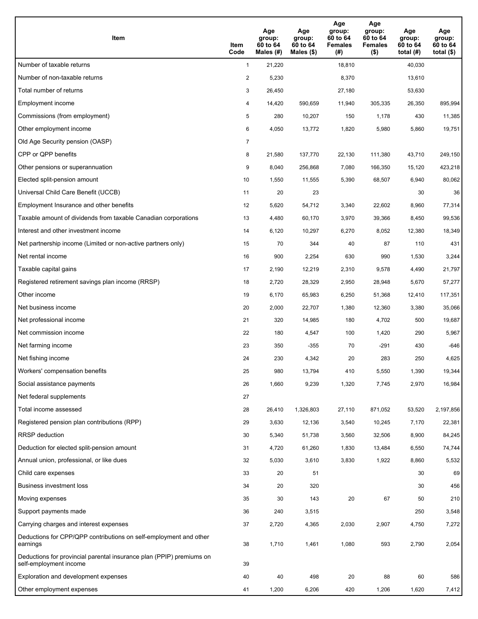| Item                                                                                           | Item<br>Code   | Age<br>group:<br>60 to 64<br>Males (#) | Age<br>group:<br>60 to 64<br>Males $(\$)$ | Age<br>group:<br>60 to 64<br><b>Females</b><br>(#) | Age<br>group:<br>60 to 64<br><b>Females</b><br>$($ \$) | Age<br>group:<br>60 to 64<br>total $(H)$ | Age<br>group:<br>60 to 64<br>total $($ |
|------------------------------------------------------------------------------------------------|----------------|----------------------------------------|-------------------------------------------|----------------------------------------------------|--------------------------------------------------------|------------------------------------------|----------------------------------------|
| Number of taxable returns                                                                      | $\mathbf{1}$   | 21,220                                 |                                           | 18,810                                             |                                                        | 40,030                                   |                                        |
| Number of non-taxable returns                                                                  | $\overline{a}$ | 5,230                                  |                                           | 8,370                                              |                                                        | 13,610                                   |                                        |
| Total number of returns                                                                        | 3              | 26,450                                 |                                           | 27,180                                             |                                                        | 53,630                                   |                                        |
| Employment income                                                                              | 4              | 14,420                                 | 590.659                                   | 11,940                                             | 305.335                                                | 26,350                                   | 895,994                                |
| Commissions (from employment)                                                                  | 5              | 280                                    | 10,207                                    | 150                                                | 1,178                                                  | 430                                      | 11,385                                 |
| Other employment income                                                                        | 6              | 4,050                                  | 13,772                                    | 1,820                                              | 5,980                                                  | 5,860                                    | 19,751                                 |
| Old Age Security pension (OASP)                                                                | $\overline{7}$ |                                        |                                           |                                                    |                                                        |                                          |                                        |
| CPP or QPP benefits                                                                            | 8              | 21,580                                 | 137,770                                   | 22,130                                             | 111,380                                                | 43,710                                   | 249,150                                |
| Other pensions or superannuation                                                               | 9              | 8,040                                  | 256,868                                   | 7,080                                              | 166,350                                                | 15,120                                   | 423,218                                |
| Elected split-pension amount                                                                   | 10             | 1,550                                  | 11,555                                    | 5,390                                              | 68,507                                                 | 6,940                                    | 80,062                                 |
| Universal Child Care Benefit (UCCB)                                                            | 11             | 20                                     | 23                                        |                                                    |                                                        | 30                                       | 36                                     |
| Employment Insurance and other benefits                                                        | 12             | 5,620                                  | 54,712                                    | 3,340                                              | 22,602                                                 | 8,960                                    | 77,314                                 |
| Taxable amount of dividends from taxable Canadian corporations                                 | 13             | 4,480                                  | 60,170                                    | 3,970                                              | 39,366                                                 | 8,450                                    | 99,536                                 |
| Interest and other investment income                                                           | 14             | 6,120                                  | 10,297                                    | 6,270                                              | 8,052                                                  | 12,380                                   | 18,349                                 |
| Net partnership income (Limited or non-active partners only)                                   | 15             | 70                                     | 344                                       | 40                                                 | 87                                                     | 110                                      | 431                                    |
| Net rental income                                                                              | 16             | 900                                    | 2,254                                     | 630                                                | 990                                                    | 1,530                                    | 3,244                                  |
| Taxable capital gains                                                                          | 17             | 2,190                                  | 12,219                                    | 2,310                                              | 9,578                                                  | 4,490                                    | 21,797                                 |
| Registered retirement savings plan income (RRSP)                                               | 18             | 2,720                                  | 28,329                                    | 2,950                                              | 28,948                                                 | 5,670                                    | 57,277                                 |
| Other income                                                                                   | 19             | 6,170                                  | 65,983                                    | 6,250                                              | 51,368                                                 | 12,410                                   | 117,351                                |
| Net business income                                                                            | 20             | 2,000                                  | 22,707                                    | 1,380                                              | 12,360                                                 | 3,380                                    | 35,066                                 |
| Net professional income                                                                        | 21             | 320                                    | 14,985                                    | 180                                                | 4,702                                                  | 500                                      | 19,687                                 |
| Net commission income                                                                          | 22             | 180                                    | 4,547                                     | 100                                                | 1,420                                                  | 290                                      | 5,967                                  |
| Net farming income                                                                             | 23             | 350                                    | $-355$                                    | 70                                                 | $-291$                                                 | 430                                      | $-646$                                 |
| Net fishing income                                                                             | 24             | 230                                    | 4,342                                     | 20                                                 | 283                                                    | 250                                      | 4,625                                  |
| Workers' compensation benefits                                                                 | 25             | 980                                    | 13,794                                    | 410                                                | 5,550                                                  | 1,390                                    | 19,344                                 |
| Social assistance payments                                                                     | 26             | 1,660                                  | 9,239                                     | 1,320                                              | 7,745                                                  | 2,970                                    | 16,984                                 |
| Net federal supplements                                                                        | 27             |                                        |                                           |                                                    |                                                        |                                          |                                        |
| Total income assessed                                                                          | 28             | 26,410                                 | 1,326,803                                 | 27,110                                             | 871,052                                                | 53,520                                   | 2,197,856                              |
| Registered pension plan contributions (RPP)                                                    | 29             | 3,630                                  | 12,136                                    | 3,540                                              | 10,245                                                 | 7,170                                    | 22,381                                 |
| <b>RRSP</b> deduction                                                                          | 30             | 5,340                                  | 51,738                                    | 3,560                                              | 32,506                                                 | 8,900                                    | 84,245                                 |
| Deduction for elected split-pension amount                                                     | 31             | 4,720                                  | 61,260                                    | 1,830                                              | 13,484                                                 | 6,550                                    | 74,744                                 |
| Annual union, professional, or like dues                                                       | 32             | 5,030                                  | 3,610                                     | 3,830                                              | 1,922                                                  | 8,860                                    | 5,532                                  |
| Child care expenses                                                                            | 33             | 20                                     | 51                                        |                                                    |                                                        | 30                                       | 69                                     |
| Business investment loss                                                                       | 34             | 20                                     | 320                                       |                                                    |                                                        | 30                                       | 456                                    |
| Moving expenses                                                                                | 35             | 30                                     | 143                                       | 20                                                 | 67                                                     | 50                                       | 210                                    |
| Support payments made                                                                          | 36             | 240                                    | 3,515                                     |                                                    |                                                        | 250                                      | 3,548                                  |
| Carrying charges and interest expenses                                                         | 37             | 2,720                                  | 4,365                                     | 2,030                                              | 2,907                                                  | 4,750                                    | 7,272                                  |
| Deductions for CPP/QPP contributions on self-employment and other<br>earnings                  | 38             | 1,710                                  | 1,461                                     | 1,080                                              | 593                                                    | 2,790                                    | 2,054                                  |
| Deductions for provincial parental insurance plan (PPIP) premiums on<br>self-employment income | 39             |                                        |                                           |                                                    |                                                        |                                          |                                        |
| Exploration and development expenses                                                           | 40             | 40                                     | 498                                       | 20                                                 | 88                                                     | 60                                       | 586                                    |
| Other employment expenses                                                                      | 41             | 1,200                                  | 6,206                                     | 420                                                | 1,206                                                  | 1,620                                    | 7,412                                  |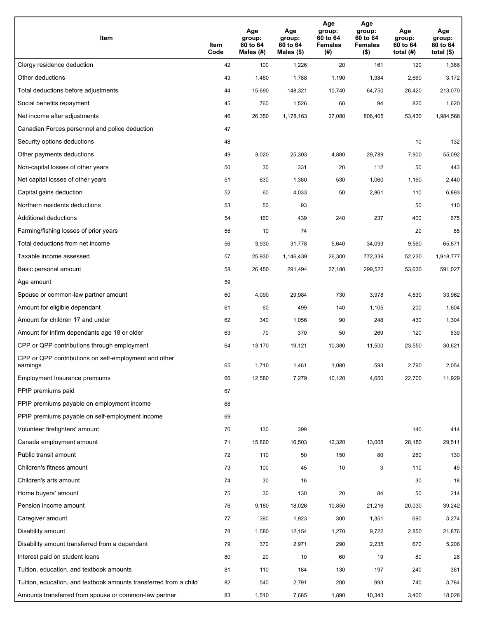| Item                                                              | Item<br>Code | Age<br>group:<br>60 to 64<br>Males (#) | Age<br>group:<br>60 to 64<br>Males (\$) | Age<br>group:<br>60 to 64<br><b>Females</b><br>(# ) | Age<br>group:<br>60 to 64<br><b>Females</b><br>$($ \$) | Age<br>group:<br>60 to 64<br>total $(H)$ | Age<br>group:<br>60 to 64<br>total $($)$ |
|-------------------------------------------------------------------|--------------|----------------------------------------|-----------------------------------------|-----------------------------------------------------|--------------------------------------------------------|------------------------------------------|------------------------------------------|
| Clergy residence deduction                                        | 42           | 100                                    | 1,226                                   | 20                                                  | 161                                                    | 120                                      | 1,386                                    |
| Other deductions                                                  | 43           | 1,480                                  | 1,788                                   | 1,190                                               | 1,384                                                  | 2,660                                    | 3,172                                    |
| Total deductions before adjustments                               | 44           | 15,690                                 | 148,321                                 | 10,740                                              | 64,750                                                 | 26,420                                   | 213,070                                  |
| Social benefits repayment                                         | 45           | 760                                    | 1,526                                   | 60                                                  | 94                                                     | 820                                      | 1,620                                    |
| Net income after adjustments                                      | 46           | 26,350                                 | 1,178,163                               | 27,080                                              | 806,405                                                | 53,430                                   | 1,984,568                                |
| Canadian Forces personnel and police deduction                    | 47           |                                        |                                         |                                                     |                                                        |                                          |                                          |
| Security options deductions                                       | 48           |                                        |                                         |                                                     |                                                        | 10                                       | 132                                      |
| Other payments deductions                                         | 49           | 3,020                                  | 25,303                                  | 4,880                                               | 29,789                                                 | 7,900                                    | 55,092                                   |
| Non-capital losses of other years                                 | 50           | 30                                     | 331                                     | 20                                                  | 112                                                    | 50                                       | 443                                      |
| Net capital losses of other years                                 | 51           | 630                                    | 1,380                                   | 530                                                 | 1,060                                                  | 1,160                                    | 2,440                                    |
| Capital gains deduction                                           | 52           | 60                                     | 4,033                                   | 50                                                  | 2,861                                                  | 110                                      | 6,893                                    |
| Northern residents deductions                                     | 53           | 50                                     | 93                                      |                                                     |                                                        | 50                                       | 110                                      |
| Additional deductions                                             | 54           | 160                                    | 439                                     | 240                                                 | 237                                                    | 400                                      | 675                                      |
| Farming/fishing losses of prior years                             | 55           | 10                                     | 74                                      |                                                     |                                                        | 20                                       | 85                                       |
| Total deductions from net income                                  | 56           | 3,930                                  | 31,778                                  | 5,640                                               | 34,093                                                 | 9,560                                    | 65,871                                   |
| Taxable income assessed                                           | 57           | 25,930                                 | 1,146,439                               | 26,300                                              | 772,339                                                | 52,230                                   | 1,918,777                                |
| Basic personal amount                                             | 58           | 26,450                                 | 291,494                                 | 27,180                                              | 299,522                                                | 53,630                                   | 591,027                                  |
| Age amount                                                        | 59           |                                        |                                         |                                                     |                                                        |                                          |                                          |
| Spouse or common-law partner amount                               | 60           | 4,090                                  | 29,984                                  | 730                                                 | 3,978                                                  | 4,830                                    | 33,962                                   |
| Amount for eligible dependant                                     | 61           | 60                                     | 499                                     | 140                                                 | 1,105                                                  | 200                                      | 1,604                                    |
| Amount for children 17 and under                                  | 62           | 340                                    | 1,056                                   | 90                                                  | 248                                                    | 430                                      | 1,304                                    |
| Amount for infirm dependants age 18 or older                      | 63           | 70                                     | 370                                     | 50                                                  | 269                                                    | 120                                      | 639                                      |
| CPP or QPP contributions through employment                       | 64           | 13,170                                 | 19,121                                  | 10,380                                              | 11,500                                                 | 23,550                                   | 30,621                                   |
| CPP or QPP contributions on self-employment and other<br>earnings | 65           | 1.710                                  | 1,461                                   | 1.080                                               | 593                                                    | 2,790                                    | 2,054                                    |
| Employment Insurance premiums                                     | 66           | 12,580                                 | 7,279                                   | 10,120                                              | 4,650                                                  | 22,700                                   | 11,929                                   |
| PPIP premiums paid                                                | 67           |                                        |                                         |                                                     |                                                        |                                          |                                          |
| PPIP premiums payable on employment income                        | 68           |                                        |                                         |                                                     |                                                        |                                          |                                          |
| PPIP premiums payable on self-employment income                   | 69           |                                        |                                         |                                                     |                                                        |                                          |                                          |
| Volunteer firefighters' amount                                    | 70           | 130                                    | 399                                     |                                                     |                                                        | 140                                      | 414                                      |
| Canada employment amount                                          | 71           | 15,860                                 | 16,503                                  | 12,320                                              | 13,008                                                 | 28,180                                   | 29,511                                   |
| Public transit amount                                             | 72           | 110                                    | 50                                      | 150                                                 | 80                                                     | 260                                      | 130                                      |
| Children's fitness amount                                         | 73           | 100                                    | 45                                      | 10                                                  | 3                                                      | 110                                      | 49                                       |
| Children's arts amount                                            | 74           | 30                                     | 16                                      |                                                     |                                                        | 30                                       | 18                                       |
| Home buyers' amount                                               | 75           | 30                                     | 130                                     | 20                                                  | 84                                                     | 50                                       | 214                                      |
| Pension income amount                                             | 76           | 9,180                                  | 18,026                                  | 10,850                                              | 21,216                                                 | 20,030                                   | 39,242                                   |
| Caregiver amount                                                  | 77           | 390                                    | 1,923                                   | 300                                                 | 1,351                                                  | 690                                      | 3,274                                    |
| Disability amount                                                 | 78           | 1,580                                  | 12,154                                  | 1,270                                               | 9,722                                                  | 2,850                                    | 21,876                                   |
| Disability amount transferred from a dependant                    | 79           | 370                                    | 2,971                                   | 290                                                 | 2,235                                                  | 670                                      | 5,206                                    |
| Interest paid on student loans                                    | 80           | 20                                     | 10                                      | 60                                                  | 19                                                     | 80                                       | 28                                       |
| Tuition, education, and textbook amounts                          | 81           | 110                                    | 184                                     | 130                                                 | 197                                                    | 240                                      | 381                                      |
| Tuition, education, and textbook amounts transferred from a child | 82           | 540                                    | 2,791                                   | 200                                                 | 993                                                    | 740                                      | 3,784                                    |
| Amounts transferred from spouse or common-law partner             | 83           | 1,510                                  | 7,685                                   | 1,890                                               | 10,343                                                 | 3,400                                    | 18,028                                   |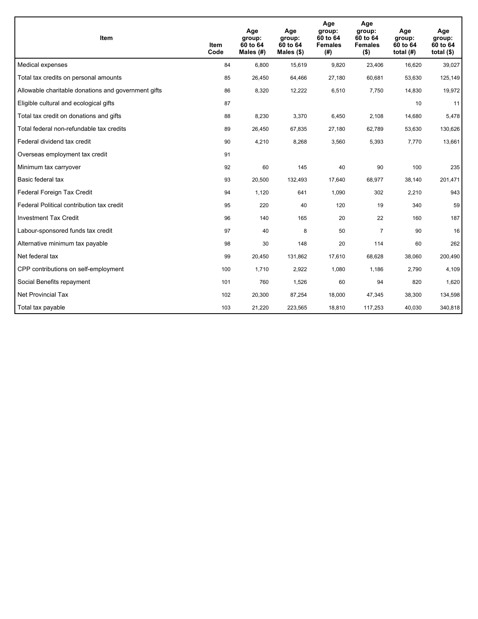| <b>Item</b>                                         | Item<br>Code | Age<br>group:<br>60 to 64<br>Males $(H)$ | Age<br>group:<br>60 to 64<br>Males $(\$)$ | Age<br>group:<br>60 to 64<br><b>Females</b><br>(#) | Age<br>group:<br>60 to 64<br><b>Females</b><br>$($ \$) | Age<br>group:<br>60 to 64<br>total $(H)$ | Age<br>group:<br>60 to 64<br>total $($)$ |
|-----------------------------------------------------|--------------|------------------------------------------|-------------------------------------------|----------------------------------------------------|--------------------------------------------------------|------------------------------------------|------------------------------------------|
| Medical expenses                                    | 84           | 6,800                                    | 15,619                                    | 9,820                                              | 23,406                                                 | 16,620                                   | 39,027                                   |
| Total tax credits on personal amounts               | 85           | 26,450                                   | 64,466                                    | 27,180                                             | 60,681                                                 | 53,630                                   | 125,149                                  |
| Allowable charitable donations and government gifts | 86           | 8,320                                    | 12,222                                    | 6,510                                              | 7,750                                                  | 14,830                                   | 19,972                                   |
| Eligible cultural and ecological gifts              | 87           |                                          |                                           |                                                    |                                                        | 10                                       | 11                                       |
| Total tax credit on donations and gifts             | 88           | 8,230                                    | 3,370                                     | 6,450                                              | 2,108                                                  | 14,680                                   | 5,478                                    |
| Total federal non-refundable tax credits            | 89           | 26,450                                   | 67,835                                    | 27,180                                             | 62,789                                                 | 53,630                                   | 130,626                                  |
| Federal dividend tax credit                         | 90           | 4,210                                    | 8,268                                     | 3,560                                              | 5,393                                                  | 7,770                                    | 13,661                                   |
| Overseas employment tax credit                      | 91           |                                          |                                           |                                                    |                                                        |                                          |                                          |
| Minimum tax carryover                               | 92           | 60                                       | 145                                       | 40                                                 | 90                                                     | 100                                      | 235                                      |
| Basic federal tax                                   | 93           | 20,500                                   | 132,493                                   | 17,640                                             | 68,977                                                 | 38,140                                   | 201,471                                  |
| Federal Foreign Tax Credit                          | 94           | 1,120                                    | 641                                       | 1,090                                              | 302                                                    | 2,210                                    | 943                                      |
| Federal Political contribution tax credit           | 95           | 220                                      | 40                                        | 120                                                | 19                                                     | 340                                      | 59                                       |
| <b>Investment Tax Credit</b>                        | 96           | 140                                      | 165                                       | 20                                                 | 22                                                     | 160                                      | 187                                      |
| Labour-sponsored funds tax credit                   | 97           | 40                                       | 8                                         | 50                                                 | $\overline{7}$                                         | 90                                       | 16                                       |
| Alternative minimum tax payable                     | 98           | 30                                       | 148                                       | 20                                                 | 114                                                    | 60                                       | 262                                      |
| Net federal tax                                     | 99           | 20,450                                   | 131,862                                   | 17,610                                             | 68,628                                                 | 38,060                                   | 200,490                                  |
| CPP contributions on self-employment                | 100          | 1,710                                    | 2,922                                     | 1,080                                              | 1,186                                                  | 2,790                                    | 4,109                                    |
| Social Benefits repayment                           | 101          | 760                                      | 1,526                                     | 60                                                 | 94                                                     | 820                                      | 1,620                                    |
| Net Provincial Tax                                  | 102          | 20,300                                   | 87,254                                    | 18,000                                             | 47,345                                                 | 38,300                                   | 134,598                                  |
| Total tax payable                                   | 103          | 21,220                                   | 223,565                                   | 18,810                                             | 117,253                                                | 40,030                                   | 340,818                                  |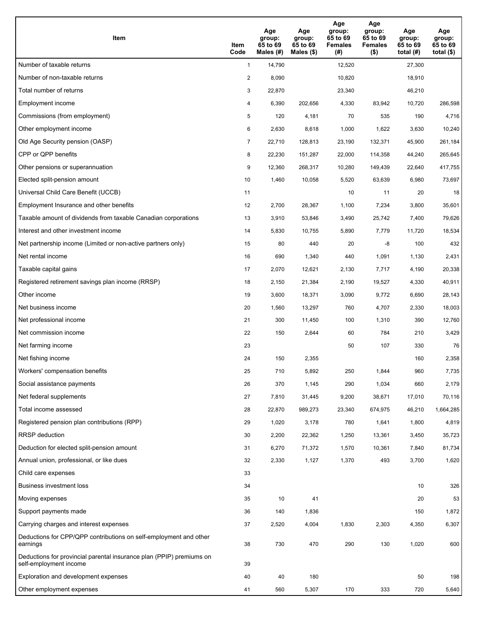| Item                                                                                           | Item<br>Code   | Age<br>group:<br>65 to 69<br>Males (#) | Age<br>group:<br>65 to 69<br>Males (\$) | Age<br>group:<br>65 to 69<br><b>Females</b><br>(#) | Age<br>group:<br>65 to 69<br><b>Females</b><br>$($ \$) | Age<br>group:<br>65 to 69<br>total $(H)$ | Age<br>group:<br>65 to 69<br>total $($ |
|------------------------------------------------------------------------------------------------|----------------|----------------------------------------|-----------------------------------------|----------------------------------------------------|--------------------------------------------------------|------------------------------------------|----------------------------------------|
| Number of taxable returns                                                                      | $\mathbf{1}$   | 14,790                                 |                                         | 12,520                                             |                                                        | 27,300                                   |                                        |
| Number of non-taxable returns                                                                  | $\overline{2}$ | 8,090                                  |                                         | 10,820                                             |                                                        | 18,910                                   |                                        |
| Total number of returns                                                                        | 3              | 22,870                                 |                                         | 23,340                                             |                                                        | 46,210                                   |                                        |
| Employment income                                                                              | 4              | 6,390                                  | 202.656                                 | 4,330                                              | 83,942                                                 | 10,720                                   | 286,598                                |
| Commissions (from employment)                                                                  | 5              | 120                                    | 4,181                                   | 70                                                 | 535                                                    | 190                                      | 4,716                                  |
| Other employment income                                                                        | 6              | 2,630                                  | 8,618                                   | 1,000                                              | 1,622                                                  | 3,630                                    | 10,240                                 |
| Old Age Security pension (OASP)                                                                | $\overline{7}$ | 22,710                                 | 128,813                                 | 23,190                                             | 132,371                                                | 45,900                                   | 261,184                                |
| CPP or QPP benefits                                                                            | 8              | 22,230                                 | 151,287                                 | 22,000                                             | 114,358                                                | 44,240                                   | 265,645                                |
| Other pensions or superannuation                                                               | 9              | 12,360                                 | 268,317                                 | 10,280                                             | 149,439                                                | 22,640                                   | 417,755                                |
| Elected split-pension amount                                                                   | 10             | 1,460                                  | 10,058                                  | 5,520                                              | 63,639                                                 | 6,980                                    | 73,697                                 |
| Universal Child Care Benefit (UCCB)                                                            | 11             |                                        |                                         | 10                                                 | 11                                                     | 20                                       | 18                                     |
| Employment Insurance and other benefits                                                        | 12             | 2,700                                  | 28,367                                  | 1,100                                              | 7,234                                                  | 3,800                                    | 35,601                                 |
| Taxable amount of dividends from taxable Canadian corporations                                 | 13             | 3,910                                  | 53,846                                  | 3,490                                              | 25,742                                                 | 7,400                                    | 79,626                                 |
| Interest and other investment income                                                           | 14             | 5,830                                  | 10,755                                  | 5,890                                              | 7,779                                                  | 11,720                                   | 18,534                                 |
| Net partnership income (Limited or non-active partners only)                                   | 15             | 80                                     | 440                                     | 20                                                 | -8                                                     | 100                                      | 432                                    |
| Net rental income                                                                              | 16             | 690                                    | 1,340                                   | 440                                                | 1,091                                                  | 1,130                                    | 2,431                                  |
| Taxable capital gains                                                                          | 17             | 2,070                                  | 12,621                                  | 2,130                                              | 7,717                                                  | 4,190                                    | 20,338                                 |
| Registered retirement savings plan income (RRSP)                                               | 18             | 2,150                                  | 21,384                                  | 2,190                                              | 19,527                                                 | 4,330                                    | 40,911                                 |
| Other income                                                                                   | 19             | 3,600                                  | 18,371                                  | 3,090                                              | 9,772                                                  | 6,690                                    | 28,143                                 |
| Net business income                                                                            | 20             | 1,560                                  | 13,297                                  | 760                                                | 4,707                                                  | 2,330                                    | 18,003                                 |
| Net professional income                                                                        | 21             | 300                                    | 11,450                                  | 100                                                | 1,310                                                  | 390                                      | 12,760                                 |
| Net commission income                                                                          | 22             | 150                                    | 2,644                                   | 60                                                 | 784                                                    | 210                                      | 3,429                                  |
| Net farming income                                                                             | 23             |                                        |                                         | 50                                                 | 107                                                    | 330                                      | 76                                     |
| Net fishing income                                                                             | 24             | 150                                    | 2,355                                   |                                                    |                                                        | 160                                      | 2,358                                  |
| Workers' compensation benefits                                                                 | 25             | 710                                    | 5,892                                   | 250                                                | 1,844                                                  | 960                                      | 7,735                                  |
| Social assistance payments                                                                     | 26             | 370                                    | 1,145                                   | 290                                                | 1,034                                                  | 660                                      | 2,179                                  |
| Net federal supplements                                                                        | 27             | 7,810                                  | 31,445                                  | 9,200                                              | 38,671                                                 | 17,010                                   | 70,116                                 |
| Total income assessed                                                                          | 28             | 22,870                                 | 989,273                                 | 23,340                                             | 674,975                                                | 46,210                                   | 1,664,285                              |
| Registered pension plan contributions (RPP)                                                    | 29             | 1,020                                  | 3,178                                   | 780                                                | 1,641                                                  | 1,800                                    | 4,819                                  |
| <b>RRSP</b> deduction                                                                          | 30             | 2,200                                  | 22,362                                  | 1,250                                              | 13,361                                                 | 3,450                                    | 35,723                                 |
| Deduction for elected split-pension amount                                                     | 31             | 6,270                                  | 71,372                                  | 1,570                                              | 10,361                                                 | 7,840                                    | 81,734                                 |
| Annual union, professional, or like dues                                                       | 32             | 2,330                                  | 1,127                                   | 1,370                                              | 493                                                    | 3,700                                    | 1,620                                  |
| Child care expenses                                                                            | 33             |                                        |                                         |                                                    |                                                        |                                          |                                        |
| Business investment loss                                                                       | 34             |                                        |                                         |                                                    |                                                        | 10                                       | 326                                    |
| Moving expenses                                                                                | 35             | 10                                     | 41                                      |                                                    |                                                        | 20                                       | 53                                     |
| Support payments made                                                                          | 36             | 140                                    | 1,836                                   |                                                    |                                                        | 150                                      | 1,872                                  |
| Carrying charges and interest expenses                                                         | 37             | 2,520                                  | 4,004                                   | 1,830                                              | 2,303                                                  | 4,350                                    | 6,307                                  |
| Deductions for CPP/QPP contributions on self-employment and other<br>earnings                  | 38             | 730                                    | 470                                     | 290                                                | 130                                                    | 1,020                                    | 600                                    |
| Deductions for provincial parental insurance plan (PPIP) premiums on<br>self-employment income | 39             |                                        |                                         |                                                    |                                                        |                                          |                                        |
| Exploration and development expenses                                                           | 40             | 40                                     | 180                                     |                                                    |                                                        | 50                                       | 198                                    |
| Other employment expenses                                                                      | 41             | 560                                    | 5,307                                   | 170                                                | 333                                                    | 720                                      | 5,640                                  |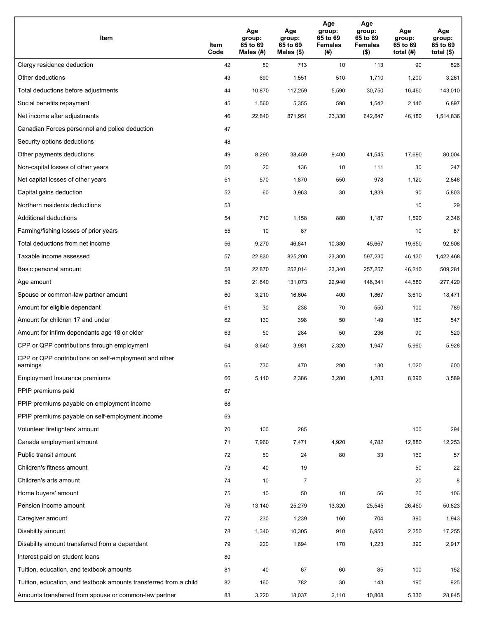| Item                                                              | Item<br>Code | Age<br>group:<br>65 to 69<br>Males (#) | Age<br>group:<br>65 to 69<br>Males (\$) | Age<br>group:<br>65 to 69<br><b>Females</b><br>(#) | Age<br>group:<br>65 to 69<br><b>Females</b><br>$($ \$) | Age<br>group:<br>65 to 69<br>total $(H)$ | Age<br>group:<br>65 to 69<br>total $($)$ |
|-------------------------------------------------------------------|--------------|----------------------------------------|-----------------------------------------|----------------------------------------------------|--------------------------------------------------------|------------------------------------------|------------------------------------------|
| Clergy residence deduction                                        | 42           | 80                                     | 713                                     | 10                                                 | 113                                                    | 90                                       | 826                                      |
| Other deductions                                                  | 43           | 690                                    | 1,551                                   | 510                                                | 1,710                                                  | 1,200                                    | 3,261                                    |
| Total deductions before adjustments                               | 44           | 10,870                                 | 112,259                                 | 5,590                                              | 30,750                                                 | 16,460                                   | 143,010                                  |
| Social benefits repayment                                         | 45           | 1,560                                  | 5,355                                   | 590                                                | 1,542                                                  | 2,140                                    | 6,897                                    |
| Net income after adjustments                                      | 46           | 22,840                                 | 871,951                                 | 23,330                                             | 642,847                                                | 46,180                                   | 1,514,836                                |
| Canadian Forces personnel and police deduction                    | 47           |                                        |                                         |                                                    |                                                        |                                          |                                          |
| Security options deductions                                       | 48           |                                        |                                         |                                                    |                                                        |                                          |                                          |
| Other payments deductions                                         | 49           | 8,290                                  | 38,459                                  | 9,400                                              | 41,545                                                 | 17,690                                   | 80,004                                   |
| Non-capital losses of other years                                 | 50           | 20                                     | 136                                     | 10                                                 | 111                                                    | 30                                       | 247                                      |
| Net capital losses of other years                                 | 51           | 570                                    | 1,870                                   | 550                                                | 978                                                    | 1,120                                    | 2,848                                    |
| Capital gains deduction                                           | 52           | 60                                     | 3,963                                   | 30                                                 | 1,839                                                  | 90                                       | 5,803                                    |
| Northern residents deductions                                     | 53           |                                        |                                         |                                                    |                                                        | 10                                       | 29                                       |
| Additional deductions                                             | 54           | 710                                    | 1,158                                   | 880                                                | 1,187                                                  | 1,590                                    | 2,346                                    |
| Farming/fishing losses of prior years                             | 55           | 10                                     | 87                                      |                                                    |                                                        | 10                                       | 87                                       |
| Total deductions from net income                                  | 56           | 9,270                                  | 46,841                                  | 10,380                                             | 45,667                                                 | 19,650                                   | 92,508                                   |
| Taxable income assessed                                           | 57           | 22,830                                 | 825,200                                 | 23,300                                             | 597,230                                                | 46,130                                   | 1,422,468                                |
| Basic personal amount                                             | 58           | 22,870                                 | 252,014                                 | 23,340                                             | 257,257                                                | 46,210                                   | 509,281                                  |
| Age amount                                                        | 59           | 21,640                                 | 131,073                                 | 22,940                                             | 146,341                                                | 44,580                                   | 277,420                                  |
| Spouse or common-law partner amount                               | 60           | 3,210                                  | 16,604                                  | 400                                                | 1,867                                                  | 3,610                                    | 18,471                                   |
| Amount for eligible dependant                                     | 61           | 30                                     | 238                                     | 70                                                 | 550                                                    | 100                                      | 789                                      |
| Amount for children 17 and under                                  | 62           | 130                                    | 398                                     | 50                                                 | 149                                                    | 180                                      | 547                                      |
| Amount for infirm dependants age 18 or older                      | 63           | 50                                     | 284                                     | 50                                                 | 236                                                    | 90                                       | 520                                      |
| CPP or QPP contributions through employment                       | 64           | 3,640                                  | 3,981                                   | 2,320                                              | 1,947                                                  | 5,960                                    | 5,928                                    |
| CPP or QPP contributions on self-employment and other<br>earnings | 65           | 730                                    | 470                                     | 290                                                | 130                                                    | 1,020                                    | 600                                      |
| Employment Insurance premiums                                     | 66           | 5,110                                  | 2,386                                   | 3,280                                              | 1,203                                                  | 8,390                                    | 3,589                                    |
| PPIP premiums paid                                                | 67           |                                        |                                         |                                                    |                                                        |                                          |                                          |
| PPIP premiums payable on employment income                        | 68           |                                        |                                         |                                                    |                                                        |                                          |                                          |
| PPIP premiums payable on self-employment income                   | 69           |                                        |                                         |                                                    |                                                        |                                          |                                          |
| Volunteer firefighters' amount                                    | 70           | 100                                    | 285                                     |                                                    |                                                        | 100                                      | 294                                      |
| Canada employment amount                                          | 71           | 7,960                                  | 7,471                                   | 4,920                                              | 4,782                                                  | 12,880                                   | 12,253                                   |
| Public transit amount                                             | 72           | 80                                     | 24                                      | 80                                                 | 33                                                     | 160                                      | 57                                       |
| Children's fitness amount                                         | 73           | 40                                     | 19                                      |                                                    |                                                        | 50                                       | 22                                       |
| Children's arts amount                                            | 74           | 10                                     | 7                                       |                                                    |                                                        | 20                                       | 8                                        |
| Home buyers' amount                                               | 75           | 10                                     | 50                                      | 10                                                 | 56                                                     | 20                                       | 106                                      |
| Pension income amount                                             | 76           | 13,140                                 | 25,279                                  | 13,320                                             | 25,545                                                 | 26,460                                   | 50,823                                   |
| Caregiver amount                                                  | 77           | 230                                    | 1,239                                   | 160                                                | 704                                                    | 390                                      | 1,943                                    |
| Disability amount                                                 | 78           | 1,340                                  | 10,305                                  | 910                                                | 6,950                                                  | 2,250                                    | 17,255                                   |
| Disability amount transferred from a dependant                    | 79           | 220                                    | 1,694                                   | 170                                                | 1,223                                                  | 390                                      | 2,917                                    |
| Interest paid on student loans                                    | 80           |                                        |                                         |                                                    |                                                        |                                          |                                          |
| Tuition, education, and textbook amounts                          | 81           | 40                                     | 67                                      | 60                                                 | 85                                                     | 100                                      | 152                                      |
| Tuition, education, and textbook amounts transferred from a child | 82           | 160                                    | 782                                     | 30                                                 | 143                                                    | 190                                      | 925                                      |
| Amounts transferred from spouse or common-law partner             | 83           | 3,220                                  | 18,037                                  | 2,110                                              | 10,808                                                 | 5,330                                    | 28,845                                   |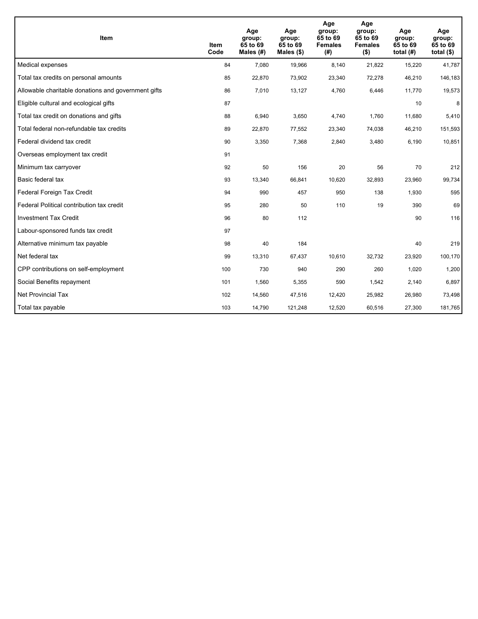| Item                                                | Item<br>Code | Age<br>group:<br>65 to 69<br>Males (#) | Age<br>group:<br>65 to 69<br>Males $(\$)$ | Age<br>group:<br>65 to 69<br><b>Females</b><br>(# ) | Age<br>group:<br>65 to 69<br><b>Females</b><br>$($ \$) | Age<br>group:<br>65 to 69<br>total $(H)$ | Age<br>group:<br>65 to 69<br>total $($)$ |
|-----------------------------------------------------|--------------|----------------------------------------|-------------------------------------------|-----------------------------------------------------|--------------------------------------------------------|------------------------------------------|------------------------------------------|
| Medical expenses                                    | 84           | 7,080                                  | 19,966                                    | 8,140                                               | 21,822                                                 | 15,220                                   | 41,787                                   |
| Total tax credits on personal amounts               | 85           | 22,870                                 | 73,902                                    | 23,340                                              | 72,278                                                 | 46,210                                   | 146,183                                  |
| Allowable charitable donations and government gifts | 86           | 7,010                                  | 13,127                                    | 4,760                                               | 6,446                                                  | 11,770                                   | 19,573                                   |
| Eligible cultural and ecological gifts              | 87           |                                        |                                           |                                                     |                                                        | 10                                       | 8                                        |
| Total tax credit on donations and gifts             | 88           | 6,940                                  | 3,650                                     | 4,740                                               | 1,760                                                  | 11,680                                   | 5,410                                    |
| Total federal non-refundable tax credits            | 89           | 22,870                                 | 77,552                                    | 23,340                                              | 74,038                                                 | 46,210                                   | 151,593                                  |
| Federal dividend tax credit                         | 90           | 3,350                                  | 7,368                                     | 2,840                                               | 3,480                                                  | 6,190                                    | 10,851                                   |
| Overseas employment tax credit                      | 91           |                                        |                                           |                                                     |                                                        |                                          |                                          |
| Minimum tax carryover                               | 92           | 50                                     | 156                                       | 20                                                  | 56                                                     | 70                                       | 212                                      |
| Basic federal tax                                   | 93           | 13,340                                 | 66,841                                    | 10,620                                              | 32,893                                                 | 23,960                                   | 99,734                                   |
| Federal Foreign Tax Credit                          | 94           | 990                                    | 457                                       | 950                                                 | 138                                                    | 1,930                                    | 595                                      |
| Federal Political contribution tax credit           | 95           | 280                                    | 50                                        | 110                                                 | 19                                                     | 390                                      | 69                                       |
| <b>Investment Tax Credit</b>                        | 96           | 80                                     | 112                                       |                                                     |                                                        | 90                                       | 116                                      |
| Labour-sponsored funds tax credit                   | 97           |                                        |                                           |                                                     |                                                        |                                          |                                          |
| Alternative minimum tax payable                     | 98           | 40                                     | 184                                       |                                                     |                                                        | 40                                       | 219                                      |
| Net federal tax                                     | 99           | 13,310                                 | 67,437                                    | 10,610                                              | 32,732                                                 | 23,920                                   | 100,170                                  |
| CPP contributions on self-employment                | 100          | 730                                    | 940                                       | 290                                                 | 260                                                    | 1,020                                    | 1,200                                    |
| Social Benefits repayment                           | 101          | 1,560                                  | 5,355                                     | 590                                                 | 1,542                                                  | 2,140                                    | 6,897                                    |
| Net Provincial Tax                                  | 102          | 14,560                                 | 47,516                                    | 12,420                                              | 25,982                                                 | 26,980                                   | 73,498                                   |
| Total tax payable                                   | 103          | 14,790                                 | 121,248                                   | 12,520                                              | 60,516                                                 | 27,300                                   | 181,765                                  |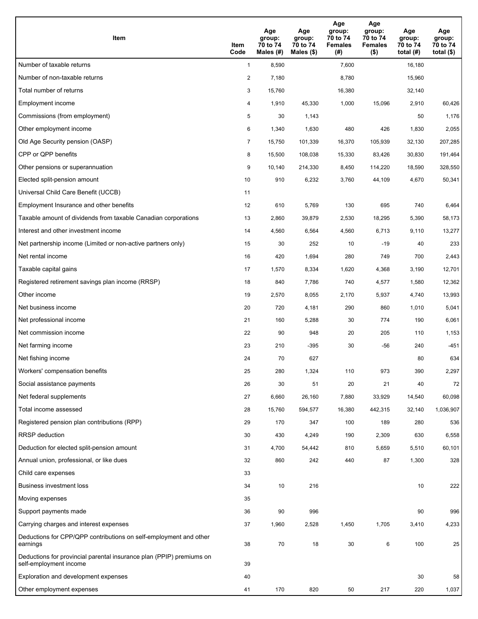| Item                                                                                           | Item<br>Code   | Age<br>group:<br>70 to 74<br>Males (#) | Age<br>group:<br>70 to 74<br>Males (\$) | Age<br>group:<br>70 to 74<br><b>Females</b><br>(# ) | Age<br>group:<br>70 to 74<br><b>Females</b><br>$($ \$) | Age<br>group:<br>70 to 74<br>total $(H)$ | Age<br>group:<br>70 to 74<br>total $($ |
|------------------------------------------------------------------------------------------------|----------------|----------------------------------------|-----------------------------------------|-----------------------------------------------------|--------------------------------------------------------|------------------------------------------|----------------------------------------|
| Number of taxable returns                                                                      | $\mathbf{1}$   | 8,590                                  |                                         | 7,600                                               |                                                        | 16,180                                   |                                        |
| Number of non-taxable returns                                                                  | $\overline{2}$ | 7,180                                  |                                         | 8,780                                               |                                                        | 15,960                                   |                                        |
| Total number of returns                                                                        | 3              | 15,760                                 |                                         | 16,380                                              |                                                        | 32,140                                   |                                        |
| Employment income                                                                              | 4              | 1,910                                  | 45,330                                  | 1,000                                               | 15,096                                                 | 2,910                                    | 60,426                                 |
| Commissions (from employment)                                                                  | 5              | 30                                     | 1,143                                   |                                                     |                                                        | 50                                       | 1,176                                  |
| Other employment income                                                                        | 6              | 1,340                                  | 1,630                                   | 480                                                 | 426                                                    | 1,830                                    | 2,055                                  |
| Old Age Security pension (OASP)                                                                | $\overline{7}$ | 15,750                                 | 101,339                                 | 16,370                                              | 105,939                                                | 32,130                                   | 207,285                                |
| CPP or QPP benefits                                                                            | 8              | 15,500                                 | 108,038                                 | 15,330                                              | 83,426                                                 | 30,830                                   | 191,464                                |
| Other pensions or superannuation                                                               | 9              | 10,140                                 | 214,330                                 | 8,450                                               | 114,220                                                | 18,590                                   | 328,550                                |
| Elected split-pension amount                                                                   | 10             | 910                                    | 6,232                                   | 3,760                                               | 44,109                                                 | 4,670                                    | 50,341                                 |
| Universal Child Care Benefit (UCCB)                                                            | 11             |                                        |                                         |                                                     |                                                        |                                          |                                        |
| Employment Insurance and other benefits                                                        | 12             | 610                                    | 5,769                                   | 130                                                 | 695                                                    | 740                                      | 6,464                                  |
| Taxable amount of dividends from taxable Canadian corporations                                 | 13             | 2,860                                  | 39,879                                  | 2,530                                               | 18,295                                                 | 5,390                                    | 58,173                                 |
| Interest and other investment income                                                           | 14             | 4,560                                  | 6,564                                   | 4,560                                               | 6,713                                                  | 9,110                                    | 13,277                                 |
| Net partnership income (Limited or non-active partners only)                                   | 15             | 30                                     | 252                                     | 10                                                  | $-19$                                                  | 40                                       | 233                                    |
| Net rental income                                                                              | 16             | 420                                    | 1,694                                   | 280                                                 | 749                                                    | 700                                      | 2,443                                  |
| Taxable capital gains                                                                          | 17             | 1,570                                  | 8,334                                   | 1,620                                               | 4,368                                                  | 3,190                                    | 12,701                                 |
| Registered retirement savings plan income (RRSP)                                               | 18             | 840                                    | 7,786                                   | 740                                                 | 4,577                                                  | 1,580                                    | 12,362                                 |
| Other income                                                                                   | 19             | 2,570                                  | 8,055                                   | 2,170                                               | 5,937                                                  | 4,740                                    | 13,993                                 |
| Net business income                                                                            | 20             | 720                                    | 4,181                                   | 290                                                 | 860                                                    | 1,010                                    | 5,041                                  |
| Net professional income                                                                        | 21             | 160                                    | 5,288                                   | 30                                                  | 774                                                    | 190                                      | 6,061                                  |
| Net commission income                                                                          | 22             | 90                                     | 948                                     | 20                                                  | 205                                                    | 110                                      | 1,153                                  |
| Net farming income                                                                             | 23             | 210                                    | $-395$                                  | 30                                                  | $-56$                                                  | 240                                      | $-451$                                 |
| Net fishing income                                                                             | 24             | 70                                     | 627                                     |                                                     |                                                        | 80                                       | 634                                    |
| Workers' compensation benefits                                                                 | 25             | 280                                    | 1,324                                   | 110                                                 | 973                                                    | 390                                      | 2,297                                  |
| Social assistance payments                                                                     | 26             | 30                                     | 51                                      | 20                                                  | 21                                                     | 40                                       | 72                                     |
| Net federal supplements                                                                        | 27             | 6,660                                  | 26,160                                  | 7,880                                               | 33,929                                                 | 14,540                                   | 60,098                                 |
| Total income assessed                                                                          | 28             | 15,760                                 | 594,577                                 | 16,380                                              | 442,315                                                | 32,140                                   | 1,036,907                              |
| Registered pension plan contributions (RPP)                                                    | 29             | 170                                    | 347                                     | 100                                                 | 189                                                    | 280                                      | 536                                    |
| RRSP deduction                                                                                 | 30             | 430                                    | 4,249                                   | 190                                                 | 2,309                                                  | 630                                      | 6,558                                  |
| Deduction for elected split-pension amount                                                     | 31             | 4,700                                  | 54,442                                  | 810                                                 | 5,659                                                  | 5,510                                    | 60,101                                 |
| Annual union, professional, or like dues                                                       | 32             | 860                                    | 242                                     | 440                                                 | 87                                                     | 1,300                                    | 328                                    |
| Child care expenses                                                                            | 33             |                                        |                                         |                                                     |                                                        |                                          |                                        |
| Business investment loss                                                                       | 34             | 10                                     | 216                                     |                                                     |                                                        | 10                                       | 222                                    |
| Moving expenses                                                                                | 35             |                                        |                                         |                                                     |                                                        |                                          |                                        |
| Support payments made                                                                          | 36             | 90                                     | 996                                     |                                                     |                                                        | 90                                       | 996                                    |
| Carrying charges and interest expenses                                                         | 37             | 1,960                                  | 2,528                                   | 1,450                                               | 1,705                                                  | 3,410                                    | 4,233                                  |
| Deductions for CPP/QPP contributions on self-employment and other<br>earnings                  | 38             | 70                                     | 18                                      | 30                                                  | 6                                                      | 100                                      | 25                                     |
| Deductions for provincial parental insurance plan (PPIP) premiums on<br>self-employment income | 39             |                                        |                                         |                                                     |                                                        |                                          |                                        |
| Exploration and development expenses                                                           | 40             |                                        |                                         |                                                     |                                                        | 30                                       | 58                                     |
| Other employment expenses                                                                      | 41             | 170                                    | 820                                     | 50                                                  | 217                                                    | 220                                      | 1,037                                  |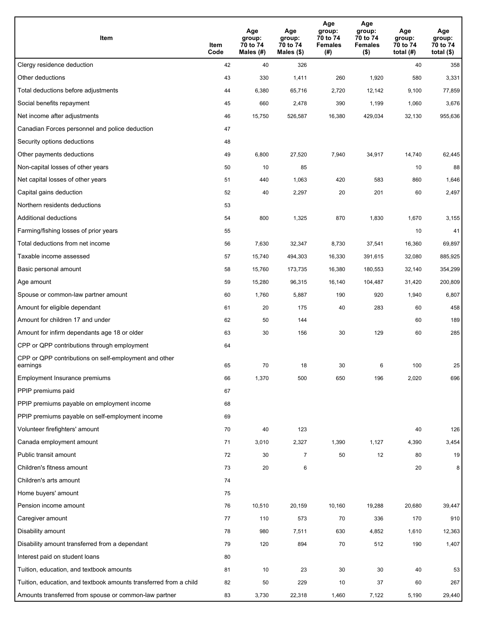| Item                                                              | Item<br>Code | Age<br>group:<br>70 to 74<br>Males (#) | Age<br>group:<br>70 to 74<br>Males (\$) | Age<br>group:<br>70 to 74<br><b>Females</b><br>(# ) | Age<br>group:<br>70 to 74<br>Females<br>$($ \$) | Age<br>group:<br>70 to 74<br>total $(#)$ | Age<br>group:<br>70 to 74<br>total $($)$ |
|-------------------------------------------------------------------|--------------|----------------------------------------|-----------------------------------------|-----------------------------------------------------|-------------------------------------------------|------------------------------------------|------------------------------------------|
| Clergy residence deduction                                        | 42           | 40                                     | 326                                     |                                                     |                                                 | 40                                       | 358                                      |
| Other deductions                                                  | 43           | 330                                    | 1,411                                   | 260                                                 | 1,920                                           | 580                                      | 3,331                                    |
| Total deductions before adjustments                               | 44           | 6,380                                  | 65,716                                  | 2,720                                               | 12,142                                          | 9,100                                    | 77,859                                   |
| Social benefits repayment                                         | 45           | 660                                    | 2,478                                   | 390                                                 | 1,199                                           | 1,060                                    | 3,676                                    |
| Net income after adjustments                                      | 46           | 15,750                                 | 526,587                                 | 16,380                                              | 429,034                                         | 32,130                                   | 955,636                                  |
| Canadian Forces personnel and police deduction                    | 47           |                                        |                                         |                                                     |                                                 |                                          |                                          |
| Security options deductions                                       | 48           |                                        |                                         |                                                     |                                                 |                                          |                                          |
| Other payments deductions                                         | 49           | 6,800                                  | 27,520                                  | 7,940                                               | 34,917                                          | 14,740                                   | 62,445                                   |
| Non-capital losses of other years                                 | 50           | 10                                     | 85                                      |                                                     |                                                 | 10                                       | 88                                       |
| Net capital losses of other years                                 | 51           | 440                                    | 1,063                                   | 420                                                 | 583                                             | 860                                      | 1,646                                    |
| Capital gains deduction                                           | 52           | 40                                     | 2,297                                   | 20                                                  | 201                                             | 60                                       | 2,497                                    |
| Northern residents deductions                                     | 53           |                                        |                                         |                                                     |                                                 |                                          |                                          |
| Additional deductions                                             | 54           | 800                                    | 1,325                                   | 870                                                 | 1,830                                           | 1,670                                    | 3,155                                    |
| Farming/fishing losses of prior years                             | 55           |                                        |                                         |                                                     |                                                 | 10                                       | 41                                       |
| Total deductions from net income                                  | 56           | 7,630                                  | 32,347                                  | 8,730                                               | 37,541                                          | 16,360                                   | 69,897                                   |
| Taxable income assessed                                           | 57           | 15,740                                 | 494,303                                 | 16,330                                              | 391,615                                         | 32,080                                   | 885,925                                  |
| Basic personal amount                                             | 58           | 15,760                                 | 173,735                                 | 16,380                                              | 180,553                                         | 32,140                                   | 354,299                                  |
| Age amount                                                        | 59           | 15,280                                 | 96,315                                  | 16,140                                              | 104,487                                         | 31,420                                   | 200,809                                  |
| Spouse or common-law partner amount                               | 60           | 1,760                                  | 5,887                                   | 190                                                 | 920                                             | 1,940                                    | 6,807                                    |
| Amount for eligible dependant                                     | 61           | 20                                     | 175                                     | 40                                                  | 283                                             | 60                                       | 458                                      |
| Amount for children 17 and under                                  | 62           | 50                                     | 144                                     |                                                     |                                                 | 60                                       | 189                                      |
| Amount for infirm dependants age 18 or older                      | 63           | 30                                     | 156                                     | 30                                                  | 129                                             | 60                                       | 285                                      |
| CPP or QPP contributions through employment                       | 64           |                                        |                                         |                                                     |                                                 |                                          |                                          |
| CPP or QPP contributions on self-employment and other<br>earnings | 65           | 70                                     | 18                                      | 30                                                  | 6                                               | 100                                      | 25                                       |
| Employment Insurance premiums                                     | 66           | 1,370                                  | 500                                     | 650                                                 | 196                                             | 2,020                                    | 696                                      |
| PPIP premiums paid                                                | 67           |                                        |                                         |                                                     |                                                 |                                          |                                          |
| PPIP premiums payable on employment income                        | 68           |                                        |                                         |                                                     |                                                 |                                          |                                          |
| PPIP premiums payable on self-employment income                   | 69           |                                        |                                         |                                                     |                                                 |                                          |                                          |
| Volunteer firefighters' amount                                    | 70           | 40                                     | 123                                     |                                                     |                                                 | 40                                       | 126                                      |
| Canada employment amount                                          | 71           | 3,010                                  | 2,327                                   | 1,390                                               | 1,127                                           | 4,390                                    | 3,454                                    |
| Public transit amount                                             | 72           | 30                                     | $\overline{7}$                          | 50                                                  | 12                                              | 80                                       | 19                                       |
| Children's fitness amount                                         | 73           | 20                                     | 6                                       |                                                     |                                                 | 20                                       | 8                                        |
| Children's arts amount                                            | 74           |                                        |                                         |                                                     |                                                 |                                          |                                          |
| Home buyers' amount                                               | 75           |                                        |                                         |                                                     |                                                 |                                          |                                          |
| Pension income amount                                             | 76           | 10,510                                 | 20,159                                  | 10,160                                              | 19,288                                          | 20,680                                   | 39,447                                   |
| Caregiver amount                                                  | 77           | 110                                    | 573                                     | 70                                                  | 336                                             | 170                                      | 910                                      |
| Disability amount                                                 | 78           | 980                                    | 7,511                                   | 630                                                 | 4,852                                           | 1,610                                    | 12,363                                   |
| Disability amount transferred from a dependant                    | 79           | 120                                    | 894                                     | 70                                                  | 512                                             | 190                                      | 1,407                                    |
| Interest paid on student loans                                    | 80           |                                        |                                         |                                                     |                                                 |                                          |                                          |
| Tuition, education, and textbook amounts                          | 81           | 10                                     | 23                                      | 30                                                  | 30                                              | 40                                       | 53                                       |
| Tuition, education, and textbook amounts transferred from a child | 82           | 50                                     | 229                                     | 10                                                  | 37                                              | 60                                       | 267                                      |
| Amounts transferred from spouse or common-law partner             | 83           | 3,730                                  | 22,318                                  | 1,460                                               | 7,122                                           | 5,190                                    | 29,440                                   |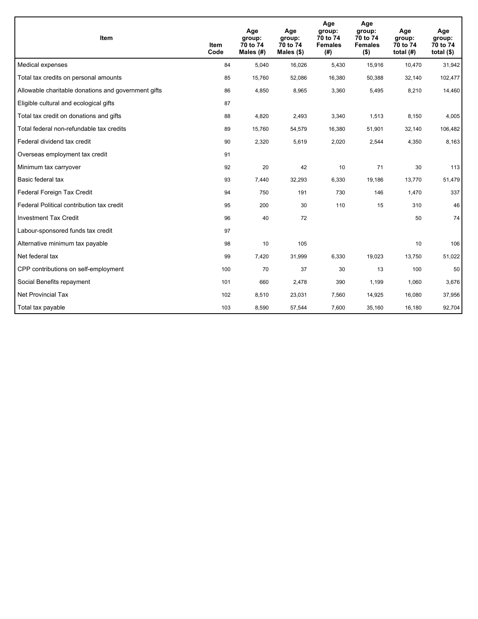| <b>Item</b>                                         | Item<br>Code | Age<br>group:<br>70 to 74<br>Males (#) | Age<br>group:<br>70 to 74<br>Males $(\$)$ | Age<br>group:<br>70 to 74<br><b>Females</b><br>(#) | Age<br>group:<br>70 to 74<br><b>Females</b><br>$($ \$) | Age<br>group:<br>70 to 74<br>total $(H)$ | Age<br>group:<br>70 to 74<br>total $($)$ |
|-----------------------------------------------------|--------------|----------------------------------------|-------------------------------------------|----------------------------------------------------|--------------------------------------------------------|------------------------------------------|------------------------------------------|
| Medical expenses                                    | 84           | 5,040                                  | 16,026                                    | 5,430                                              | 15,916                                                 | 10,470                                   | 31,942                                   |
| Total tax credits on personal amounts               | 85           | 15,760                                 | 52,086                                    | 16,380                                             | 50,388                                                 | 32,140                                   | 102,477                                  |
| Allowable charitable donations and government gifts | 86           | 4,850                                  | 8,965                                     | 3,360                                              | 5,495                                                  | 8,210                                    | 14,460                                   |
| Eligible cultural and ecological gifts              | 87           |                                        |                                           |                                                    |                                                        |                                          |                                          |
| Total tax credit on donations and gifts             | 88           | 4,820                                  | 2,493                                     | 3,340                                              | 1,513                                                  | 8,150                                    | 4,005                                    |
| Total federal non-refundable tax credits            | 89           | 15,760                                 | 54,579                                    | 16,380                                             | 51,901                                                 | 32,140                                   | 106,482                                  |
| Federal dividend tax credit                         | 90           | 2,320                                  | 5,619                                     | 2,020                                              | 2,544                                                  | 4,350                                    | 8,163                                    |
| Overseas employment tax credit                      | 91           |                                        |                                           |                                                    |                                                        |                                          |                                          |
| Minimum tax carryover                               | 92           | 20                                     | 42                                        | 10                                                 | 71                                                     | 30                                       | 113                                      |
| Basic federal tax                                   | 93           | 7,440                                  | 32,293                                    | 6,330                                              | 19,186                                                 | 13,770                                   | 51,479                                   |
| Federal Foreign Tax Credit                          | 94           | 750                                    | 191                                       | 730                                                | 146                                                    | 1,470                                    | 337                                      |
| Federal Political contribution tax credit           | 95           | 200                                    | 30                                        | 110                                                | 15                                                     | 310                                      | 46                                       |
| <b>Investment Tax Credit</b>                        | 96           | 40                                     | 72                                        |                                                    |                                                        | 50                                       | 74                                       |
| Labour-sponsored funds tax credit                   | 97           |                                        |                                           |                                                    |                                                        |                                          |                                          |
| Alternative minimum tax payable                     | 98           | 10                                     | 105                                       |                                                    |                                                        | 10                                       | 106                                      |
| Net federal tax                                     | 99           | 7,420                                  | 31,999                                    | 6,330                                              | 19,023                                                 | 13,750                                   | 51,022                                   |
| CPP contributions on self-employment                | 100          | 70                                     | 37                                        | 30                                                 | 13                                                     | 100                                      | 50                                       |
| Social Benefits repayment                           | 101          | 660                                    | 2,478                                     | 390                                                | 1,199                                                  | 1,060                                    | 3,676                                    |
| Net Provincial Tax                                  | 102          | 8,510                                  | 23,031                                    | 7,560                                              | 14,925                                                 | 16,080                                   | 37,956                                   |
| Total tax payable                                   | 103          | 8,590                                  | 57,544                                    | 7,600                                              | 35,160                                                 | 16,180                                   | 92,704                                   |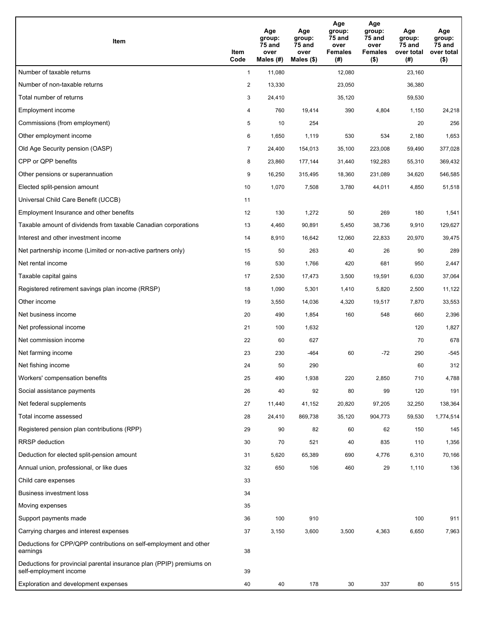| Item                                                                                           | Item<br>Code   | Age<br>group:<br>75 and<br>over<br>Males $(H)$ | Age<br>group:<br>75 and<br>over<br>Males (\$) | Age<br>group:<br>75 and<br>over<br><b>Females</b><br>(#) | Age<br>group:<br>75 and<br>over<br><b>Females</b><br>$($ \$) | Age<br>group:<br><b>75 and</b><br>over total<br>(#) | Age<br>group:<br>75 and<br>over total<br>$($ \$) |
|------------------------------------------------------------------------------------------------|----------------|------------------------------------------------|-----------------------------------------------|----------------------------------------------------------|--------------------------------------------------------------|-----------------------------------------------------|--------------------------------------------------|
| Number of taxable returns                                                                      | $\mathbf{1}$   | 11,080                                         |                                               | 12,080                                                   |                                                              | 23,160                                              |                                                  |
| Number of non-taxable returns                                                                  | $\overline{c}$ | 13,330                                         |                                               | 23,050                                                   |                                                              | 36,380                                              |                                                  |
| Total number of returns                                                                        | 3              | 24,410                                         |                                               | 35,120                                                   |                                                              | 59,530                                              |                                                  |
| Employment income                                                                              | 4              | 760                                            | 19,414                                        | 390                                                      | 4,804                                                        | 1,150                                               | 24,218                                           |
| Commissions (from employment)                                                                  | 5              | 10                                             | 254                                           |                                                          |                                                              | 20                                                  | 256                                              |
| Other employment income                                                                        | 6              | 1,650                                          | 1,119                                         | 530                                                      | 534                                                          | 2,180                                               | 1,653                                            |
| Old Age Security pension (OASP)                                                                | $\overline{7}$ | 24,400                                         | 154,013                                       | 35,100                                                   | 223,008                                                      | 59,490                                              | 377,028                                          |
| CPP or QPP benefits                                                                            | 8              | 23,860                                         | 177,144                                       | 31,440                                                   | 192,283                                                      | 55,310                                              | 369,432                                          |
| Other pensions or superannuation                                                               | 9              | 16,250                                         | 315,495                                       | 18,360                                                   | 231,089                                                      | 34,620                                              | 546,585                                          |
| Elected split-pension amount                                                                   | 10             | 1,070                                          | 7,508                                         | 3,780                                                    | 44,011                                                       | 4,850                                               | 51,518                                           |
| Universal Child Care Benefit (UCCB)                                                            | 11             |                                                |                                               |                                                          |                                                              |                                                     |                                                  |
| Employment Insurance and other benefits                                                        | 12             | 130                                            | 1,272                                         | 50                                                       | 269                                                          | 180                                                 | 1,541                                            |
| Taxable amount of dividends from taxable Canadian corporations                                 | 13             | 4,460                                          | 90,891                                        | 5,450                                                    | 38,736                                                       | 9,910                                               | 129,627                                          |
| Interest and other investment income                                                           | 14             | 8,910                                          | 16,642                                        | 12,060                                                   | 22,833                                                       | 20,970                                              | 39,475                                           |
| Net partnership income (Limited or non-active partners only)                                   | 15             | 50                                             | 263                                           | 40                                                       | 26                                                           | 90                                                  | 289                                              |
| Net rental income                                                                              | 16             | 530                                            | 1,766                                         | 420                                                      | 681                                                          | 950                                                 | 2,447                                            |
| Taxable capital gains                                                                          | 17             | 2,530                                          | 17,473                                        | 3,500                                                    | 19,591                                                       | 6,030                                               | 37,064                                           |
| Registered retirement savings plan income (RRSP)                                               | 18             | 1,090                                          | 5,301                                         | 1,410                                                    | 5,820                                                        | 2,500                                               | 11,122                                           |
| Other income                                                                                   | 19             | 3,550                                          | 14,036                                        | 4,320                                                    | 19,517                                                       | 7,870                                               | 33,553                                           |
| Net business income                                                                            | 20             | 490                                            | 1,854                                         | 160                                                      | 548                                                          | 660                                                 | 2,396                                            |
| Net professional income                                                                        | 21             | 100                                            | 1,632                                         |                                                          |                                                              | 120                                                 | 1,827                                            |
| Net commission income                                                                          | 22             | 60                                             | 627                                           |                                                          |                                                              | 70                                                  | 678                                              |
| Net farming income                                                                             | 23             | 230                                            | -464                                          | 60                                                       | $-72$                                                        | 290                                                 | $-545$                                           |
| Net fishing income                                                                             | 24             | 50                                             | 290                                           |                                                          |                                                              | 60                                                  | 312                                              |
| Workers' compensation benefits                                                                 | 25             | 490                                            | 1,938                                         | 220                                                      | 2,850                                                        | 710                                                 | 4,788                                            |
| Social assistance payments                                                                     | 26             | 40                                             | 92                                            | 80                                                       | 99                                                           | 120                                                 | 191                                              |
| Net federal supplements                                                                        | 27             | 11,440                                         | 41,152                                        | 20,820                                                   | 97,205                                                       | 32,250                                              | 138,364                                          |
| Total income assessed                                                                          | 28             | 24,410                                         | 869,738                                       | 35,120                                                   | 904,773                                                      | 59,530                                              | 1,774,514                                        |
| Registered pension plan contributions (RPP)                                                    | 29             | 90                                             | 82                                            | 60                                                       | 62                                                           | 150                                                 | 145                                              |
| <b>RRSP</b> deduction                                                                          | 30             | 70                                             | 521                                           | 40                                                       | 835                                                          | 110                                                 | 1,356                                            |
| Deduction for elected split-pension amount                                                     | 31             | 5,620                                          | 65,389                                        | 690                                                      | 4,776                                                        | 6,310                                               | 70,166                                           |
| Annual union, professional, or like dues                                                       | 32             | 650                                            | 106                                           | 460                                                      | 29                                                           | 1,110                                               | 136                                              |
| Child care expenses                                                                            | 33             |                                                |                                               |                                                          |                                                              |                                                     |                                                  |
| <b>Business investment loss</b>                                                                | 34             |                                                |                                               |                                                          |                                                              |                                                     |                                                  |
| Moving expenses                                                                                | 35             |                                                |                                               |                                                          |                                                              |                                                     |                                                  |
| Support payments made                                                                          | 36             | 100                                            | 910                                           |                                                          |                                                              | 100                                                 | 911                                              |
| Carrying charges and interest expenses                                                         | 37             | 3,150                                          | 3,600                                         | 3,500                                                    | 4,363                                                        | 6,650                                               | 7,963                                            |
| Deductions for CPP/QPP contributions on self-employment and other<br>earnings                  | 38             |                                                |                                               |                                                          |                                                              |                                                     |                                                  |
| Deductions for provincial parental insurance plan (PPIP) premiums on<br>self-employment income | 39             |                                                |                                               |                                                          |                                                              |                                                     |                                                  |
| Exploration and development expenses                                                           | 40             | 40                                             | 178                                           | 30                                                       | 337                                                          | 80                                                  | 515                                              |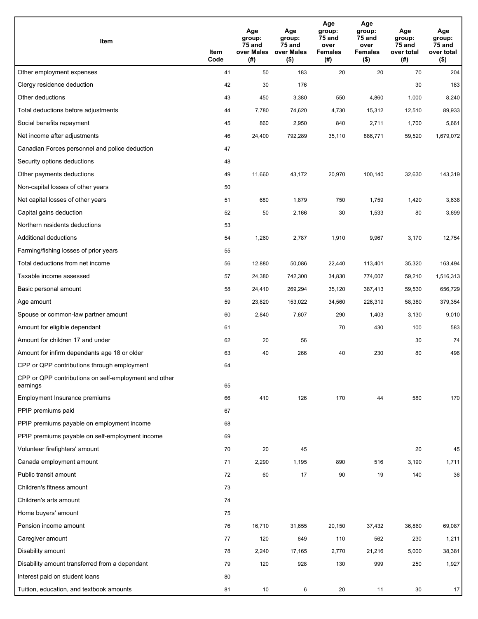| Item                                                              | Item<br>Code | Age<br>group:<br>75 and<br>over Males<br>(#) | Age<br>group:<br>75 and<br>over Males<br>$($ \$) | Age<br>group:<br>75 and<br>over<br><b>Females</b><br>(#) | Age<br>group:<br>75 and<br>over<br><b>Females</b><br>$($ \$) | Age<br>group:<br>75 and<br>over total<br>(#) | Age<br>group:<br>75 and<br>over total<br>$($ \$) |
|-------------------------------------------------------------------|--------------|----------------------------------------------|--------------------------------------------------|----------------------------------------------------------|--------------------------------------------------------------|----------------------------------------------|--------------------------------------------------|
| Other employment expenses                                         | 41           | 50                                           | 183                                              | 20                                                       | 20                                                           | 70                                           | 204                                              |
| Clergy residence deduction                                        | 42           | 30                                           | 176                                              |                                                          |                                                              | 30                                           | 183                                              |
| Other deductions                                                  | 43           | 450                                          | 3,380                                            | 550                                                      | 4,860                                                        | 1,000                                        | 8,240                                            |
| Total deductions before adjustments                               | 44           | 7,780                                        | 74,620                                           | 4,730                                                    | 15,312                                                       | 12,510                                       | 89,933                                           |
| Social benefits repayment                                         | 45           | 860                                          | 2,950                                            | 840                                                      | 2,711                                                        | 1,700                                        | 5,661                                            |
| Net income after adjustments                                      | 46           | 24,400                                       | 792,289                                          | 35,110                                                   | 886,771                                                      | 59,520                                       | 1,679,072                                        |
| Canadian Forces personnel and police deduction                    | 47           |                                              |                                                  |                                                          |                                                              |                                              |                                                  |
| Security options deductions                                       | 48           |                                              |                                                  |                                                          |                                                              |                                              |                                                  |
| Other payments deductions                                         | 49           | 11,660                                       | 43,172                                           | 20,970                                                   | 100,140                                                      | 32,630                                       | 143,319                                          |
| Non-capital losses of other years                                 | 50           |                                              |                                                  |                                                          |                                                              |                                              |                                                  |
| Net capital losses of other years                                 | 51           | 680                                          | 1,879                                            | 750                                                      | 1,759                                                        | 1,420                                        | 3,638                                            |
| Capital gains deduction                                           | 52           | 50                                           | 2,166                                            | 30                                                       | 1,533                                                        | 80                                           | 3,699                                            |
| Northern residents deductions                                     | 53           |                                              |                                                  |                                                          |                                                              |                                              |                                                  |
| Additional deductions                                             | 54           | 1,260                                        | 2,787                                            | 1,910                                                    | 9,967                                                        | 3,170                                        | 12,754                                           |
| Farming/fishing losses of prior years                             | 55           |                                              |                                                  |                                                          |                                                              |                                              |                                                  |
| Total deductions from net income                                  | 56           | 12,880                                       | 50,086                                           | 22,440                                                   | 113,401                                                      | 35,320                                       | 163,494                                          |
| Taxable income assessed                                           | 57           | 24,380                                       | 742,300                                          | 34,830                                                   | 774,007                                                      | 59,210                                       | 1,516,313                                        |
| Basic personal amount                                             | 58           | 24,410                                       | 269,294                                          | 35,120                                                   | 387,413                                                      | 59,530                                       | 656,729                                          |
| Age amount                                                        | 59           | 23,820                                       | 153,022                                          | 34,560                                                   | 226,319                                                      | 58,380                                       | 379,354                                          |
| Spouse or common-law partner amount                               | 60           | 2,840                                        | 7,607                                            | 290                                                      | 1,403                                                        | 3,130                                        | 9,010                                            |
| Amount for eligible dependant                                     | 61           |                                              |                                                  | 70                                                       | 430                                                          | 100                                          | 583                                              |
| Amount for children 17 and under                                  | 62           | 20                                           | 56                                               |                                                          |                                                              | 30                                           | 74                                               |
| Amount for infirm dependants age 18 or older                      | 63           | 40                                           | 266                                              | 40                                                       | 230                                                          | 80                                           | 496                                              |
| CPP or QPP contributions through employment                       | 64           |                                              |                                                  |                                                          |                                                              |                                              |                                                  |
| CPP or QPP contributions on self-employment and other<br>earnings | 65           |                                              |                                                  |                                                          |                                                              |                                              |                                                  |
| Employment Insurance premiums                                     | 66           | 410                                          | 126                                              | 170                                                      | 44                                                           | 580                                          | 170                                              |
| PPIP premiums paid                                                | 67           |                                              |                                                  |                                                          |                                                              |                                              |                                                  |
| PPIP premiums payable on employment income                        | 68           |                                              |                                                  |                                                          |                                                              |                                              |                                                  |
| PPIP premiums payable on self-employment income                   | 69           |                                              |                                                  |                                                          |                                                              |                                              |                                                  |
| Volunteer firefighters' amount                                    | 70           | 20                                           | 45                                               |                                                          |                                                              | 20                                           | 45                                               |
| Canada employment amount                                          | 71           | 2,290                                        | 1,195                                            | 890                                                      | 516                                                          | 3,190                                        | 1,711                                            |
| Public transit amount                                             | 72           | 60                                           | 17                                               | 90                                                       | 19                                                           | 140                                          | 36                                               |
| Children's fitness amount                                         | 73           |                                              |                                                  |                                                          |                                                              |                                              |                                                  |
| Children's arts amount                                            | 74           |                                              |                                                  |                                                          |                                                              |                                              |                                                  |
| Home buyers' amount                                               | 75           |                                              |                                                  |                                                          |                                                              |                                              |                                                  |
| Pension income amount                                             | 76           | 16,710                                       | 31,655                                           | 20,150                                                   | 37,432                                                       | 36,860                                       | 69,087                                           |
| Caregiver amount                                                  | 77           | 120                                          | 649                                              | 110                                                      | 562                                                          | 230                                          | 1,211                                            |
| Disability amount                                                 | 78           | 2,240                                        | 17,165                                           | 2,770                                                    | 21,216                                                       | 5,000                                        | 38,381                                           |
| Disability amount transferred from a dependant                    | 79           | 120                                          | 928                                              | 130                                                      | 999                                                          | 250                                          | 1,927                                            |
| Interest paid on student loans                                    | 80           |                                              |                                                  |                                                          |                                                              |                                              |                                                  |
| Tuition, education, and textbook amounts                          | 81           | 10                                           | 6                                                | 20                                                       | 11                                                           | 30                                           | 17                                               |